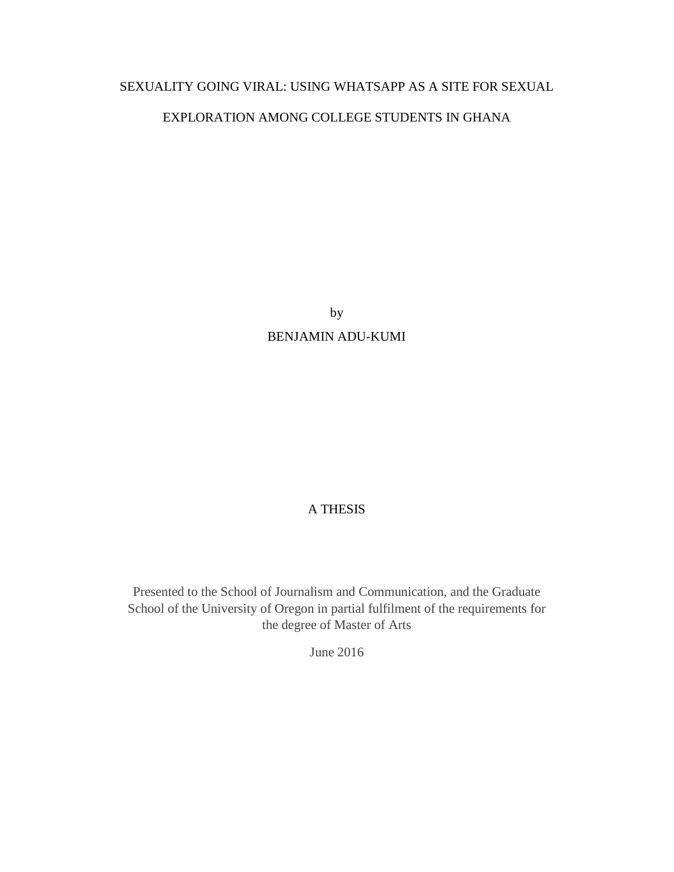## SEXUALITY GOING VIRAL: USING WHATSAPP AS A SITE FOR SEXUAL

# EXPLORATION AMONG COLLEGE STUDENTS IN GHANA

by

# BENJAMIN ADU-KUMI

# A THESIS

Presented to the School of Journalism and Communication, and the Graduate School of the University of Oregon in partial fulfilment of the requirements for the degree of Master of Arts

June 2016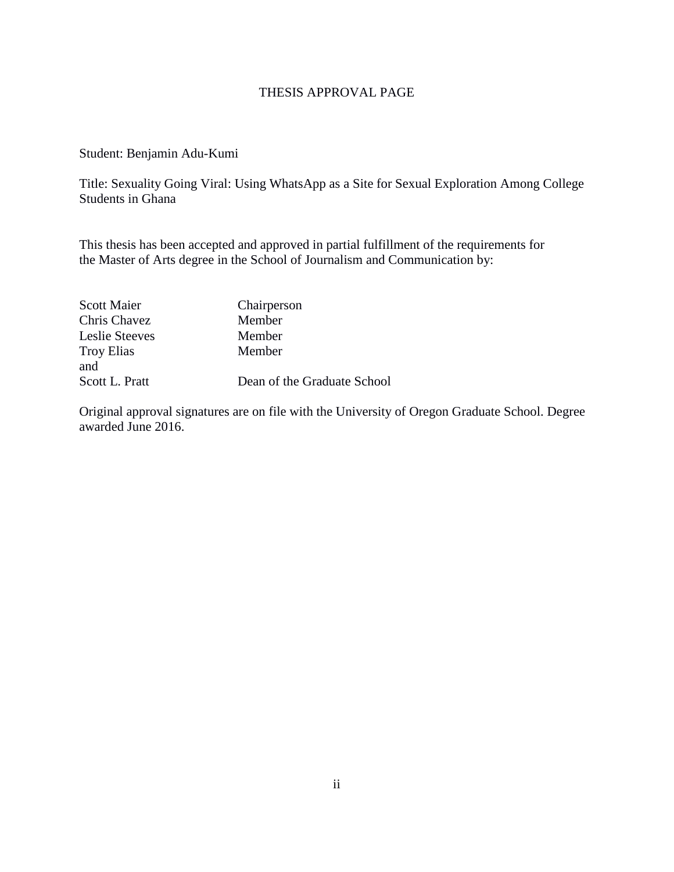## THESIS APPROVAL PAGE

# Student: Benjamin Adu-Kumi

Title: Sexuality Going Viral: Using WhatsApp as a Site for Sexual Exploration Among College Students in Ghana

This thesis has been accepted and approved in partial fulfillment of the requirements for the Master of Arts degree in the School of Journalism and Communication by:

| <b>Scott Maier</b> | Chairperson                 |
|--------------------|-----------------------------|
| Chris Chavez       | Member                      |
| Leslie Steeves     | Member                      |
| <b>Troy Elias</b>  | Member                      |
| and                |                             |
| Scott L. Pratt     | Dean of the Graduate School |
|                    |                             |

Original approval signatures are on file with the University of Oregon Graduate School. Degree awarded June 2016.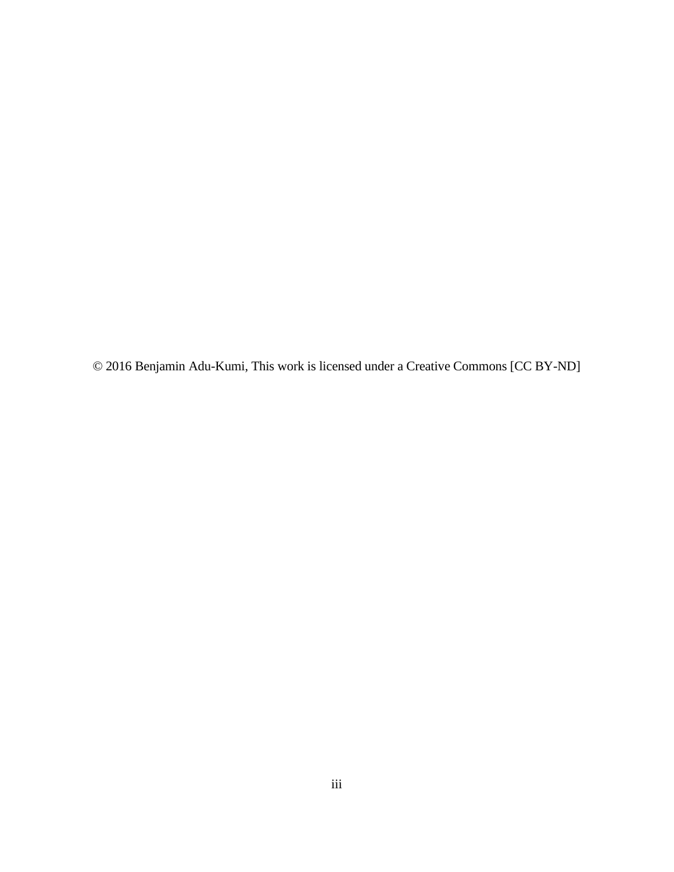© 2016 Benjamin Adu-Kumi, This work is licensed under a Creative Commons [CC BY-ND]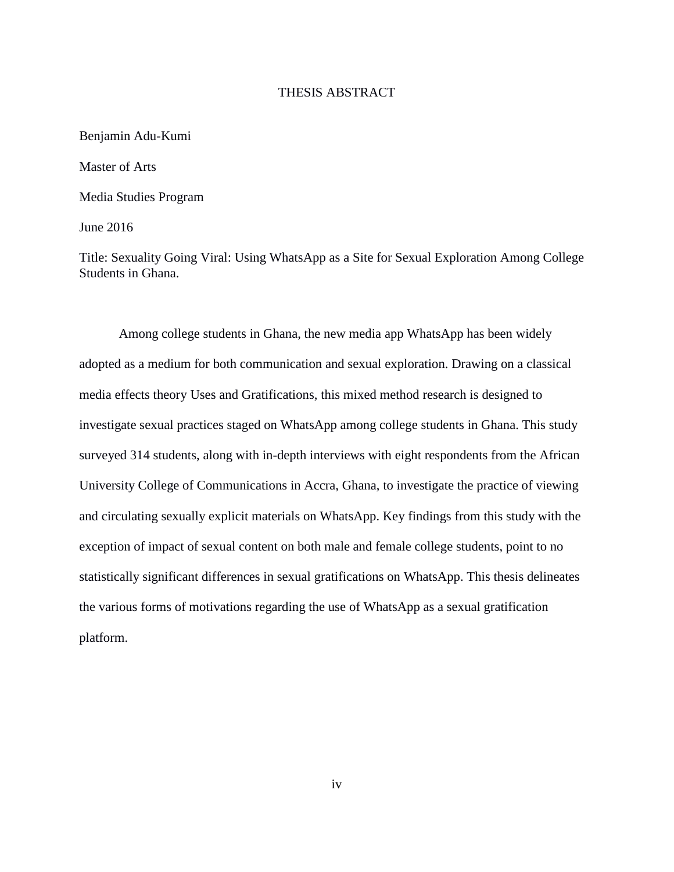#### THESIS ABSTRACT

Benjamin Adu-Kumi

Master of Arts

Media Studies Program

June 2016

Title: Sexuality Going Viral: Using WhatsApp as a Site for Sexual Exploration Among College Students in Ghana.

Among college students in Ghana, the new media app WhatsApp has been widely adopted as a medium for both communication and sexual exploration. Drawing on a classical media effects theory Uses and Gratifications, this mixed method research is designed to investigate sexual practices staged on WhatsApp among college students in Ghana. This study surveyed 314 students, along with in-depth interviews with eight respondents from the African University College of Communications in Accra, Ghana, to investigate the practice of viewing and circulating sexually explicit materials on WhatsApp. Key findings from this study with the exception of impact of sexual content on both male and female college students, point to no statistically significant differences in sexual gratifications on WhatsApp. This thesis delineates the various forms of motivations regarding the use of WhatsApp as a sexual gratification platform.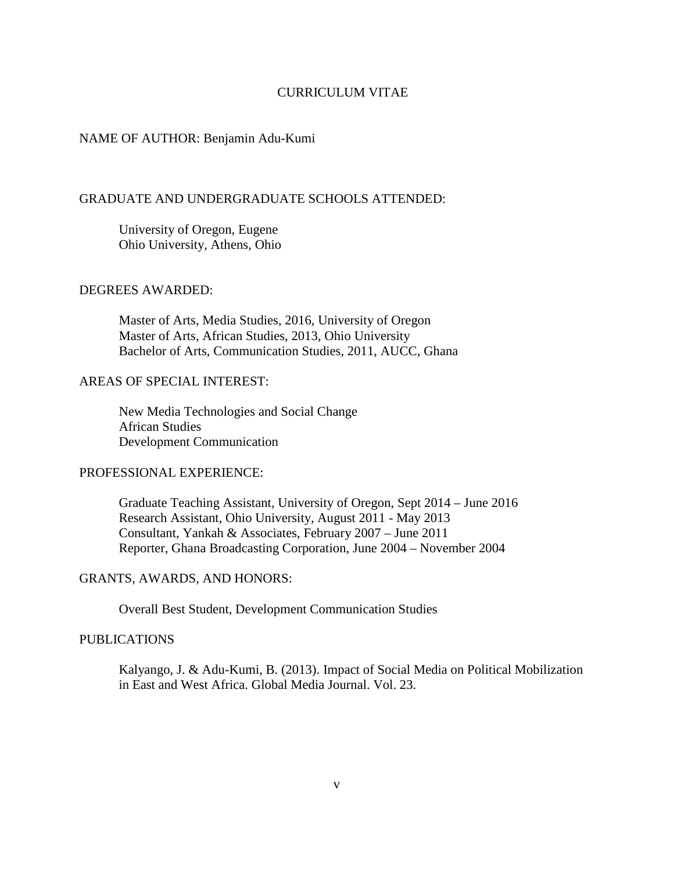#### CURRICULUM VITAE

#### NAME OF AUTHOR: Benjamin Adu-Kumi

#### GRADUATE AND UNDERGRADUATE SCHOOLS ATTENDED:

University of Oregon, Eugene Ohio University, Athens, Ohio

#### DEGREES AWARDED:

Master of Arts, Media Studies, 2016, University of Oregon Master of Arts, African Studies, 2013, Ohio University Bachelor of Arts, Communication Studies, 2011, AUCC, Ghana

### AREAS OF SPECIAL INTEREST:

New Media Technologies and Social Change African Studies Development Communication

### PROFESSIONAL EXPERIENCE:

Graduate Teaching Assistant, University of Oregon, Sept 2014 – June 2016 Research Assistant, Ohio University, August 2011 - May 2013 Consultant, Yankah & Associates, February 2007 – June 2011 Reporter, Ghana Broadcasting Corporation, June 2004 – November 2004

#### GRANTS, AWARDS, AND HONORS:

Overall Best Student, Development Communication Studies

#### PUBLICATIONS

 Kalyango, J. & Adu-Kumi, B. (2013). Impact of Social Media on Political Mobilization in East and West Africa. Global Media Journal. Vol. 23.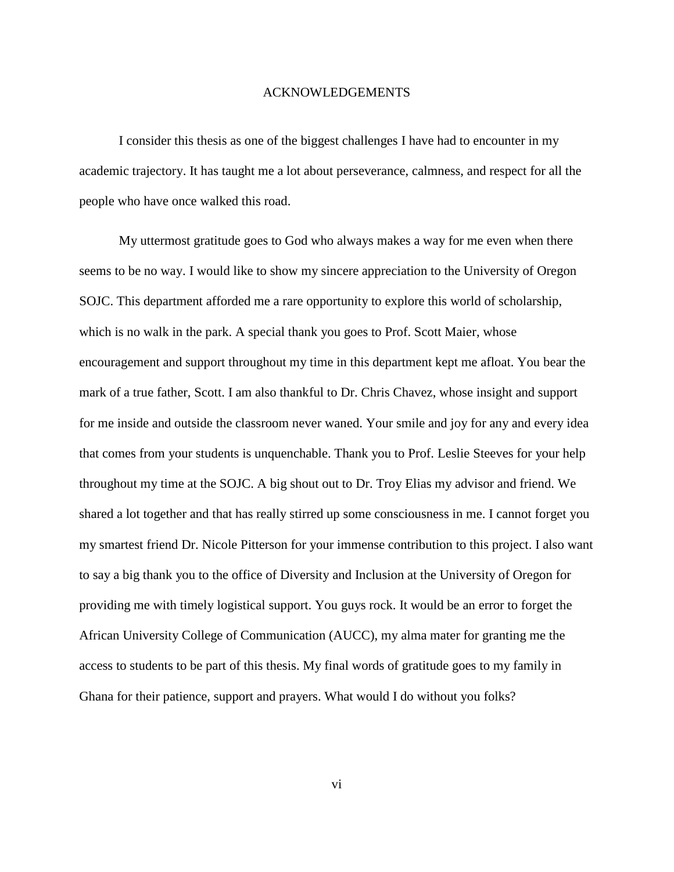#### ACKNOWLEDGEMENTS

I consider this thesis as one of the biggest challenges I have had to encounter in my academic trajectory. It has taught me a lot about perseverance, calmness, and respect for all the people who have once walked this road.

My uttermost gratitude goes to God who always makes a way for me even when there seems to be no way. I would like to show my sincere appreciation to the University of Oregon SOJC. This department afforded me a rare opportunity to explore this world of scholarship, which is no walk in the park. A special thank you goes to Prof. Scott Maier, whose encouragement and support throughout my time in this department kept me afloat. You bear the mark of a true father, Scott. I am also thankful to Dr. Chris Chavez, whose insight and support for me inside and outside the classroom never waned. Your smile and joy for any and every idea that comes from your students is unquenchable. Thank you to Prof. Leslie Steeves for your help throughout my time at the SOJC. A big shout out to Dr. Troy Elias my advisor and friend. We shared a lot together and that has really stirred up some consciousness in me. I cannot forget you my smartest friend Dr. Nicole Pitterson for your immense contribution to this project. I also want to say a big thank you to the office of Diversity and Inclusion at the University of Oregon for providing me with timely logistical support. You guys rock. It would be an error to forget the African University College of Communication (AUCC), my alma mater for granting me the access to students to be part of this thesis. My final words of gratitude goes to my family in Ghana for their patience, support and prayers. What would I do without you folks?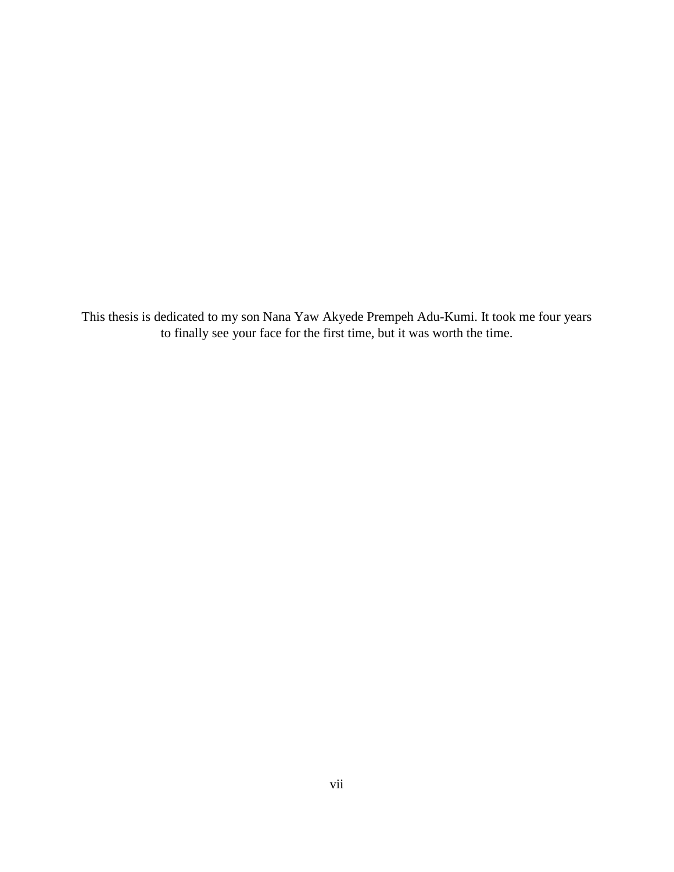This thesis is dedicated to my son Nana Yaw Akyede Prempeh Adu-Kumi. It took me four years to finally see your face for the first time, but it was worth the time.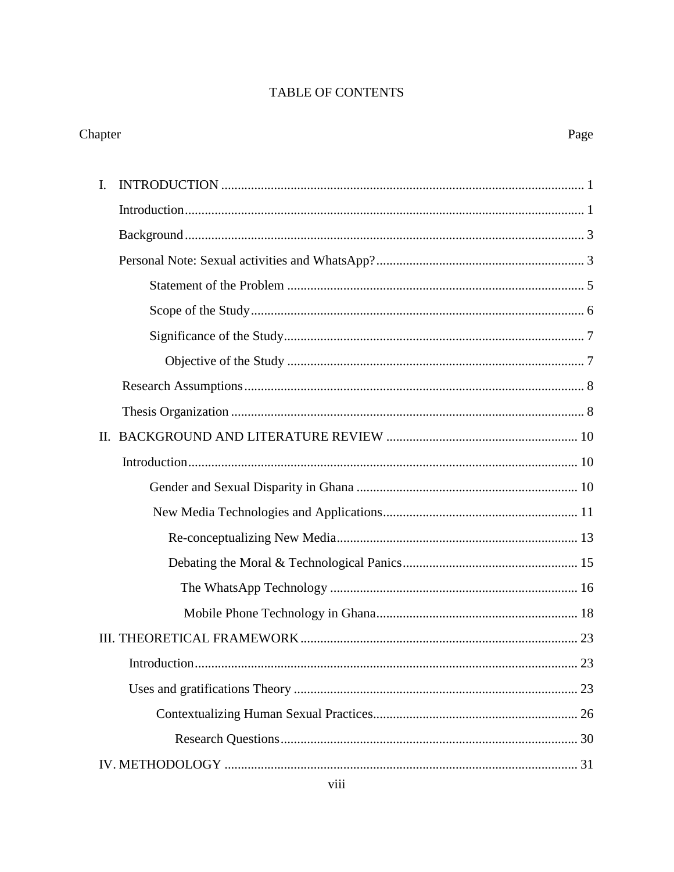# TABLE OF CONTENTS

# Chapter

| I. |  |
|----|--|
|    |  |
|    |  |
|    |  |
|    |  |
|    |  |
|    |  |
|    |  |
|    |  |
|    |  |
|    |  |
|    |  |
|    |  |
|    |  |
|    |  |
|    |  |
|    |  |
|    |  |
|    |  |
|    |  |
|    |  |
|    |  |
|    |  |
|    |  |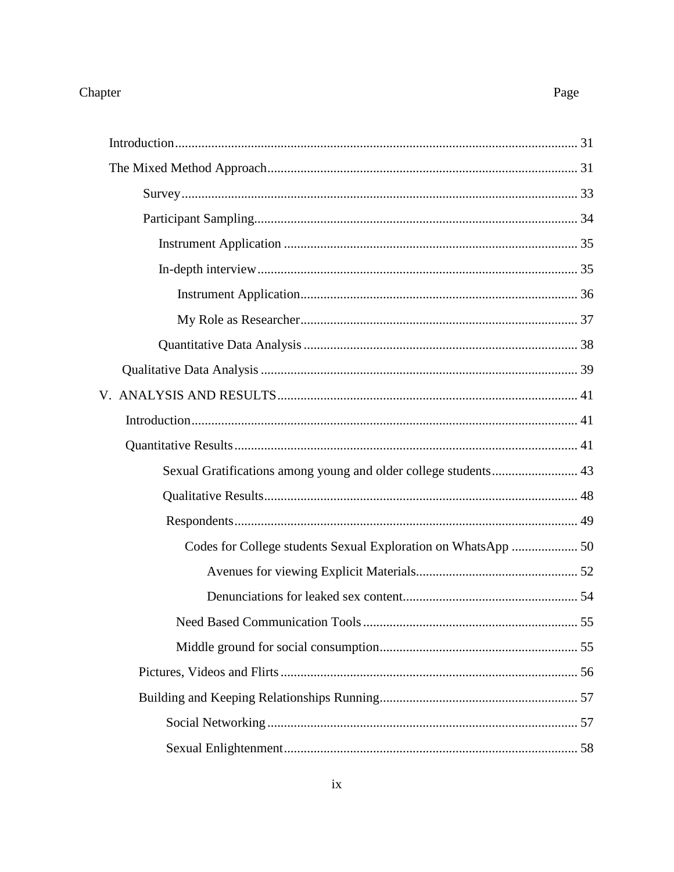# Chapter

| Sexual Gratifications among young and older college students 43 |  |
|-----------------------------------------------------------------|--|
|                                                                 |  |
|                                                                 |  |
| Codes for College students Sexual Exploration on WhatsApp  50   |  |
|                                                                 |  |
|                                                                 |  |
|                                                                 |  |
|                                                                 |  |
|                                                                 |  |
|                                                                 |  |
|                                                                 |  |
|                                                                 |  |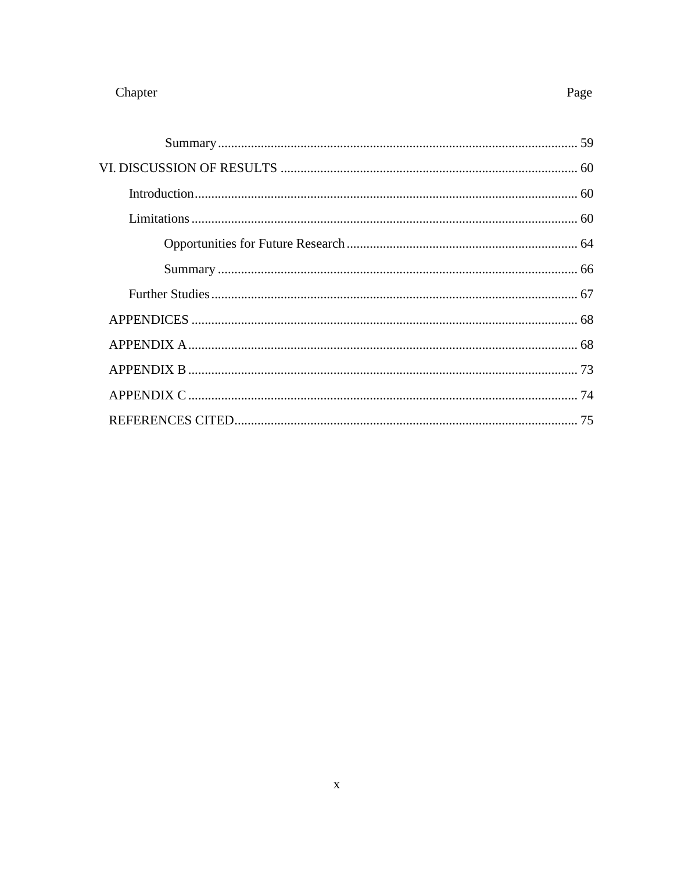# Chapter

Page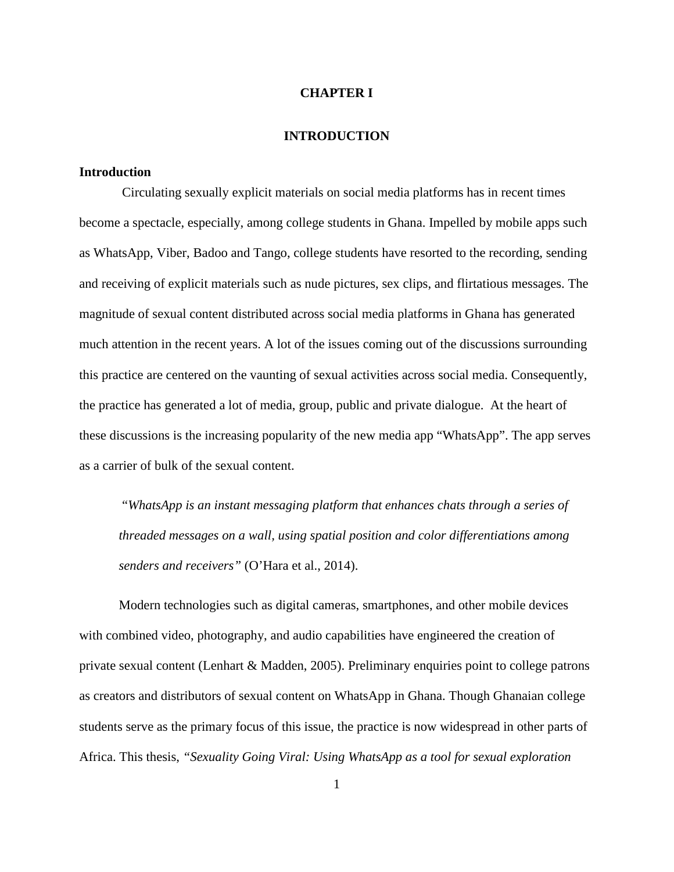#### **CHAPTER I**

#### **INTRODUCTION**

#### <span id="page-10-1"></span><span id="page-10-0"></span>**Introduction**

Circulating sexually explicit materials on social media platforms has in recent times become a spectacle, especially, among college students in Ghana. Impelled by mobile apps such as WhatsApp, Viber, Badoo and Tango, college students have resorted to the recording, sending and receiving of explicit materials such as nude pictures, sex clips, and flirtatious messages. The magnitude of sexual content distributed across social media platforms in Ghana has generated much attention in the recent years. A lot of the issues coming out of the discussions surrounding this practice are centered on the vaunting of sexual activities across social media. Consequently, the practice has generated a lot of media, group, public and private dialogue. At the heart of these discussions is the increasing popularity of the new media app "WhatsApp". The app serves as a carrier of bulk of the sexual content.

"*WhatsApp is an instant messaging platform that enhances chats through a series of threaded messages on a wall, using spatial position and color differentiations among senders and receivers"* (O'Hara et al., 2014).

Modern technologies such as digital cameras, smartphones, and other mobile devices with combined video, photography, and audio capabilities have engineered the creation of private sexual content (Lenhart & Madden, 2005). Preliminary enquiries point to college patrons as creators and distributors of sexual content on WhatsApp in Ghana. Though Ghanaian college students serve as the primary focus of this issue, the practice is now widespread in other parts of Africa. This thesis, *"Sexuality Going Viral: Using WhatsApp as a tool for sexual exploration*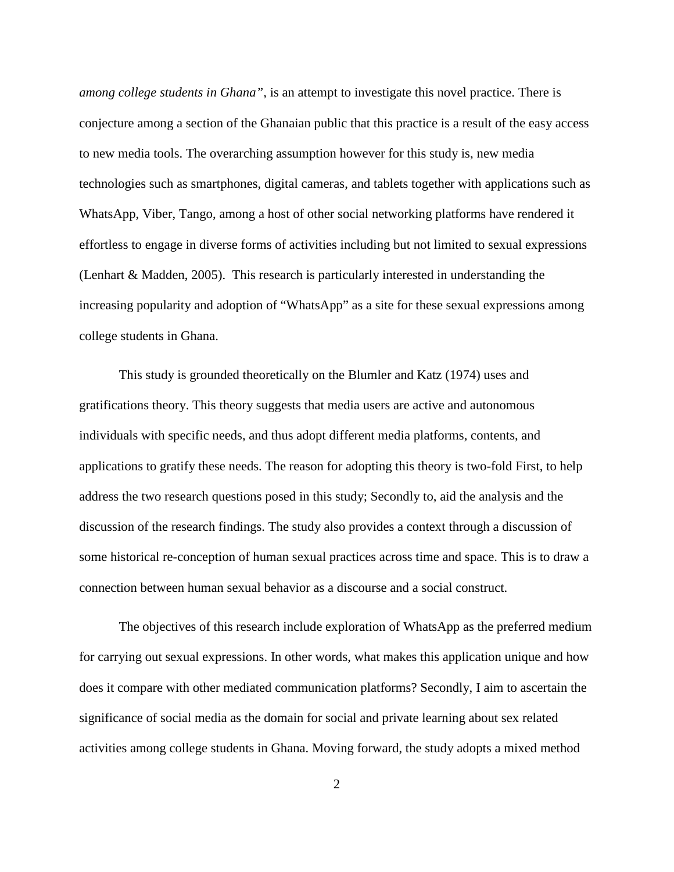*among college students in Ghana",* is an attempt to investigate this novel practice. There is conjecture among a section of the Ghanaian public that this practice is a result of the easy access to new media tools. The overarching assumption however for this study is, new media technologies such as smartphones, digital cameras, and tablets together with applications such as WhatsApp, Viber, Tango, among a host of other social networking platforms have rendered it effortless to engage in diverse forms of activities including but not limited to sexual expressions (Lenhart & Madden, 2005). This research is particularly interested in understanding the increasing popularity and adoption of "WhatsApp" as a site for these sexual expressions among college students in Ghana.

This study is grounded theoretically on the Blumler and Katz (1974) uses and gratifications theory. This theory suggests that media users are active and autonomous individuals with specific needs, and thus adopt different media platforms, contents, and applications to gratify these needs. The reason for adopting this theory is two-fold First, to help address the two research questions posed in this study; Secondly to, aid the analysis and the discussion of the research findings. The study also provides a context through a discussion of some historical re-conception of human sexual practices across time and space. This is to draw a connection between human sexual behavior as a discourse and a social construct.

The objectives of this research include exploration of WhatsApp as the preferred medium for carrying out sexual expressions. In other words, what makes this application unique and how does it compare with other mediated communication platforms? Secondly, I aim to ascertain the significance of social media as the domain for social and private learning about sex related activities among college students in Ghana. Moving forward, the study adopts a mixed method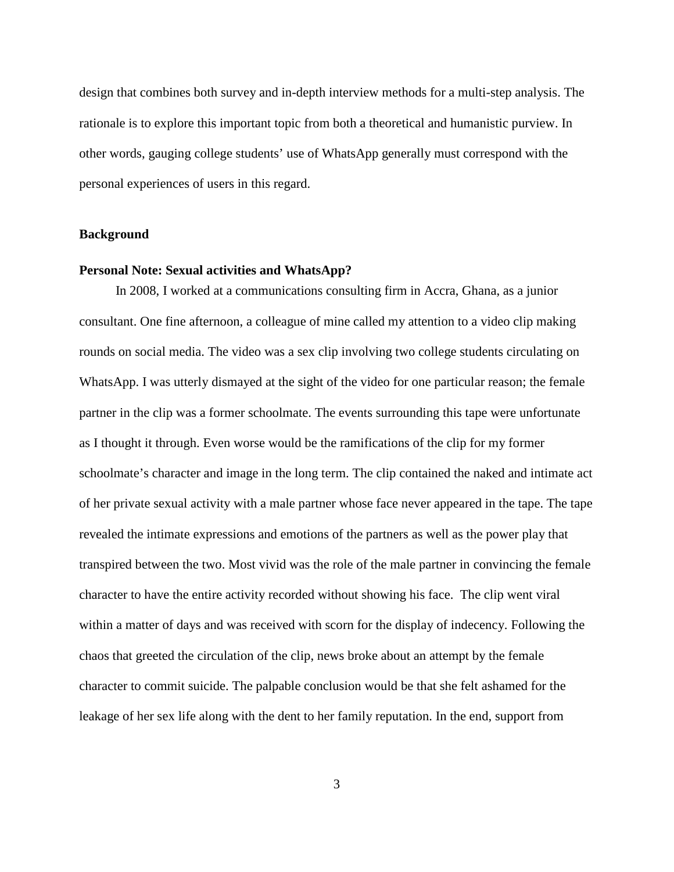design that combines both survey and in-depth interview methods for a multi-step analysis. The rationale is to explore this important topic from both a theoretical and humanistic purview. In other words, gauging college students' use of WhatsApp generally must correspond with the personal experiences of users in this regard.

#### <span id="page-12-0"></span>**Background**

#### <span id="page-12-1"></span>**Personal Note: Sexual activities and WhatsApp?**

In 2008, I worked at a communications consulting firm in Accra, Ghana, as a junior consultant. One fine afternoon, a colleague of mine called my attention to a video clip making rounds on social media. The video was a sex clip involving two college students circulating on WhatsApp. I was utterly dismayed at the sight of the video for one particular reason; the female partner in the clip was a former schoolmate. The events surrounding this tape were unfortunate as I thought it through. Even worse would be the ramifications of the clip for my former schoolmate's character and image in the long term. The clip contained the naked and intimate act of her private sexual activity with a male partner whose face never appeared in the tape. The tape revealed the intimate expressions and emotions of the partners as well as the power play that transpired between the two. Most vivid was the role of the male partner in convincing the female character to have the entire activity recorded without showing his face. The clip went viral within a matter of days and was received with scorn for the display of indecency. Following the chaos that greeted the circulation of the clip, news broke about an attempt by the female character to commit suicide. The palpable conclusion would be that she felt ashamed for the leakage of her sex life along with the dent to her family reputation. In the end, support from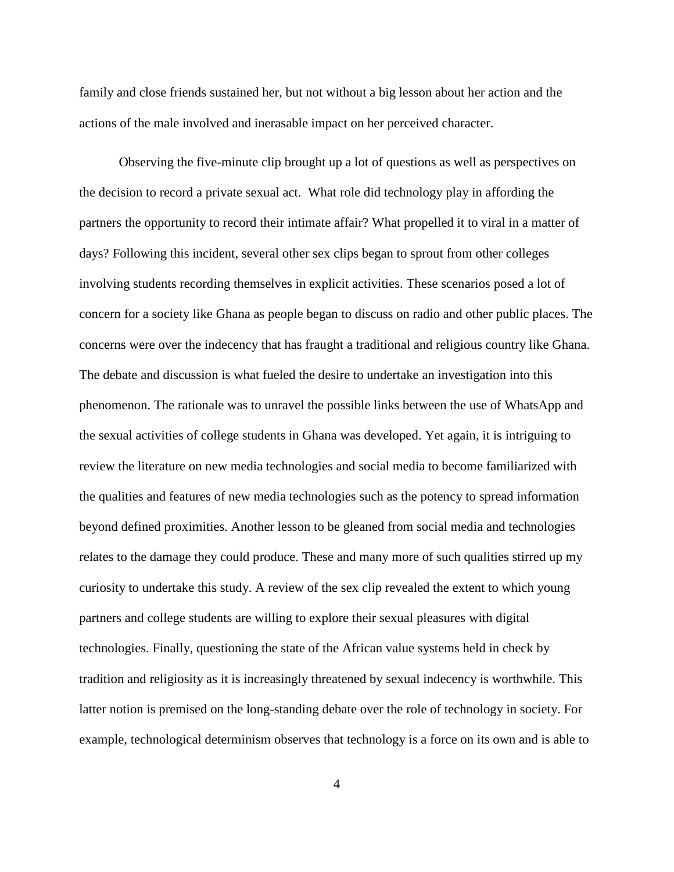family and close friends sustained her, but not without a big lesson about her action and the actions of the male involved and inerasable impact on her perceived character.

Observing the five-minute clip brought up a lot of questions as well as perspectives on the decision to record a private sexual act. What role did technology play in affording the partners the opportunity to record their intimate affair? What propelled it to viral in a matter of days? Following this incident, several other sex clips began to sprout from other colleges involving students recording themselves in explicit activities. These scenarios posed a lot of concern for a society like Ghana as people began to discuss on radio and other public places. The concerns were over the indecency that has fraught a traditional and religious country like Ghana. The debate and discussion is what fueled the desire to undertake an investigation into this phenomenon. The rationale was to unravel the possible links between the use of WhatsApp and the sexual activities of college students in Ghana was developed. Yet again, it is intriguing to review the literature on new media technologies and social media to become familiarized with the qualities and features of new media technologies such as the potency to spread information beyond defined proximities. Another lesson to be gleaned from social media and technologies relates to the damage they could produce. These and many more of such qualities stirred up my curiosity to undertake this study. A review of the sex clip revealed the extent to which young partners and college students are willing to explore their sexual pleasures with digital technologies. Finally, questioning the state of the African value systems held in check by tradition and religiosity as it is increasingly threatened by sexual indecency is worthwhile. This latter notion is premised on the long-standing debate over the role of technology in society. For example, technological determinism observes that technology is a force on its own and is able to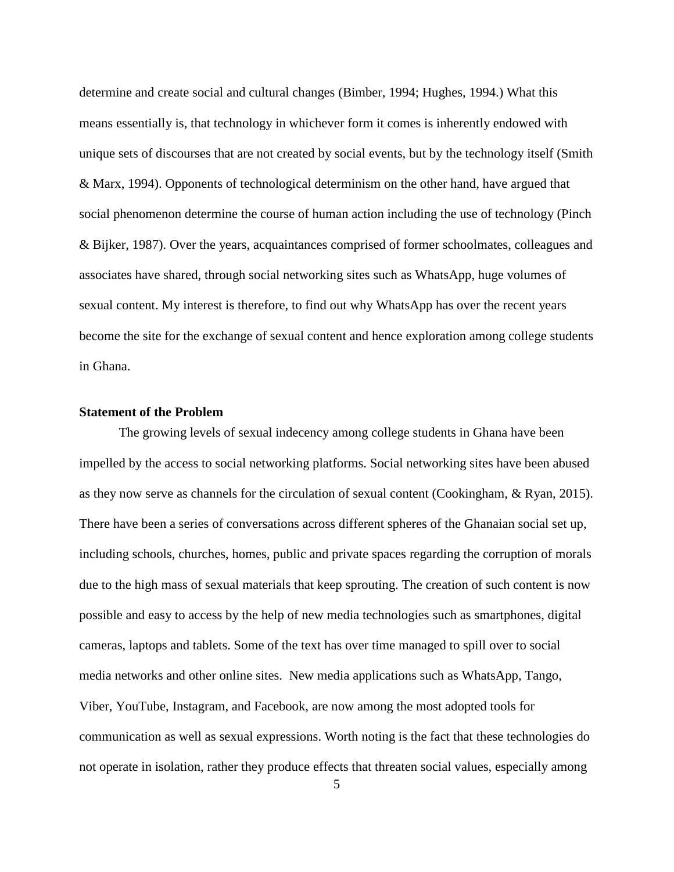determine and create social and cultural changes (Bimber, 1994; Hughes, 1994.) What this means essentially is, that technology in whichever form it comes is inherently endowed with unique sets of discourses that are not created by social events, but by the technology itself (Smith & Marx, 1994). Opponents of technological determinism on the other hand, have argued that social phenomenon determine the course of human action including the use of technology (Pinch & Bijker, 1987). Over the years, acquaintances comprised of former schoolmates, colleagues and associates have shared, through social networking sites such as WhatsApp, huge volumes of sexual content. My interest is therefore, to find out why WhatsApp has over the recent years become the site for the exchange of sexual content and hence exploration among college students in Ghana.

#### <span id="page-14-0"></span>**Statement of the Problem**

The growing levels of sexual indecency among college students in Ghana have been impelled by the access to social networking platforms. Social networking sites have been abused as they now serve as channels for the circulation of sexual content (Cookingham, & Ryan, 2015). There have been a series of conversations across different spheres of the Ghanaian social set up, including schools, churches, homes, public and private spaces regarding the corruption of morals due to the high mass of sexual materials that keep sprouting. The creation of such content is now possible and easy to access by the help of new media technologies such as smartphones, digital cameras, laptops and tablets. Some of the text has over time managed to spill over to social media networks and other online sites. New media applications such as WhatsApp, Tango, Viber, YouTube, Instagram, and Facebook, are now among the most adopted tools for communication as well as sexual expressions. Worth noting is the fact that these technologies do not operate in isolation, rather they produce effects that threaten social values, especially among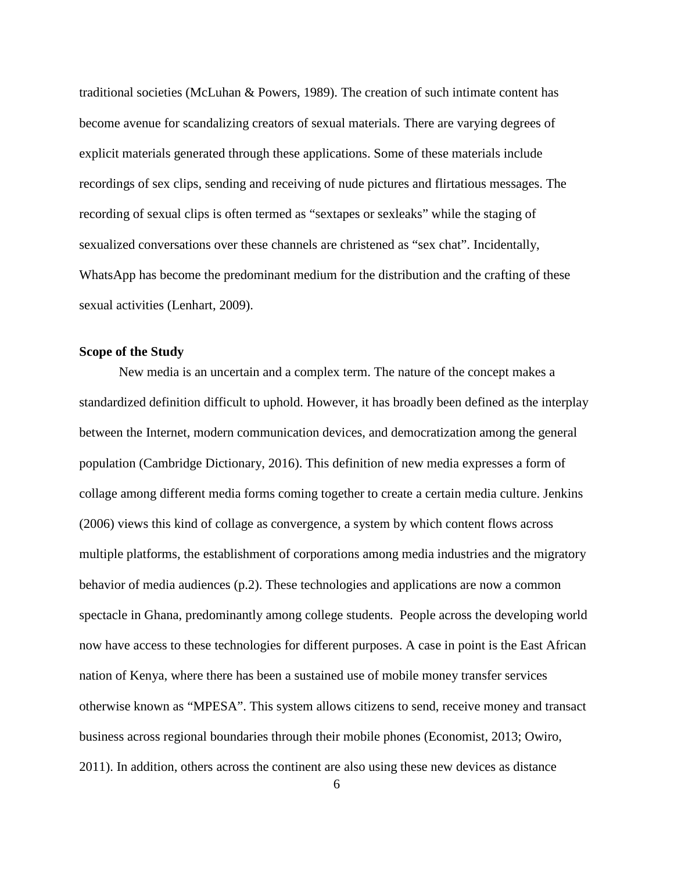traditional societies (McLuhan & Powers, 1989). The creation of such intimate content has become avenue for scandalizing creators of sexual materials. There are varying degrees of explicit materials generated through these applications. Some of these materials include recordings of sex clips, sending and receiving of nude pictures and flirtatious messages. The recording of sexual clips is often termed as "sextapes or sexleaks" while the staging of sexualized conversations over these channels are christened as "sex chat". Incidentally, WhatsApp has become the predominant medium for the distribution and the crafting of these sexual activities (Lenhart, 2009).

## <span id="page-15-0"></span>**Scope of the Study**

New media is an uncertain and a complex term. The nature of the concept makes a standardized definition difficult to uphold. However, it has broadly been defined as the interplay between the Internet, modern communication devices, and democratization among the general population (Cambridge Dictionary, 2016). This definition of new media expresses a form of collage among different media forms coming together to create a certain media culture. Jenkins (2006) views this kind of collage as convergence, a system by which content flows across multiple platforms, the establishment of corporations among media industries and the migratory behavior of media audiences (p.2). These technologies and applications are now a common spectacle in Ghana, predominantly among college students. People across the developing world now have access to these technologies for different purposes. A case in point is the East African nation of Kenya, where there has been a sustained use of mobile money transfer services otherwise known as "MPESA". This system allows citizens to send, receive money and transact business across regional boundaries through their mobile phones (Economist, 2013; Owiro, 2011). In addition, others across the continent are also using these new devices as distance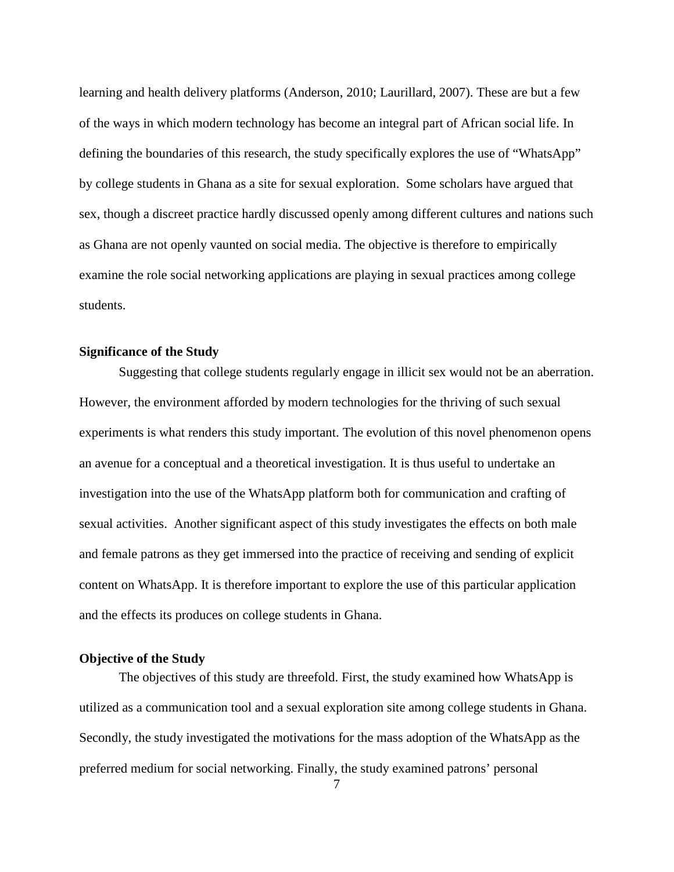learning and health delivery platforms (Anderson, 2010; Laurillard, 2007). These are but a few of the ways in which modern technology has become an integral part of African social life. In defining the boundaries of this research, the study specifically explores the use of "WhatsApp" by college students in Ghana as a site for sexual exploration. Some scholars have argued that sex, though a discreet practice hardly discussed openly among different cultures and nations such as Ghana are not openly vaunted on social media. The objective is therefore to empirically examine the role social networking applications are playing in sexual practices among college students.

### <span id="page-16-0"></span>**Significance of the Study**

Suggesting that college students regularly engage in illicit sex would not be an aberration. However, the environment afforded by modern technologies for the thriving of such sexual experiments is what renders this study important. The evolution of this novel phenomenon opens an avenue for a conceptual and a theoretical investigation. It is thus useful to undertake an investigation into the use of the WhatsApp platform both for communication and crafting of sexual activities. Another significant aspect of this study investigates the effects on both male and female patrons as they get immersed into the practice of receiving and sending of explicit content on WhatsApp. It is therefore important to explore the use of this particular application and the effects its produces on college students in Ghana.

#### <span id="page-16-1"></span>**Objective of the Study**

The objectives of this study are threefold. First, the study examined how WhatsApp is utilized as a communication tool and a sexual exploration site among college students in Ghana. Secondly, the study investigated the motivations for the mass adoption of the WhatsApp as the preferred medium for social networking. Finally, the study examined patrons' personal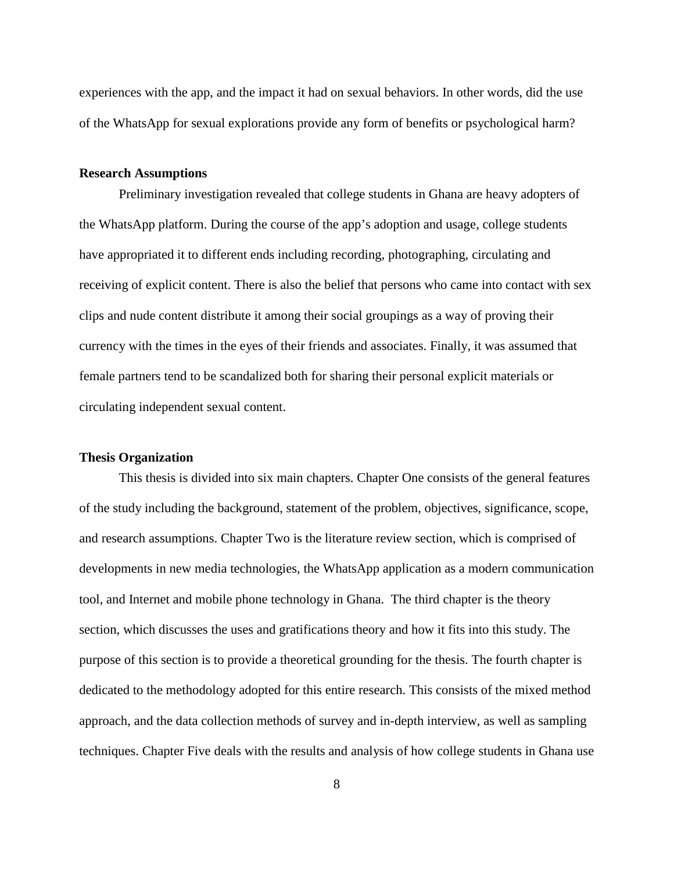experiences with the app, and the impact it had on sexual behaviors. In other words, did the use of the WhatsApp for sexual explorations provide any form of benefits or psychological harm?

#### <span id="page-17-0"></span>**Research Assumptions**

Preliminary investigation revealed that college students in Ghana are heavy adopters of the WhatsApp platform. During the course of the app's adoption and usage, college students have appropriated it to different ends including recording, photographing, circulating and receiving of explicit content. There is also the belief that persons who came into contact with sex clips and nude content distribute it among their social groupings as a way of proving their currency with the times in the eyes of their friends and associates. Finally, it was assumed that female partners tend to be scandalized both for sharing their personal explicit materials or circulating independent sexual content.

#### <span id="page-17-1"></span>**Thesis Organization**

This thesis is divided into six main chapters. Chapter One consists of the general features of the study including the background, statement of the problem, objectives, significance, scope, and research assumptions. Chapter Two is the literature review section, which is comprised of developments in new media technologies, the WhatsApp application as a modern communication tool, and Internet and mobile phone technology in Ghana. The third chapter is the theory section, which discusses the uses and gratifications theory and how it fits into this study. The purpose of this section is to provide a theoretical grounding for the thesis. The fourth chapter is dedicated to the methodology adopted for this entire research. This consists of the mixed method approach, and the data collection methods of survey and in-depth interview, as well as sampling techniques. Chapter Five deals with the results and analysis of how college students in Ghana use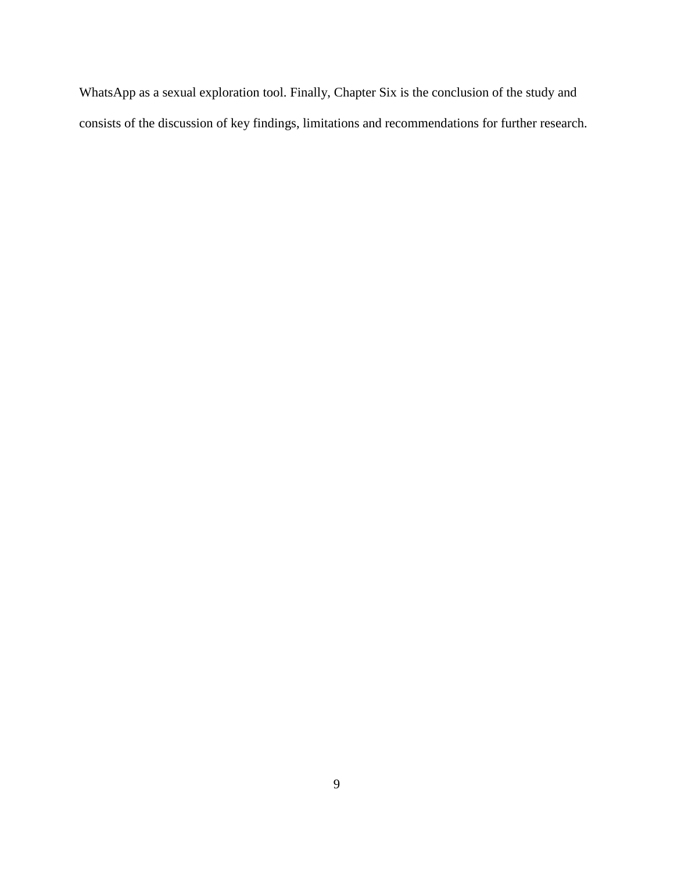WhatsApp as a sexual exploration tool. Finally, Chapter Six is the conclusion of the study and consists of the discussion of key findings, limitations and recommendations for further research.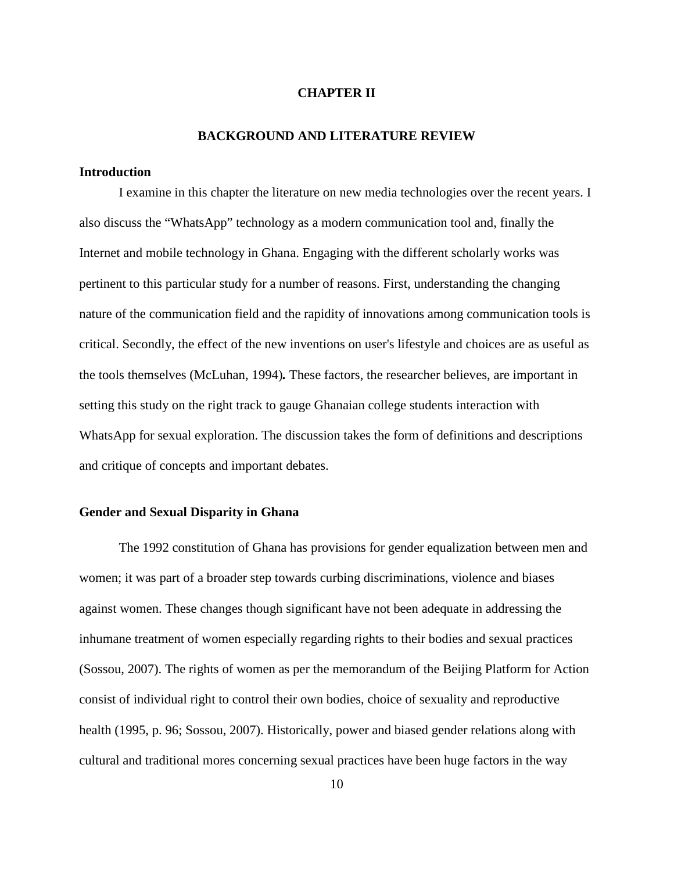#### **CHAPTER II**

#### **BACKGROUND AND LITERATURE REVIEW**

#### <span id="page-19-1"></span><span id="page-19-0"></span>**Introduction**

I examine in this chapter the literature on new media technologies over the recent years. I also discuss the "WhatsApp" technology as a modern communication tool and, finally the Internet and mobile technology in Ghana. Engaging with the different scholarly works was pertinent to this particular study for a number of reasons. First, understanding the changing nature of the communication field and the rapidity of innovations among communication tools is critical. Secondly, the effect of the new inventions on user's lifestyle and choices are as useful as the tools themselves (McLuhan, 1994)*.* These factors, the researcher believes, are important in setting this study on the right track to gauge Ghanaian college students interaction with WhatsApp for sexual exploration. The discussion takes the form of definitions and descriptions and critique of concepts and important debates.

#### <span id="page-19-2"></span>**Gender and Sexual Disparity in Ghana**

The 1992 constitution of Ghana has provisions for gender equalization between men and women; it was part of a broader step towards curbing discriminations, violence and biases against women. These changes though significant have not been adequate in addressing the inhumane treatment of women especially regarding rights to their bodies and sexual practices (Sossou, 2007). The rights of women as per the memorandum of the Beijing Platform for Action consist of individual right to control their own bodies, choice of sexuality and reproductive health (1995, p. 96; Sossou, 2007). Historically, power and biased gender relations along with cultural and traditional mores concerning sexual practices have been huge factors in the way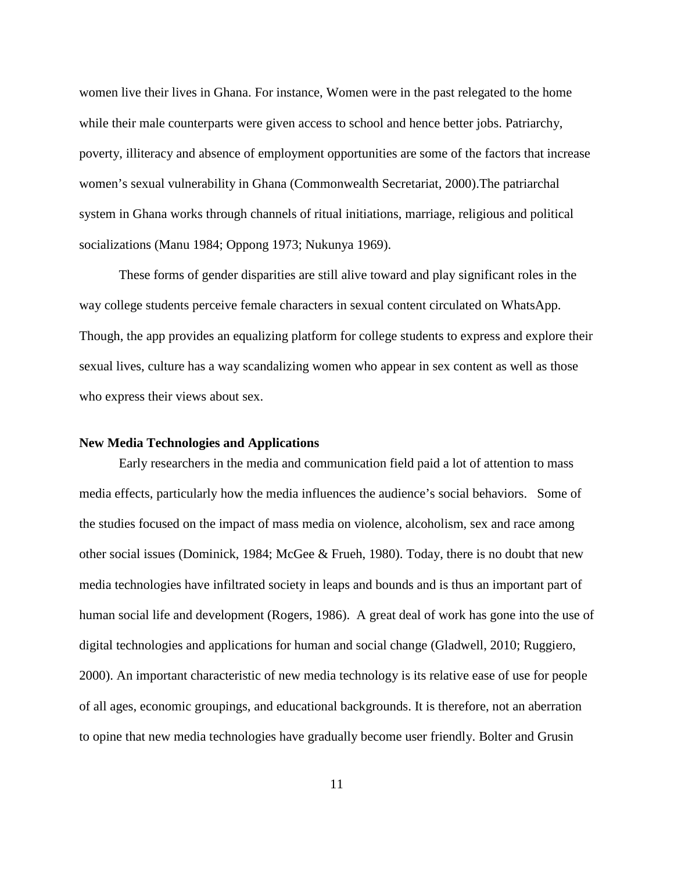women live their lives in Ghana. For instance, Women were in the past relegated to the home while their male counterparts were given access to school and hence better jobs. Patriarchy, poverty, illiteracy and absence of employment opportunities are some of the factors that increase women's sexual vulnerability in Ghana (Commonwealth Secretariat, 2000).The patriarchal system in Ghana works through channels of ritual initiations, marriage, religious and political socializations (Manu 1984; Oppong 1973; Nukunya 1969).

These forms of gender disparities are still alive toward and play significant roles in the way college students perceive female characters in sexual content circulated on WhatsApp. Though, the app provides an equalizing platform for college students to express and explore their sexual lives, culture has a way scandalizing women who appear in sex content as well as those who express their views about sex.

#### <span id="page-20-0"></span>**New Media Technologies and Applications**

Early researchers in the media and communication field paid a lot of attention to mass media effects, particularly how the media influences the audience's social behaviors. Some of the studies focused on the impact of mass media on violence, alcoholism, sex and race among other social issues (Dominick, 1984; McGee & Frueh, 1980). Today, there is no doubt that new media technologies have infiltrated society in leaps and bounds and is thus an important part of human social life and development (Rogers, 1986). A great deal of work has gone into the use of digital technologies and applications for human and social change (Gladwell, 2010; Ruggiero, 2000). An important characteristic of new media technology is its relative ease of use for people of all ages, economic groupings, and educational backgrounds. It is therefore, not an aberration to opine that new media technologies have gradually become user friendly. Bolter and Grusin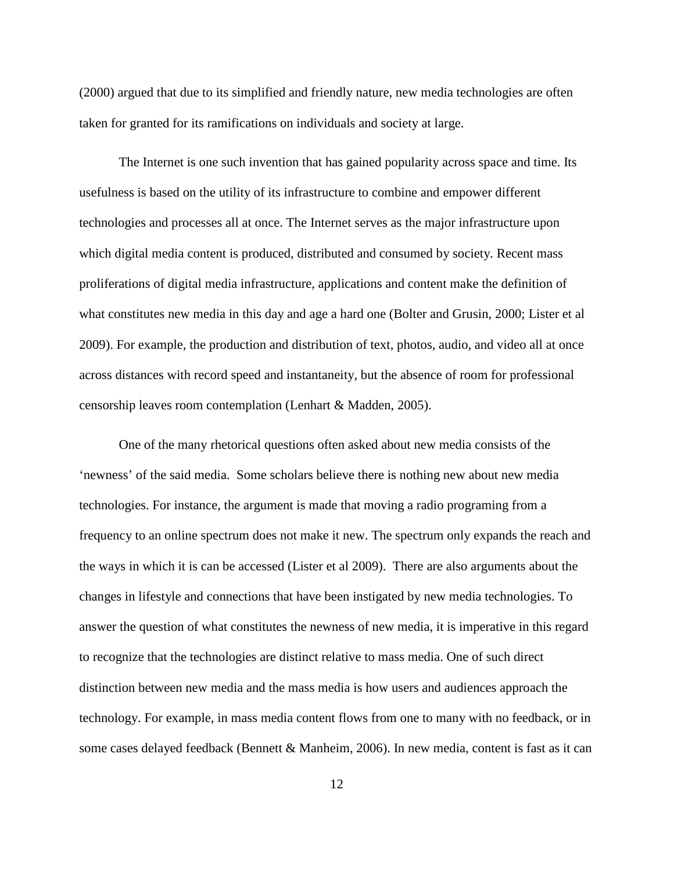(2000) argued that due to its simplified and friendly nature, new media technologies are often taken for granted for its ramifications on individuals and society at large.

The Internet is one such invention that has gained popularity across space and time. Its usefulness is based on the utility of its infrastructure to combine and empower different technologies and processes all at once. The Internet serves as the major infrastructure upon which digital media content is produced, distributed and consumed by society. Recent mass proliferations of digital media infrastructure, applications and content make the definition of what constitutes new media in this day and age a hard one (Bolter and Grusin, 2000; Lister et al 2009). For example, the production and distribution of text, photos, audio, and video all at once across distances with record speed and instantaneity, but the absence of room for professional censorship leaves room contemplation (Lenhart & Madden, 2005).

One of the many rhetorical questions often asked about new media consists of the 'newness' of the said media. Some scholars believe there is nothing new about new media technologies. For instance, the argument is made that moving a radio programing from a frequency to an online spectrum does not make it new. The spectrum only expands the reach and the ways in which it is can be accessed (Lister et al 2009). There are also arguments about the changes in lifestyle and connections that have been instigated by new media technologies. To answer the question of what constitutes the newness of new media, it is imperative in this regard to recognize that the technologies are distinct relative to mass media. One of such direct distinction between new media and the mass media is how users and audiences approach the technology. For example, in mass media content flows from one to many with no feedback, or in some cases delayed feedback (Bennett & Manheim, 2006). In new media, content is fast as it can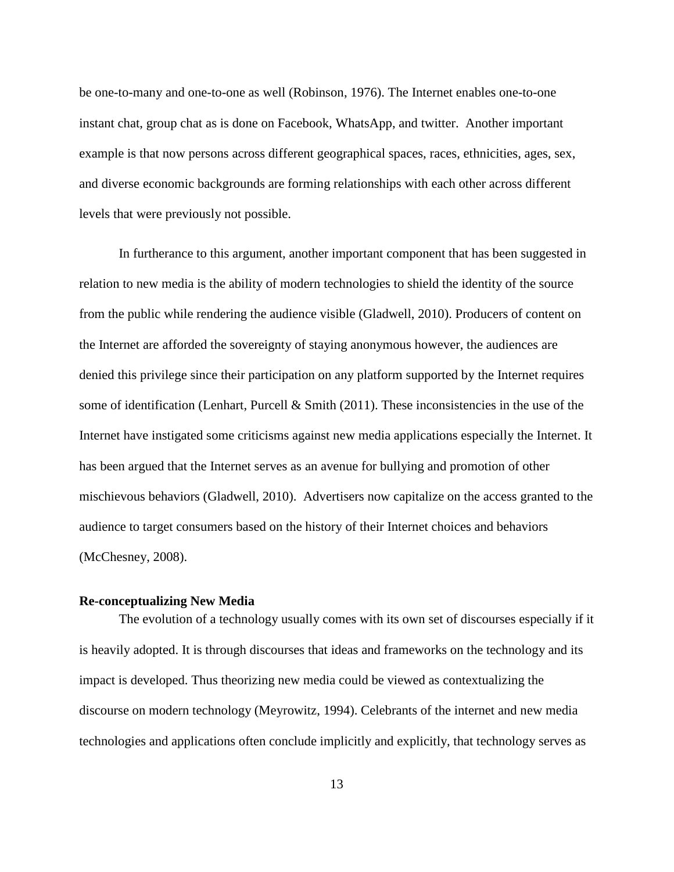be one-to-many and one-to-one as well (Robinson, 1976). The Internet enables one-to-one instant chat, group chat as is done on Facebook, WhatsApp, and twitter. Another important example is that now persons across different geographical spaces, races, ethnicities, ages, sex, and diverse economic backgrounds are forming relationships with each other across different levels that were previously not possible.

In furtherance to this argument, another important component that has been suggested in relation to new media is the ability of modern technologies to shield the identity of the source from the public while rendering the audience visible (Gladwell, 2010). Producers of content on the Internet are afforded the sovereignty of staying anonymous however, the audiences are denied this privilege since their participation on any platform supported by the Internet requires some of identification (Lenhart, Purcell & Smith (2011). These inconsistencies in the use of the Internet have instigated some criticisms against new media applications especially the Internet. It has been argued that the Internet serves as an avenue for bullying and promotion of other mischievous behaviors (Gladwell, 2010). Advertisers now capitalize on the access granted to the audience to target consumers based on the history of their Internet choices and behaviors (McChesney, 2008).

#### <span id="page-22-0"></span>**Re-conceptualizing New Media**

The evolution of a technology usually comes with its own set of discourses especially if it is heavily adopted. It is through discourses that ideas and frameworks on the technology and its impact is developed. Thus theorizing new media could be viewed as contextualizing the discourse on modern technology (Meyrowitz, 1994). Celebrants of the internet and new media technologies and applications often conclude implicitly and explicitly, that technology serves as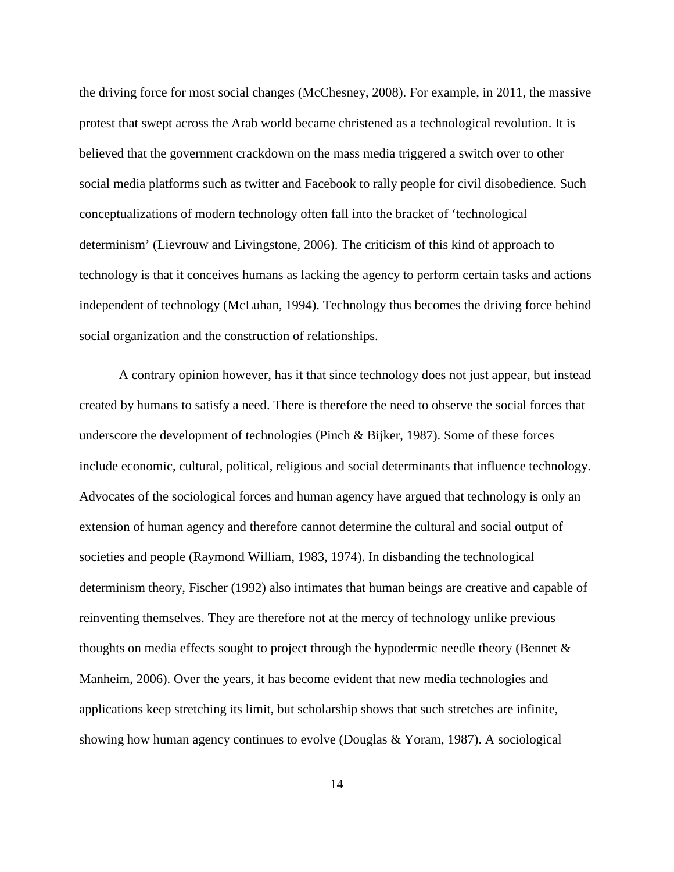the driving force for most social changes (McChesney, 2008). For example, in 2011, the massive protest that swept across the Arab world became christened as a technological revolution. It is believed that the government crackdown on the mass media triggered a switch over to other social media platforms such as twitter and Facebook to rally people for civil disobedience. Such conceptualizations of modern technology often fall into the bracket of 'technological determinism' (Lievrouw and Livingstone, 2006). The criticism of this kind of approach to technology is that it conceives humans as lacking the agency to perform certain tasks and actions independent of technology (McLuhan, 1994). Technology thus becomes the driving force behind social organization and the construction of relationships.

A contrary opinion however, has it that since technology does not just appear, but instead created by humans to satisfy a need. There is therefore the need to observe the social forces that underscore the development of technologies (Pinch & Bijker, 1987). Some of these forces include economic, cultural, political, religious and social determinants that influence technology. Advocates of the sociological forces and human agency have argued that technology is only an extension of human agency and therefore cannot determine the cultural and social output of societies and people (Raymond William, 1983, 1974). In disbanding the technological determinism theory, Fischer (1992) also intimates that human beings are creative and capable of reinventing themselves. They are therefore not at the mercy of technology unlike previous thoughts on media effects sought to project through the hypodermic needle theory (Bennet & Manheim, 2006). Over the years, it has become evident that new media technologies and applications keep stretching its limit, but scholarship shows that such stretches are infinite, showing how human agency continues to evolve (Douglas & Yoram, 1987). A sociological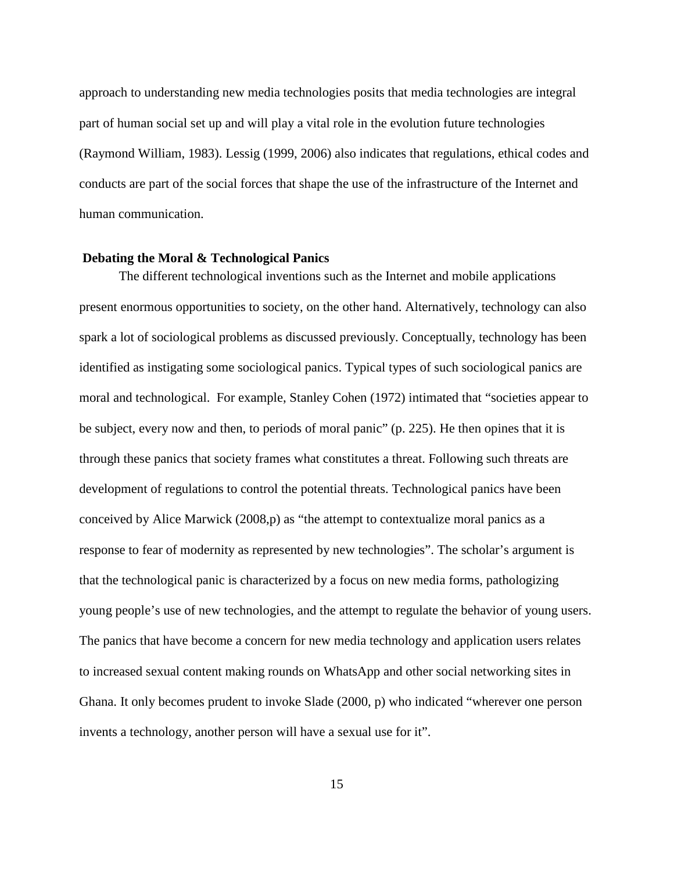approach to understanding new media technologies posits that media technologies are integral part of human social set up and will play a vital role in the evolution future technologies (Raymond William, 1983). Lessig (1999, 2006) also indicates that regulations, ethical codes and conducts are part of the social forces that shape the use of the infrastructure of the Internet and human communication.

#### <span id="page-24-0"></span>**Debating the Moral & Technological Panics**

The different technological inventions such as the Internet and mobile applications present enormous opportunities to society, on the other hand. Alternatively, technology can also spark a lot of sociological problems as discussed previously. Conceptually, technology has been identified as instigating some sociological panics. Typical types of such sociological panics are moral and technological. For example, Stanley Cohen (1972) intimated that "societies appear to be subject, every now and then, to periods of moral panic" (p. 225). He then opines that it is through these panics that society frames what constitutes a threat. Following such threats are development of regulations to control the potential threats. Technological panics have been conceived by Alice Marwick (2008,p) as "the attempt to contextualize moral panics as a response to fear of modernity as represented by new technologies". The scholar's argument is that the technological panic is characterized by a focus on new media forms, pathologizing young people's use of new technologies, and the attempt to regulate the behavior of young users. The panics that have become a concern for new media technology and application users relates to increased sexual content making rounds on WhatsApp and other social networking sites in Ghana. It only becomes prudent to invoke Slade (2000, p) who indicated "wherever one person invents a technology, another person will have a sexual use for it".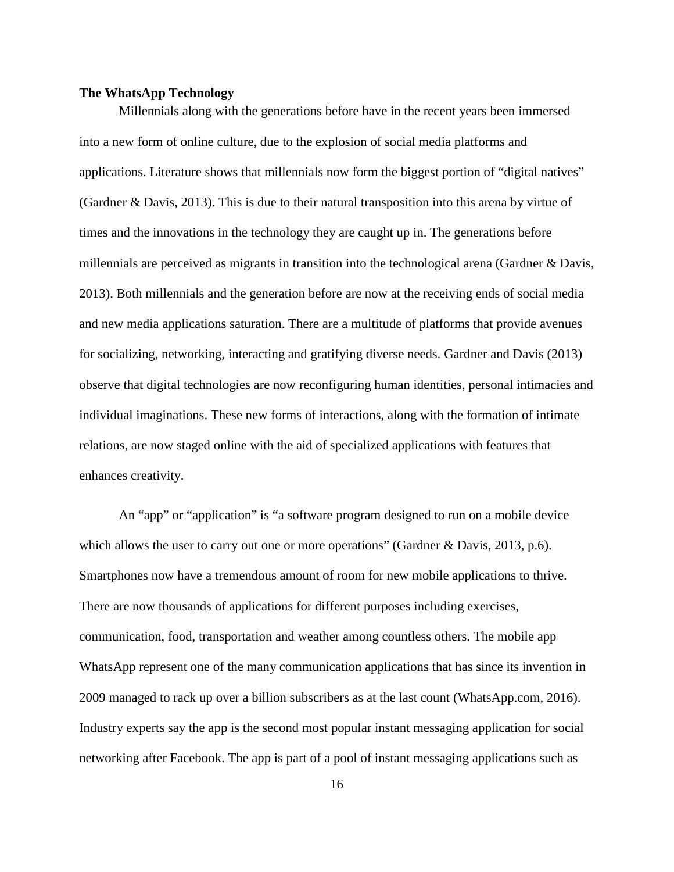#### <span id="page-25-0"></span>**The WhatsApp Technology**

Millennials along with the generations before have in the recent years been immersed into a new form of online culture, due to the explosion of social media platforms and applications. Literature shows that millennials now form the biggest portion of "digital natives" (Gardner & Davis, 2013). This is due to their natural transposition into this arena by virtue of times and the innovations in the technology they are caught up in. The generations before millennials are perceived as migrants in transition into the technological arena (Gardner & Davis, 2013). Both millennials and the generation before are now at the receiving ends of social media and new media applications saturation. There are a multitude of platforms that provide avenues for socializing, networking, interacting and gratifying diverse needs. Gardner and Davis (2013) observe that digital technologies are now reconfiguring human identities, personal intimacies and individual imaginations. These new forms of interactions, along with the formation of intimate relations, are now staged online with the aid of specialized applications with features that enhances creativity.

An "app" or "application" is "a software program designed to run on a mobile device which allows the user to carry out one or more operations" (Gardner & Davis, 2013, p.6). Smartphones now have a tremendous amount of room for new mobile applications to thrive. There are now thousands of applications for different purposes including exercises, communication, food, transportation and weather among countless others. The mobile app WhatsApp represent one of the many communication applications that has since its invention in 2009 managed to rack up over a billion subscribers as at the last count (WhatsApp.com, 2016). Industry experts say the app is the second most popular instant messaging application for social networking after Facebook. The app is part of a pool of instant messaging applications such as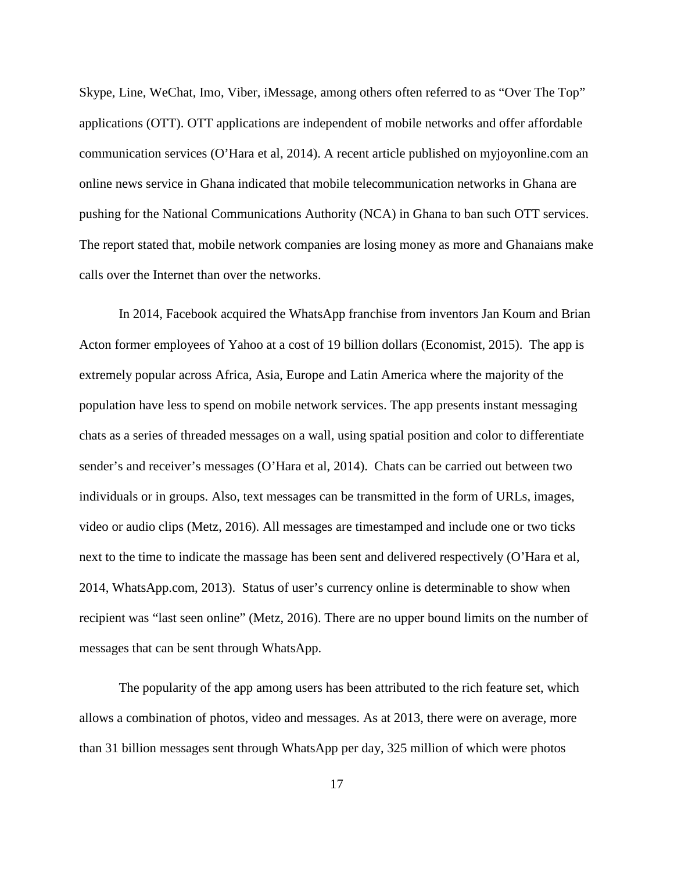Skype, Line, WeChat, Imo, Viber, iMessage, among others often referred to as "Over The Top" applications (OTT). OTT applications are independent of mobile networks and offer affordable communication services (O'Hara et al, 2014). A recent article published on myjoyonline.com an online news service in Ghana indicated that mobile telecommunication networks in Ghana are pushing for the National Communications Authority (NCA) in Ghana to ban such OTT services. The report stated that, mobile network companies are losing money as more and Ghanaians make calls over the Internet than over the networks.

In 2014, Facebook acquired the WhatsApp franchise from inventors Jan Koum and Brian Acton former employees of Yahoo at a cost of 19 billion dollars (Economist, 2015). The app is extremely popular across Africa, Asia, Europe and Latin America where the majority of the population have less to spend on mobile network services. The app presents instant messaging chats as a series of threaded messages on a wall, using spatial position and color to differentiate sender's and receiver's messages (O'Hara et al, 2014). Chats can be carried out between two individuals or in groups. Also, text messages can be transmitted in the form of URLs, images, video or audio clips (Metz, 2016). All messages are timestamped and include one or two ticks next to the time to indicate the massage has been sent and delivered respectively (O'Hara et al, 2014, WhatsApp.com, 2013). Status of user's currency online is determinable to show when recipient was "last seen online" (Metz, 2016). There are no upper bound limits on the number of messages that can be sent through WhatsApp.

The popularity of the app among users has been attributed to the rich feature set, which allows a combination of photos, video and messages. As at 2013, there were on average, more than 31 billion messages sent through WhatsApp per day, 325 million of which were photos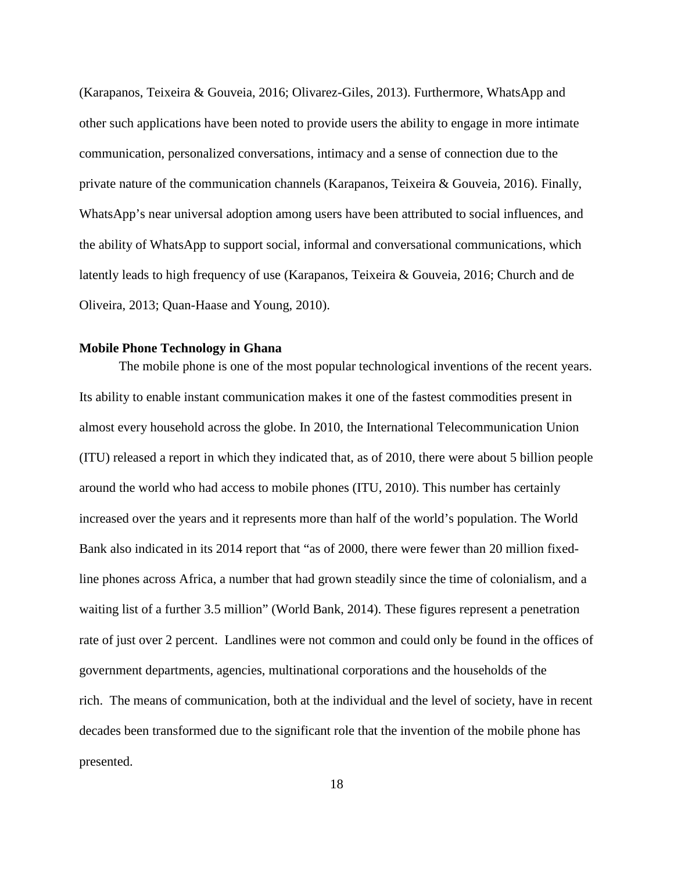(Karapanos, Teixeira & Gouveia, 2016; Olivarez-Giles, 2013). Furthermore, WhatsApp and other such applications have been noted to provide users the ability to engage in more intimate communication, personalized conversations, intimacy and a sense of connection due to the private nature of the communication channels (Karapanos, Teixeira & Gouveia, 2016). Finally, WhatsApp's near universal adoption among users have been attributed to social influences, and the ability of WhatsApp to support social, informal and conversational communications, which latently leads to high frequency of use (Karapanos, Teixeira & Gouveia, 2016; Church and de Oliveira, 2013; Quan-Haase and Young, 2010).

#### <span id="page-27-0"></span>**Mobile Phone Technology in Ghana**

The mobile phone is one of the most popular technological inventions of the recent years. Its ability to enable instant communication makes it one of the fastest commodities present in almost every household across the globe. In 2010, the International Telecommunication Union (ITU) released a report in which they indicated that, as of 2010, there were about 5 billion people around the world who had access to mobile phones (ITU, 2010). This number has certainly increased over the years and it represents more than half of the world's population. The World Bank also indicated in its 2014 report that "as of 2000, there were fewer than 20 million fixedline phones across Africa, a number that had grown steadily since the time of colonialism, and a waiting list of a further 3.5 million" (World Bank, 2014). These figures represent a penetration rate of just over 2 percent. Landlines were not common and could only be found in the offices of government departments, agencies, multinational corporations and the households of the rich. The means of communication, both at the individual and the level of society, have in recent decades been transformed due to the significant role that the invention of the mobile phone has presented.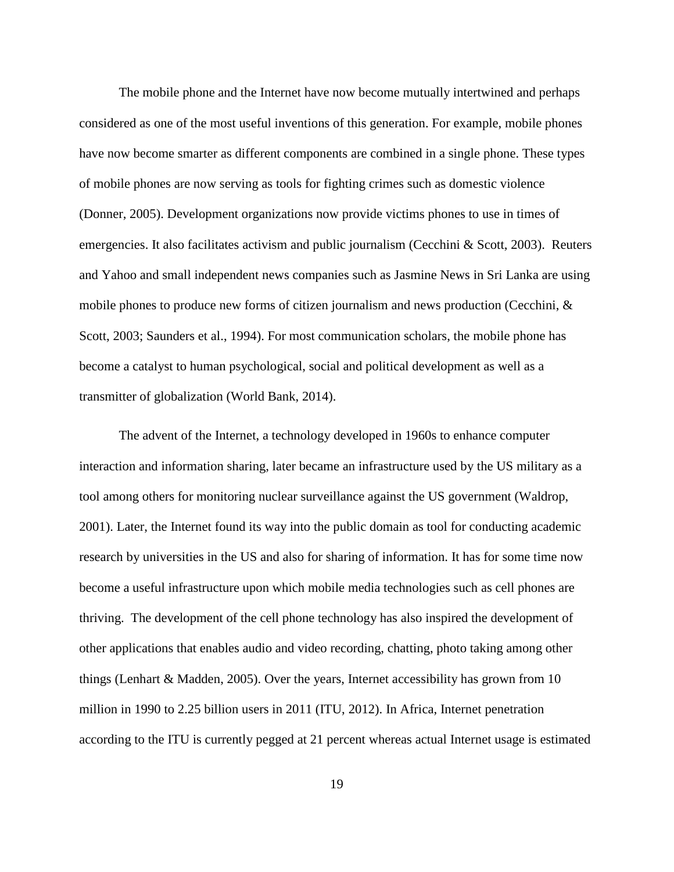The mobile phone and the Internet have now become mutually intertwined and perhaps considered as one of the most useful inventions of this generation. For example, mobile phones have now become smarter as different components are combined in a single phone. These types of mobile phones are now serving as tools for fighting crimes such as domestic violence (Donner, 2005). Development organizations now provide victims phones to use in times of emergencies. It also facilitates activism and public journalism (Cecchini & Scott, 2003). Reuters and Yahoo and small independent news companies such as Jasmine News in Sri Lanka are using mobile phones to produce new forms of citizen journalism and news production (Cecchini, & Scott, 2003; Saunders et al., 1994). For most communication scholars, the mobile phone has become a catalyst to human psychological, social and political development as well as a transmitter of globalization (World Bank, 2014).

The advent of the Internet, a technology developed in 1960s to enhance computer interaction and information sharing, later became an infrastructure used by the US military as a tool among others for monitoring nuclear surveillance against the US government (Waldrop, 2001). Later, the Internet found its way into the public domain as tool for conducting academic research by universities in the US and also for sharing of information. It has for some time now become a useful infrastructure upon which mobile media technologies such as cell phones are thriving. The development of the cell phone technology has also inspired the development of other applications that enables audio and video recording, chatting, photo taking among other things (Lenhart & Madden, 2005). Over the years, Internet accessibility has grown from 10 million in 1990 to 2.25 billion users in 2011 (ITU, 2012). In Africa, Internet penetration according to the ITU is currently pegged at 21 percent whereas actual Internet usage is estimated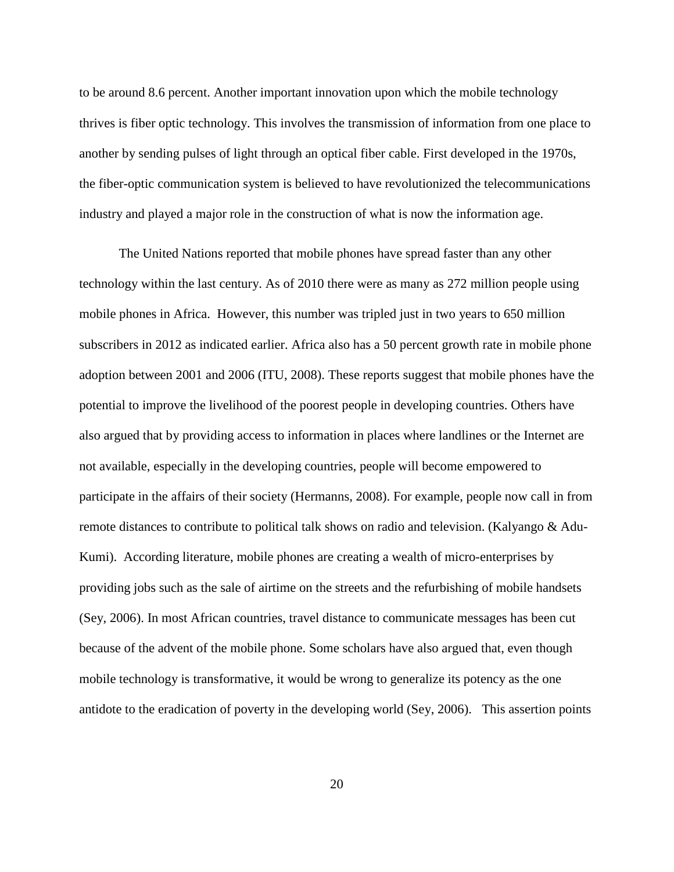to be around 8.6 percent. Another important innovation upon which the mobile technology thrives is fiber optic technology. This involves the transmission of information from one place to another by sending pulses of light through an optical fiber cable. First developed in the 1970s, the fiber-optic communication system is believed to have revolutionized the telecommunications industry and played a major role in the construction of what is now the information age.

The United Nations reported that mobile phones have spread faster than any other technology within the last century. As of 2010 there were as many as 272 million people using mobile phones in Africa. However, this number was tripled just in two years to 650 million subscribers in 2012 as indicated earlier. Africa also has a 50 percent growth rate in mobile phone adoption between 2001 and 2006 (ITU, 2008). These reports suggest that mobile phones have the potential to improve the livelihood of the poorest people in developing countries. Others have also argued that by providing access to information in places where landlines or the Internet are not available, especially in the developing countries, people will become empowered to participate in the affairs of their society (Hermanns, 2008). For example, people now call in from remote distances to contribute to political talk shows on radio and television. (Kalyango & Adu-Kumi). According literature, mobile phones are creating a wealth of micro-enterprises by providing jobs such as the sale of airtime on the streets and the refurbishing of mobile handsets (Sey, 2006). In most African countries, travel distance to communicate messages has been cut because of the advent of the mobile phone. Some scholars have also argued that, even though mobile technology is transformative, it would be wrong to generalize its potency as the one antidote to the eradication of poverty in the developing world (Sey, 2006). This assertion points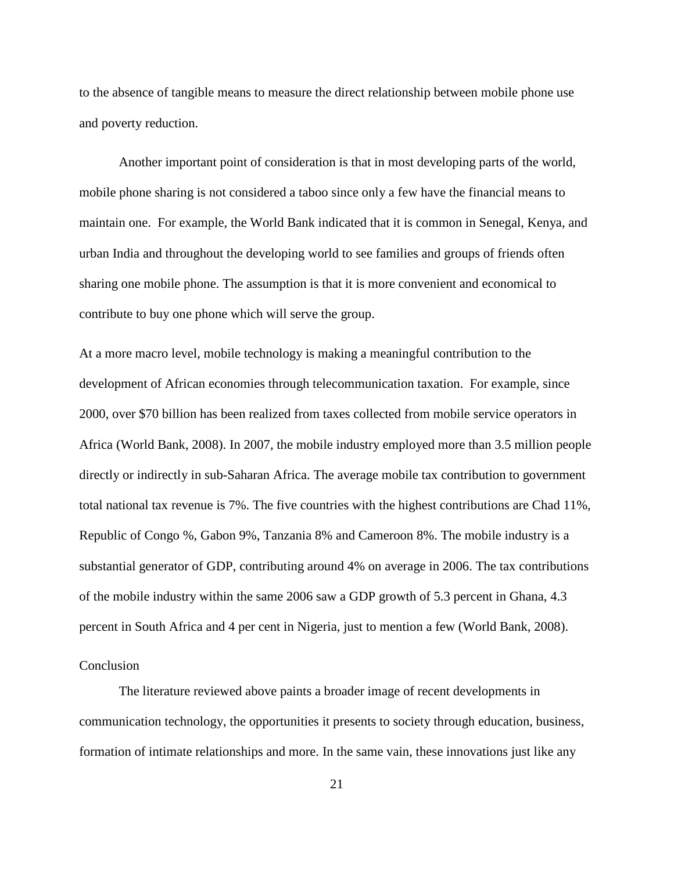to the absence of tangible means to measure the direct relationship between mobile phone use and poverty reduction.

Another important point of consideration is that in most developing parts of the world, mobile phone sharing is not considered a taboo since only a few have the financial means to maintain one. For example, the World Bank indicated that it is common in Senegal, Kenya, and urban India and throughout the developing world to see families and groups of friends often sharing one mobile phone. The assumption is that it is more convenient and economical to contribute to buy one phone which will serve the group.

At a more macro level, mobile technology is making a meaningful contribution to the development of African economies through telecommunication taxation. For example, since 2000, over \$70 billion has been realized from taxes collected from mobile service operators in Africa (World Bank, 2008). In 2007, the mobile industry employed more than 3.5 million people directly or indirectly in sub-Saharan Africa. The average mobile tax contribution to government total national tax revenue is 7%. The five countries with the highest contributions are Chad 11%, Republic of Congo %, Gabon 9%, Tanzania 8% and Cameroon 8%. The mobile industry is a substantial generator of GDP, contributing around 4% on average in 2006. The tax contributions of the mobile industry within the same 2006 saw a GDP growth of 5.3 percent in Ghana, 4.3 percent in South Africa and 4 per cent in Nigeria, just to mention a few (World Bank, 2008).

#### **Conclusion**

The literature reviewed above paints a broader image of recent developments in communication technology, the opportunities it presents to society through education, business, formation of intimate relationships and more. In the same vain, these innovations just like any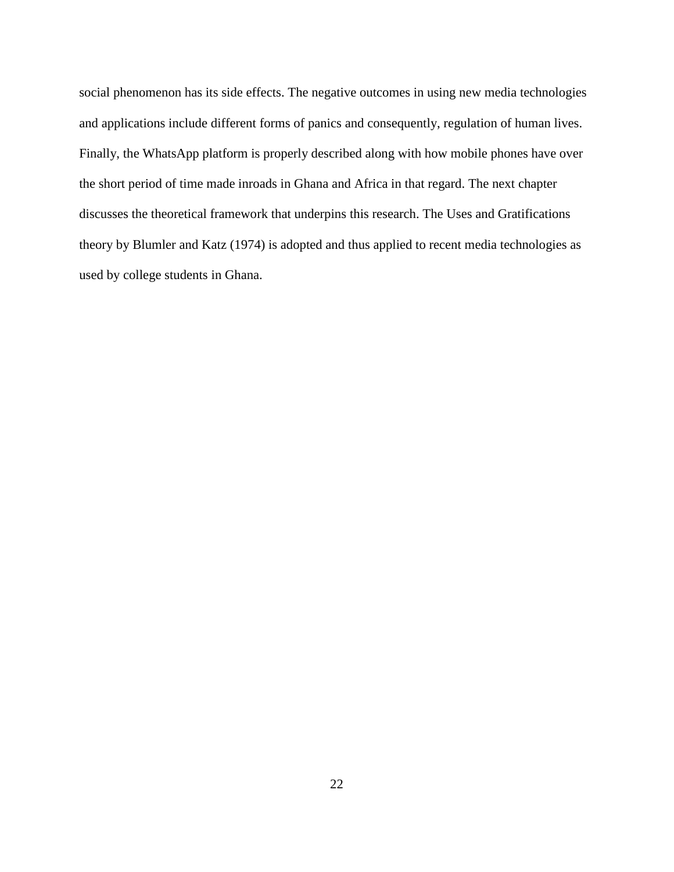social phenomenon has its side effects. The negative outcomes in using new media technologies and applications include different forms of panics and consequently, regulation of human lives. Finally, the WhatsApp platform is properly described along with how mobile phones have over the short period of time made inroads in Ghana and Africa in that regard. The next chapter discusses the theoretical framework that underpins this research. The Uses and Gratifications theory by Blumler and Katz (1974) is adopted and thus applied to recent media technologies as used by college students in Ghana.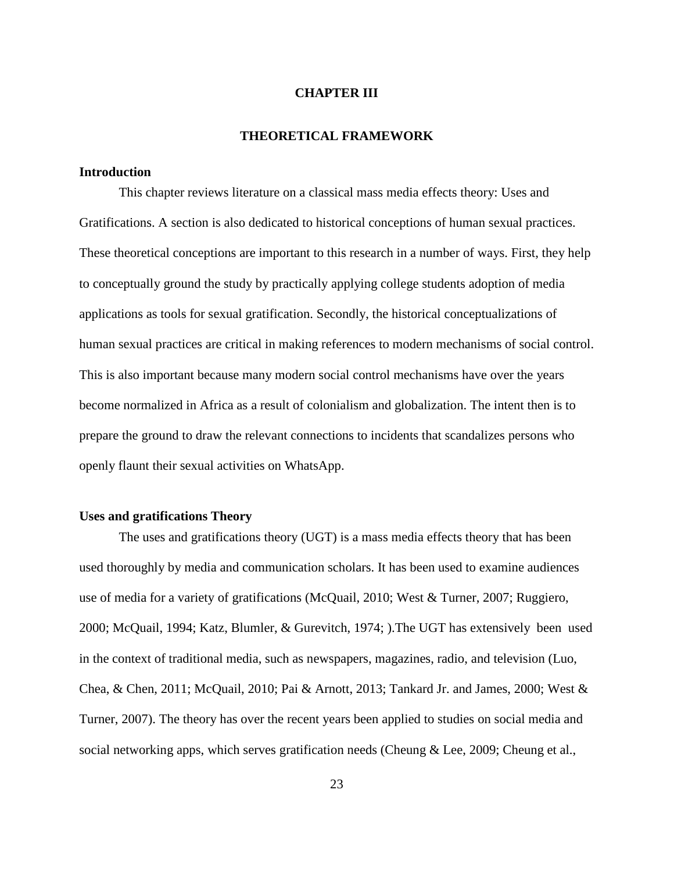#### **CHAPTER III**

#### **THEORETICAL FRAMEWORK**

#### <span id="page-32-1"></span><span id="page-32-0"></span>**Introduction**

This chapter reviews literature on a classical mass media effects theory: Uses and Gratifications. A section is also dedicated to historical conceptions of human sexual practices. These theoretical conceptions are important to this research in a number of ways. First, they help to conceptually ground the study by practically applying college students adoption of media applications as tools for sexual gratification. Secondly, the historical conceptualizations of human sexual practices are critical in making references to modern mechanisms of social control. This is also important because many modern social control mechanisms have over the years become normalized in Africa as a result of colonialism and globalization. The intent then is to prepare the ground to draw the relevant connections to incidents that scandalizes persons who openly flaunt their sexual activities on WhatsApp.

#### <span id="page-32-2"></span>**Uses and gratifications Theory**

The uses and gratifications theory (UGT) is a mass media effects theory that has been used thoroughly by media and communication scholars. It has been used to examine audiences use of media for a variety of gratifications (McQuail, 2010; West & Turner, 2007; Ruggiero, 2000; McQuail, 1994; Katz, Blumler, & Gurevitch, 1974; ).The UGT has extensively been used in the context of traditional media, such as newspapers, magazines, radio, and television (Luo, Chea, & Chen, 2011; McQuail, 2010; Pai & Arnott, 2013; Tankard Jr. and James, 2000; West & Turner, 2007). The theory has over the recent years been applied to studies on social media and social networking apps, which serves gratification needs (Cheung & Lee, 2009; Cheung et al.,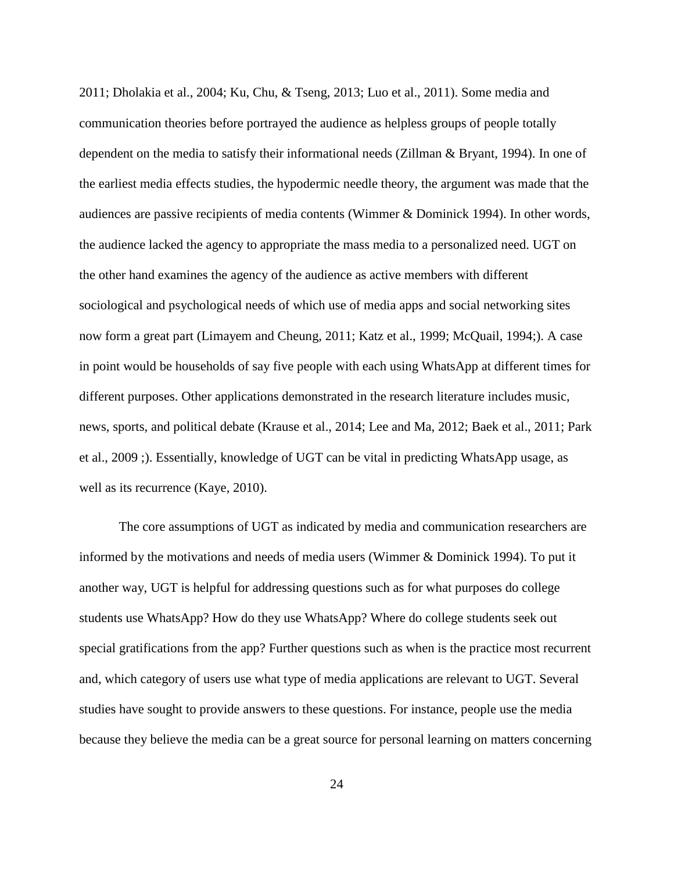2011; Dholakia et al., 2004; Ku, Chu, & Tseng, 2013; Luo et al., 2011). Some media and communication theories before portrayed the audience as helpless groups of people totally dependent on the media to satisfy their informational needs (Zillman & Bryant, 1994). In one of the earliest media effects studies, the hypodermic needle theory, the argument was made that the audiences are passive recipients of media contents (Wimmer & Dominick 1994). In other words, the audience lacked the agency to appropriate the mass media to a personalized need. UGT on the other hand examines the agency of the audience as active members with different sociological and psychological needs of which use of media apps and social networking sites now form a great part (Limayem and Cheung, 2011; Katz et al., 1999; McQuail, 1994;). A case in point would be households of say five people with each using WhatsApp at different times for different purposes. Other applications demonstrated in the research literature includes music, news, sports, and political debate (Krause et al., 2014; Lee and Ma, 2012; Baek et al., 2011; Park et al., 2009 ;). Essentially, knowledge of UGT can be vital in predicting WhatsApp usage, as well as its recurrence (Kaye, 2010).

The core assumptions of UGT as indicated by media and communication researchers are informed by the motivations and needs of media users (Wimmer & Dominick 1994). To put it another way, UGT is helpful for addressing questions such as for what purposes do college students use WhatsApp? How do they use WhatsApp? Where do college students seek out special gratifications from the app? Further questions such as when is the practice most recurrent and, which category of users use what type of media applications are relevant to UGT. Several studies have sought to provide answers to these questions. For instance, people use the media because they believe the media can be a great source for personal learning on matters concerning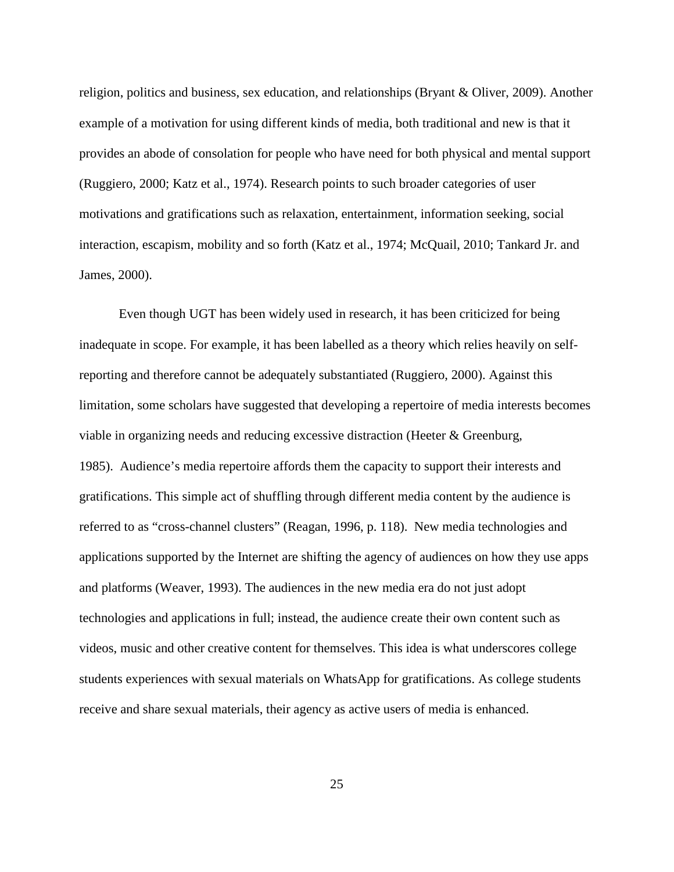religion, politics and business, sex education, and relationships (Bryant & Oliver, 2009). Another example of a motivation for using different kinds of media, both traditional and new is that it provides an abode of consolation for people who have need for both physical and mental support (Ruggiero, 2000; Katz et al., 1974). Research points to such broader categories of user motivations and gratifications such as relaxation, entertainment, information seeking, social interaction, escapism, mobility and so forth (Katz et al., 1974; McQuail, 2010; Tankard Jr. and James, 2000).

Even though UGT has been widely used in research, it has been criticized for being inadequate in scope. For example, it has been labelled as a theory which relies heavily on selfreporting and therefore cannot be adequately substantiated (Ruggiero, 2000). Against this limitation, some scholars have suggested that developing a repertoire of media interests becomes viable in organizing needs and reducing excessive distraction (Heeter & Greenburg, 1985). Audience's media repertoire affords them the capacity to support their interests and gratifications. This simple act of shuffling through different media content by the audience is referred to as "cross-channel clusters" (Reagan, 1996, p. 118). New media technologies and applications supported by the Internet are shifting the agency of audiences on how they use apps and platforms (Weaver, 1993). The audiences in the new media era do not just adopt technologies and applications in full; instead, the audience create their own content such as videos, music and other creative content for themselves. This idea is what underscores college students experiences with sexual materials on WhatsApp for gratifications. As college students receive and share sexual materials, their agency as active users of media is enhanced.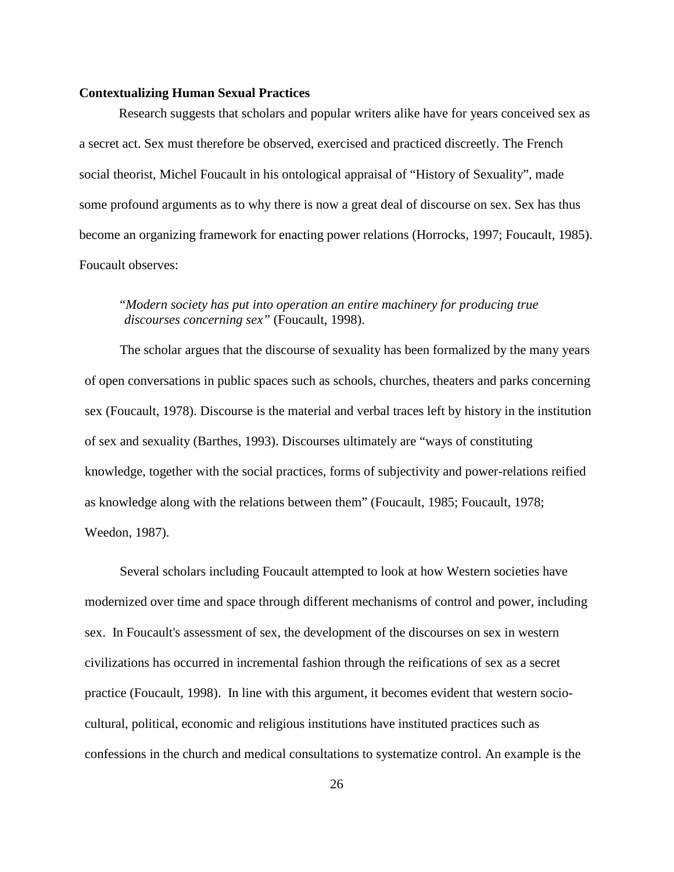#### <span id="page-35-0"></span>**Contextualizing Human Sexual Practices**

Research suggests that scholars and popular writers alike have for years conceived sex as a secret act. Sex must therefore be observed, exercised and practiced discreetly. The French social theorist, Michel Foucault in his ontological appraisal of "History of Sexuality", made some profound arguments as to why there is now a great deal of discourse on sex. Sex has thus become an organizing framework for enacting power relations (Horrocks, 1997; Foucault, 1985). Foucault observes:

### "*Modern society has put into operation an entire machinery for producing true discourses concerning sex"* (Foucault, 1998).

The scholar argues that the discourse of sexuality has been formalized by the many years of open conversations in public spaces such as schools, churches, theaters and parks concerning sex (Foucault, 1978). Discourse is the material and verbal traces left by history in the institution of sex and sexuality (Barthes, 1993). Discourses ultimately are "ways of constituting knowledge, together with the social practices, forms of subjectivity and power-relations reified as knowledge along with the relations between them" (Foucault, 1985; Foucault, 1978; Weedon, 1987).

Several scholars including Foucault attempted to look at how Western societies have modernized over time and space through different mechanisms of control and power, including sex. In Foucault's assessment of sex, the development of the discourses on sex in western civilizations has occurred in incremental fashion through the reifications of sex as a secret practice (Foucault, 1998). In line with this argument, it becomes evident that western sociocultural, political, economic and religious institutions have instituted practices such as confessions in the church and medical consultations to systematize control. An example is the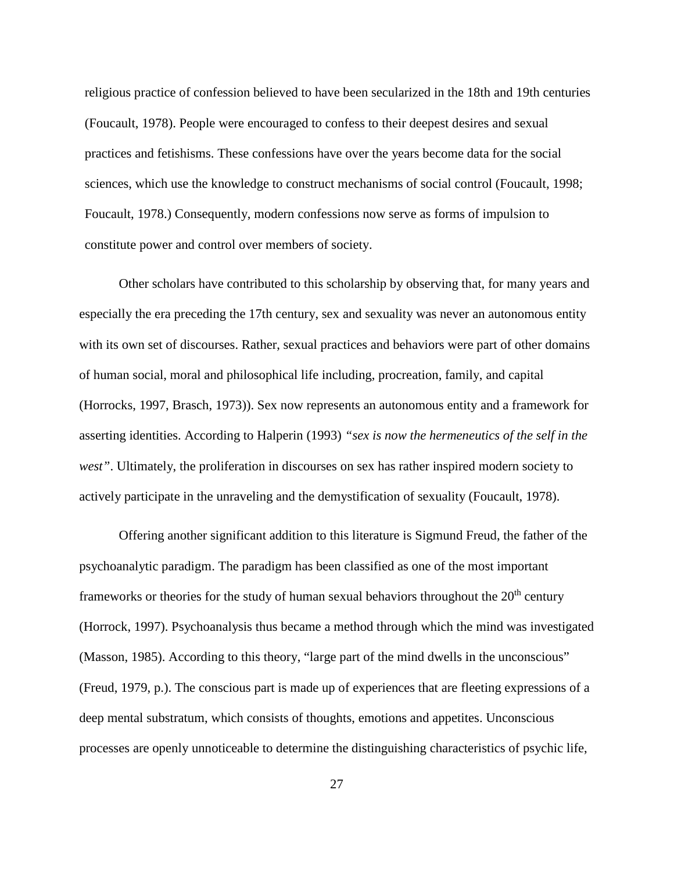religious practice of confession believed to have been secularized in the 18th and 19th centuries (Foucault, 1978). People were encouraged to confess to their deepest desires and sexual practices and fetishisms. These confessions have over the years become data for the social sciences, which use the knowledge to construct mechanisms of social control (Foucault, 1998; Foucault, 1978.) Consequently, modern confessions now serve as forms of impulsion to constitute power and control over members of society.

Other scholars have contributed to this scholarship by observing that, for many years and especially the era preceding the 17th century, sex and sexuality was never an autonomous entity with its own set of discourses. Rather, sexual practices and behaviors were part of other domains of human social, moral and philosophical life including, procreation, family, and capital (Horrocks, 1997, Brasch, 1973)). Sex now represents an autonomous entity and a framework for asserting identities. According to Halperin (1993) *"sex is now the hermeneutics of the self in the west"*. Ultimately, the proliferation in discourses on sex has rather inspired modern society to actively participate in the unraveling and the demystification of sexuality (Foucault, 1978).

Offering another significant addition to this literature is Sigmund Freud, the father of the psychoanalytic paradigm. The paradigm has been classified as one of the most important frameworks or theories for the study of human sexual behaviors throughout the  $20<sup>th</sup>$  century (Horrock, 1997). Psychoanalysis thus became a method through which the mind was investigated (Masson, 1985). According to this theory, "large part of the mind dwells in the unconscious" (Freud, 1979, p.). The conscious part is made up of experiences that are fleeting expressions of a deep mental substratum, which consists of thoughts, emotions and appetites. Unconscious processes are openly unnoticeable to determine the distinguishing characteristics of psychic life,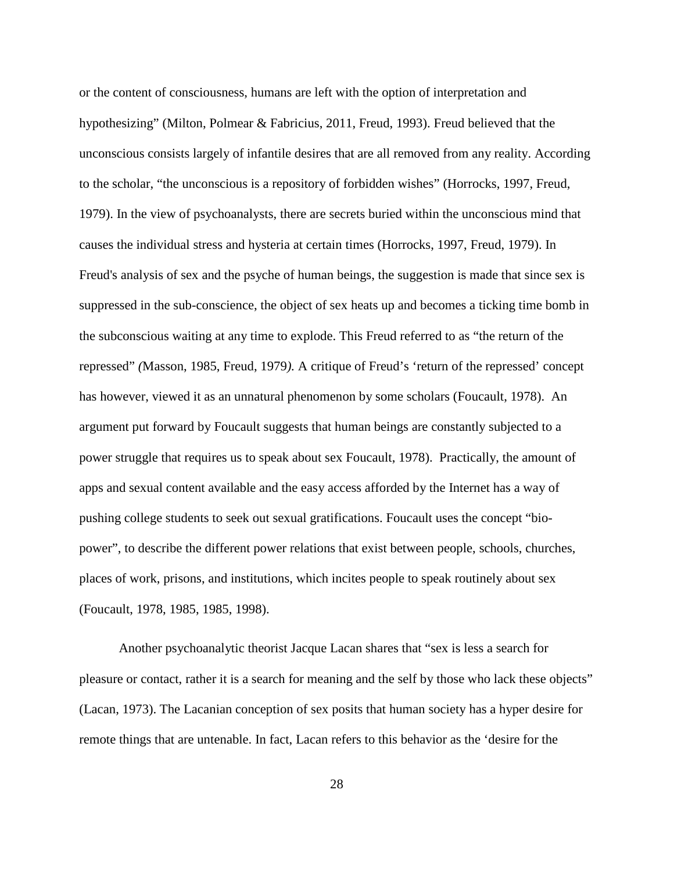or the content of consciousness, humans are left with the option of interpretation and hypothesizing" (Milton, Polmear & Fabricius, 2011, Freud, 1993). Freud believed that the unconscious consists largely of infantile desires that are all removed from any reality. According to the scholar, "the unconscious is a repository of forbidden wishes" (Horrocks, 1997, Freud, 1979). In the view of psychoanalysts, there are secrets buried within the unconscious mind that causes the individual stress and hysteria at certain times (Horrocks, 1997, Freud, 1979). In Freud's analysis of sex and the psyche of human beings, the suggestion is made that since sex is suppressed in the sub-conscience, the object of sex heats up and becomes a ticking time bomb in the subconscious waiting at any time to explode. This Freud referred to as "the return of the repressed" *(*Masson, 1985, Freud, 1979*).* A critique of Freud's 'return of the repressed' concept has however, viewed it as an unnatural phenomenon by some scholars (Foucault, 1978). An argument put forward by Foucault suggests that human beings are constantly subjected to a power struggle that requires us to speak about sex Foucault, 1978). Practically, the amount of apps and sexual content available and the easy access afforded by the Internet has a way of pushing college students to seek out sexual gratifications. Foucault uses the concept "biopower", to describe the different power relations that exist between people, schools, churches, places of work, prisons, and institutions, which incites people to speak routinely about sex (Foucault, 1978, 1985, 1985, 1998).

Another psychoanalytic theorist Jacque Lacan shares that "sex is less a search for pleasure or contact, rather it is a search for meaning and the self by those who lack these objects" (Lacan, 1973). The Lacanian conception of sex posits that human society has a hyper desire for remote things that are untenable. In fact, Lacan refers to this behavior as the 'desire for the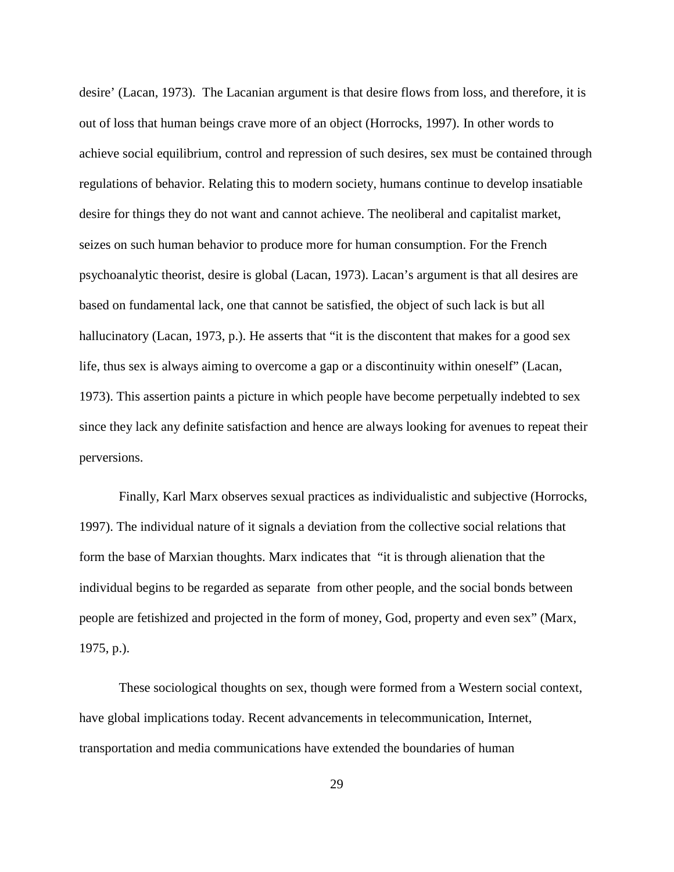desire' (Lacan, 1973). The Lacanian argument is that desire flows from loss, and therefore, it is out of loss that human beings crave more of an object (Horrocks, 1997). In other words to achieve social equilibrium, control and repression of such desires, sex must be contained through regulations of behavior. Relating this to modern society, humans continue to develop insatiable desire for things they do not want and cannot achieve. The neoliberal and capitalist market, seizes on such human behavior to produce more for human consumption. For the French psychoanalytic theorist, desire is global (Lacan, 1973). Lacan's argument is that all desires are based on fundamental lack, one that cannot be satisfied, the object of such lack is but all hallucinatory (Lacan, 1973, p.). He asserts that "it is the discontent that makes for a good sex life, thus sex is always aiming to overcome a gap or a discontinuity within oneself" (Lacan, 1973). This assertion paints a picture in which people have become perpetually indebted to sex since they lack any definite satisfaction and hence are always looking for avenues to repeat their perversions.

Finally, Karl Marx observes sexual practices as individualistic and subjective (Horrocks, 1997). The individual nature of it signals a deviation from the collective social relations that form the base of Marxian thoughts. Marx indicates that "it is through alienation that the individual begins to be regarded as separate from other people, and the social bonds between people are fetishized and projected in the form of money, God, property and even sex" (Marx, 1975, p.).

These sociological thoughts on sex, though were formed from a Western social context, have global implications today. Recent advancements in telecommunication, Internet, transportation and media communications have extended the boundaries of human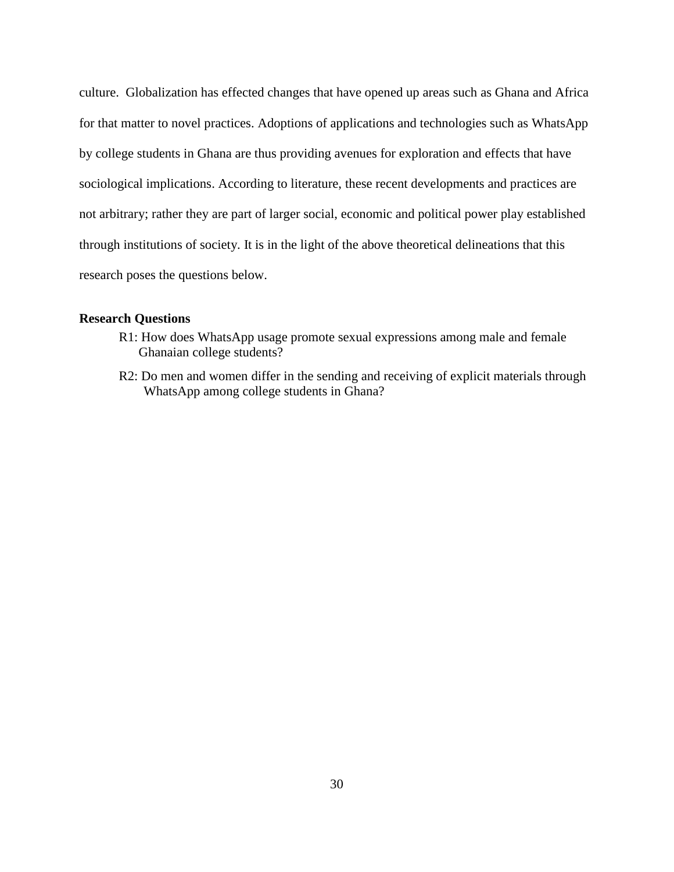culture. Globalization has effected changes that have opened up areas such as Ghana and Africa for that matter to novel practices. Adoptions of applications and technologies such as WhatsApp by college students in Ghana are thus providing avenues for exploration and effects that have sociological implications. According to literature, these recent developments and practices are not arbitrary; rather they are part of larger social, economic and political power play established through institutions of society. It is in the light of the above theoretical delineations that this research poses the questions below.

#### **Research Questions**

- R1: How does WhatsApp usage promote sexual expressions among male and female Ghanaian college students?
- R2: Do men and women differ in the sending and receiving of explicit materials through WhatsApp among college students in Ghana?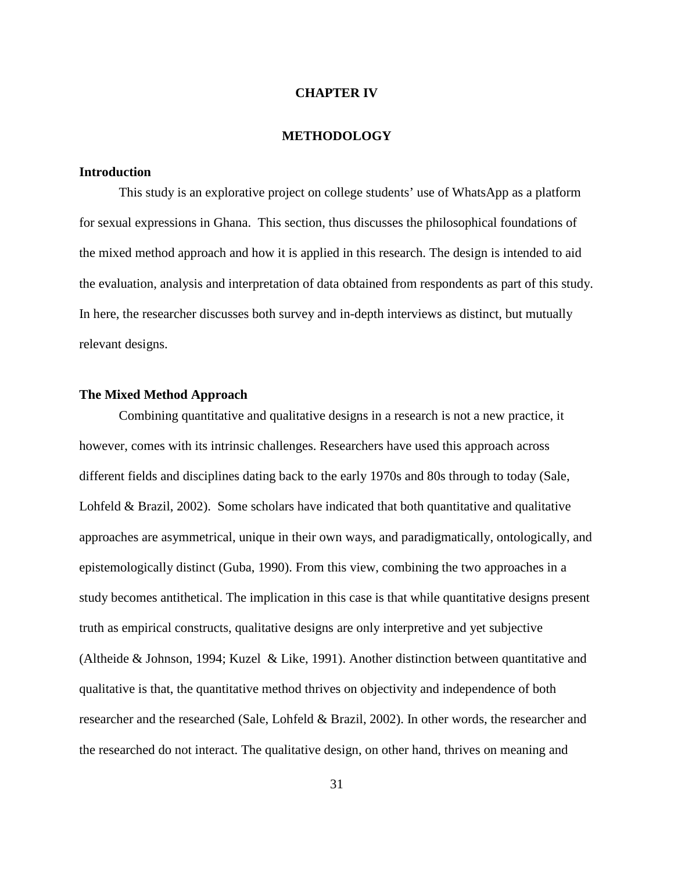#### **CHAPTER IV**

### **METHODOLOGY**

## **Introduction**

This study is an explorative project on college students' use of WhatsApp as a platform for sexual expressions in Ghana. This section, thus discusses the philosophical foundations of the mixed method approach and how it is applied in this research. The design is intended to aid the evaluation, analysis and interpretation of data obtained from respondents as part of this study. In here, the researcher discusses both survey and in-depth interviews as distinct, but mutually relevant designs.

### **The Mixed Method Approach**

Combining quantitative and qualitative designs in a research is not a new practice, it however, comes with its intrinsic challenges. Researchers have used this approach across different fields and disciplines dating back to the early 1970s and 80s through to today (Sale, Lohfeld & Brazil, 2002). Some scholars have indicated that both quantitative and qualitative approaches are asymmetrical, unique in their own ways, and paradigmatically, ontologically, and epistemologically distinct (Guba, 1990). From this view, combining the two approaches in a study becomes antithetical. The implication in this case is that while quantitative designs present truth as empirical constructs, qualitative designs are only interpretive and yet subjective (Altheide & Johnson, 1994; Kuzel & Like, 1991). Another distinction between quantitative and qualitative is that, the quantitative method thrives on objectivity and independence of both researcher and the researched (Sale, Lohfeld & Brazil, 2002). In other words, the researcher and the researched do not interact. The qualitative design, on other hand, thrives on meaning and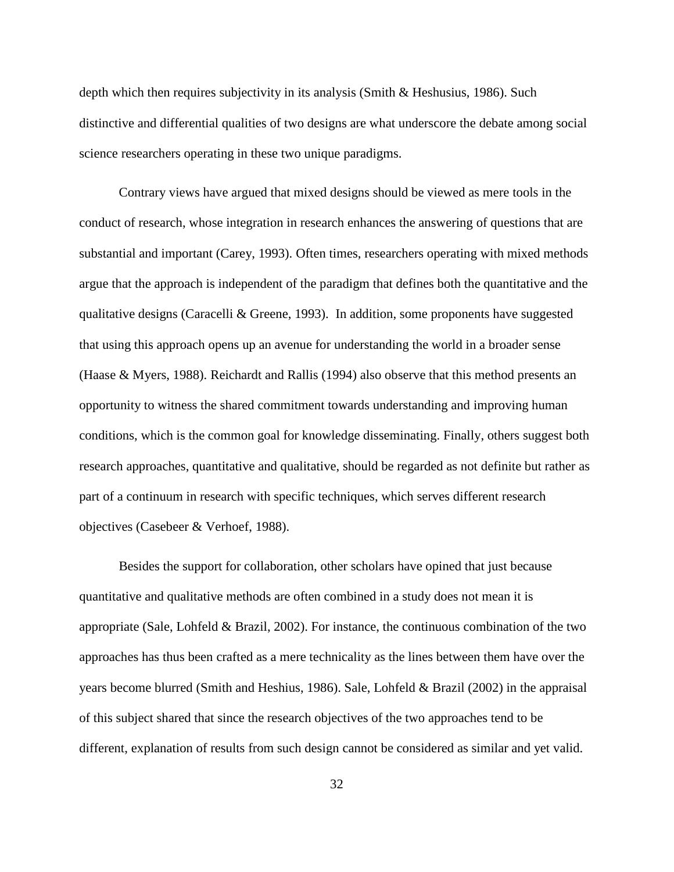depth which then requires subjectivity in its analysis (Smith & Heshusius, 1986). Such distinctive and differential qualities of two designs are what underscore the debate among social science researchers operating in these two unique paradigms.

Contrary views have argued that mixed designs should be viewed as mere tools in the conduct of research, whose integration in research enhances the answering of questions that are substantial and important (Carey, 1993). Often times, researchers operating with mixed methods argue that the approach is independent of the paradigm that defines both the quantitative and the qualitative designs (Caracelli & Greene, 1993). In addition, some proponents have suggested that using this approach opens up an avenue for understanding the world in a broader sense (Haase & Myers, 1988). Reichardt and Rallis (1994) also observe that this method presents an opportunity to witness the shared commitment towards understanding and improving human conditions, which is the common goal for knowledge disseminating. Finally, others suggest both research approaches, quantitative and qualitative, should be regarded as not definite but rather as part of a continuum in research with specific techniques, which serves different research objectives (Casebeer & Verhoef, 1988).

Besides the support for collaboration, other scholars have opined that just because quantitative and qualitative methods are often combined in a study does not mean it is appropriate (Sale, Lohfeld & Brazil, 2002). For instance, the continuous combination of the two approaches has thus been crafted as a mere technicality as the lines between them have over the years become blurred (Smith and Heshius, 1986). Sale, Lohfeld & Brazil (2002) in the appraisal of this subject shared that since the research objectives of the two approaches tend to be different, explanation of results from such design cannot be considered as similar and yet valid.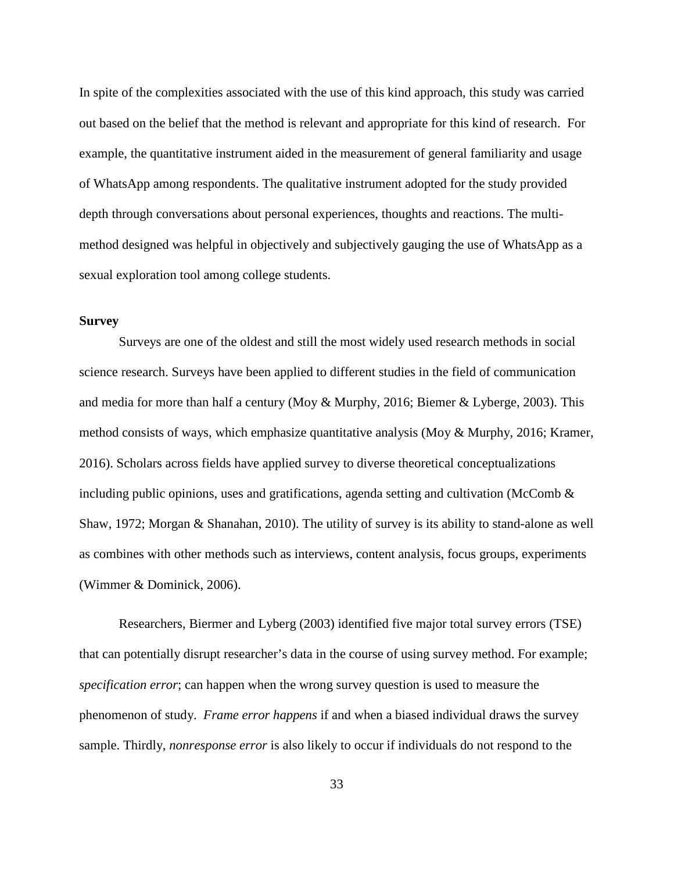In spite of the complexities associated with the use of this kind approach, this study was carried out based on the belief that the method is relevant and appropriate for this kind of research. For example, the quantitative instrument aided in the measurement of general familiarity and usage of WhatsApp among respondents. The qualitative instrument adopted for the study provided depth through conversations about personal experiences, thoughts and reactions. The multimethod designed was helpful in objectively and subjectively gauging the use of WhatsApp as a sexual exploration tool among college students.

## **Survey**

Surveys are one of the oldest and still the most widely used research methods in social science research. Surveys have been applied to different studies in the field of communication and media for more than half a century (Moy & Murphy, 2016; Biemer & Lyberge, 2003). This method consists of ways, which emphasize quantitative analysis (Moy & Murphy, 2016; Kramer, 2016). Scholars across fields have applied survey to diverse theoretical conceptualizations including public opinions, uses and gratifications, agenda setting and cultivation (McComb  $\&$ Shaw, 1972; Morgan & Shanahan, 2010). The utility of survey is its ability to stand-alone as well as combines with other methods such as interviews, content analysis, focus groups, experiments (Wimmer & Dominick, 2006).

Researchers, Biermer and Lyberg (2003) identified five major total survey errors (TSE) that can potentially disrupt researcher's data in the course of using survey method. For example; *specification error*; can happen when the wrong survey question is used to measure the phenomenon of study. *Frame error happens* if and when a biased individual draws the survey sample. Thirdly*, nonresponse error* is also likely to occur if individuals do not respond to the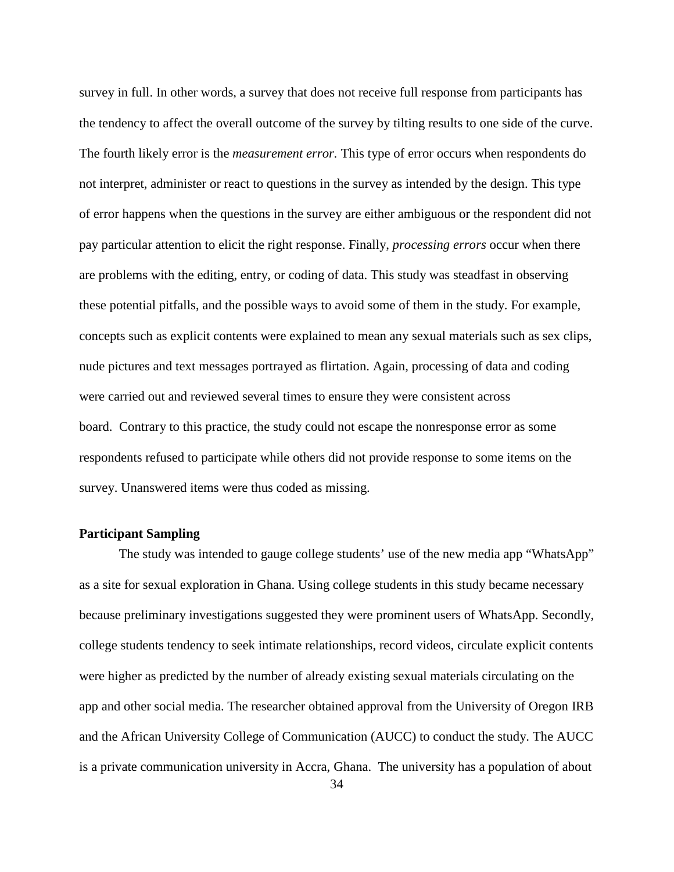survey in full. In other words, a survey that does not receive full response from participants has the tendency to affect the overall outcome of the survey by tilting results to one side of the curve. The fourth likely error is the *measurement error.* This type of error occurs when respondents do not interpret, administer or react to questions in the survey as intended by the design. This type of error happens when the questions in the survey are either ambiguous or the respondent did not pay particular attention to elicit the right response. Finally, *processing errors* occur when there are problems with the editing, entry, or coding of data. This study was steadfast in observing these potential pitfalls, and the possible ways to avoid some of them in the study. For example, concepts such as explicit contents were explained to mean any sexual materials such as sex clips, nude pictures and text messages portrayed as flirtation. Again, processing of data and coding were carried out and reviewed several times to ensure they were consistent across board. Contrary to this practice, the study could not escape the nonresponse error as some respondents refused to participate while others did not provide response to some items on the survey. Unanswered items were thus coded as missing.

## **Participant Sampling**

The study was intended to gauge college students' use of the new media app "WhatsApp" as a site for sexual exploration in Ghana. Using college students in this study became necessary because preliminary investigations suggested they were prominent users of WhatsApp. Secondly, college students tendency to seek intimate relationships, record videos, circulate explicit contents were higher as predicted by the number of already existing sexual materials circulating on the app and other social media. The researcher obtained approval from the University of Oregon IRB and the African University College of Communication (AUCC) to conduct the study. The AUCC is a private communication university in Accra, Ghana. The university has a population of about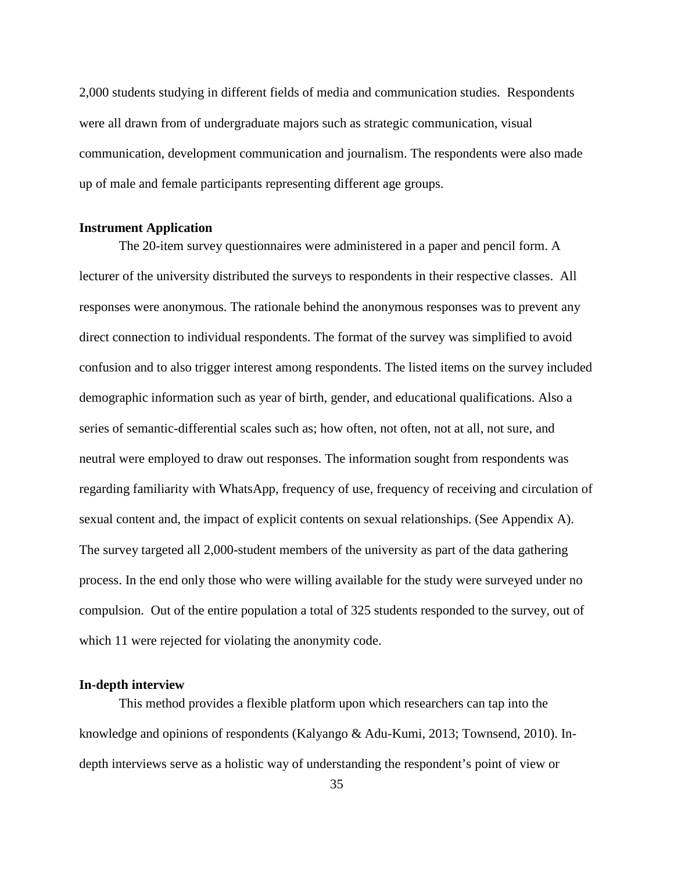2,000 students studying in different fields of media and communication studies. Respondents were all drawn from of undergraduate majors such as strategic communication, visual communication, development communication and journalism. The respondents were also made up of male and female participants representing different age groups.

#### **Instrument Application**

The 20-item survey questionnaires were administered in a paper and pencil form. A lecturer of the university distributed the surveys to respondents in their respective classes. All responses were anonymous. The rationale behind the anonymous responses was to prevent any direct connection to individual respondents. The format of the survey was simplified to avoid confusion and to also trigger interest among respondents. The listed items on the survey included demographic information such as year of birth, gender, and educational qualifications. Also a series of semantic-differential scales such as; how often, not often, not at all, not sure, and neutral were employed to draw out responses. The information sought from respondents was regarding familiarity with WhatsApp, frequency of use, frequency of receiving and circulation of sexual content and, the impact of explicit contents on sexual relationships. (See Appendix A). The survey targeted all 2,000-student members of the university as part of the data gathering process. In the end only those who were willing available for the study were surveyed under no compulsion. Out of the entire population a total of 325 students responded to the survey, out of which 11 were rejected for violating the anonymity code.

## **In-depth interview**

This method provides a flexible platform upon which researchers can tap into the knowledge and opinions of respondents (Kalyango & Adu-Kumi, 2013; Townsend, 2010). Indepth interviews serve as a holistic way of understanding the respondent's point of view or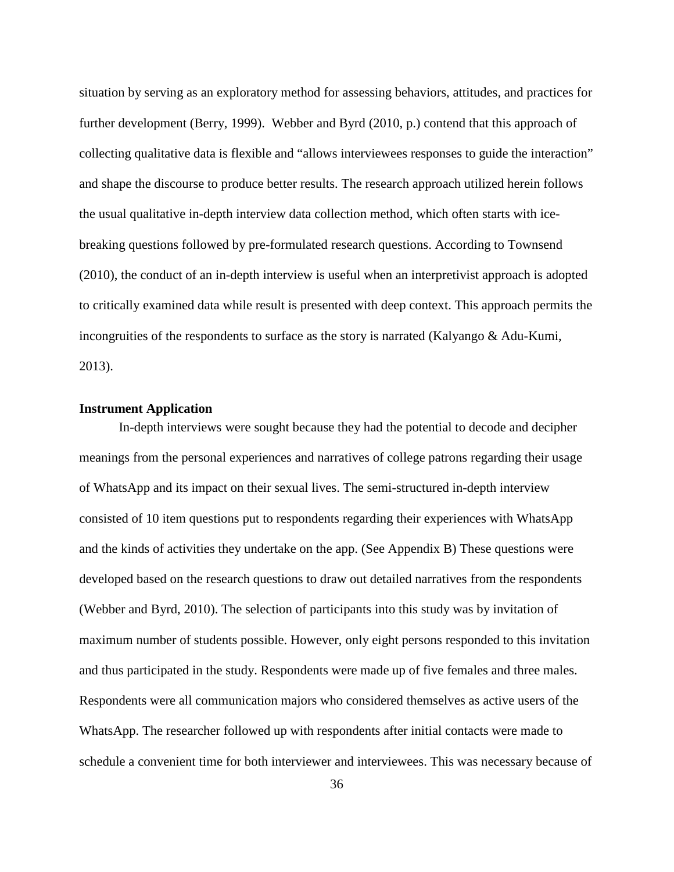situation by serving as an exploratory method for assessing behaviors, attitudes, and practices for further development (Berry, 1999). Webber and Byrd (2010, p.) contend that this approach of collecting qualitative data is flexible and "allows interviewees responses to guide the interaction" and shape the discourse to produce better results. The research approach utilized herein follows the usual qualitative in-depth interview data collection method, which often starts with icebreaking questions followed by pre-formulated research questions. According to Townsend (2010), the conduct of an in-depth interview is useful when an interpretivist approach is adopted to critically examined data while result is presented with deep context. This approach permits the incongruities of the respondents to surface as the story is narrated (Kalyango & Adu-Kumi, 2013).

#### **Instrument Application**

In-depth interviews were sought because they had the potential to decode and decipher meanings from the personal experiences and narratives of college patrons regarding their usage of WhatsApp and its impact on their sexual lives. The semi-structured in-depth interview consisted of 10 item questions put to respondents regarding their experiences with WhatsApp and the kinds of activities they undertake on the app. (See Appendix B) These questions were developed based on the research questions to draw out detailed narratives from the respondents (Webber and Byrd, 2010). The selection of participants into this study was by invitation of maximum number of students possible. However, only eight persons responded to this invitation and thus participated in the study. Respondents were made up of five females and three males. Respondents were all communication majors who considered themselves as active users of the WhatsApp. The researcher followed up with respondents after initial contacts were made to schedule a convenient time for both interviewer and interviewees. This was necessary because of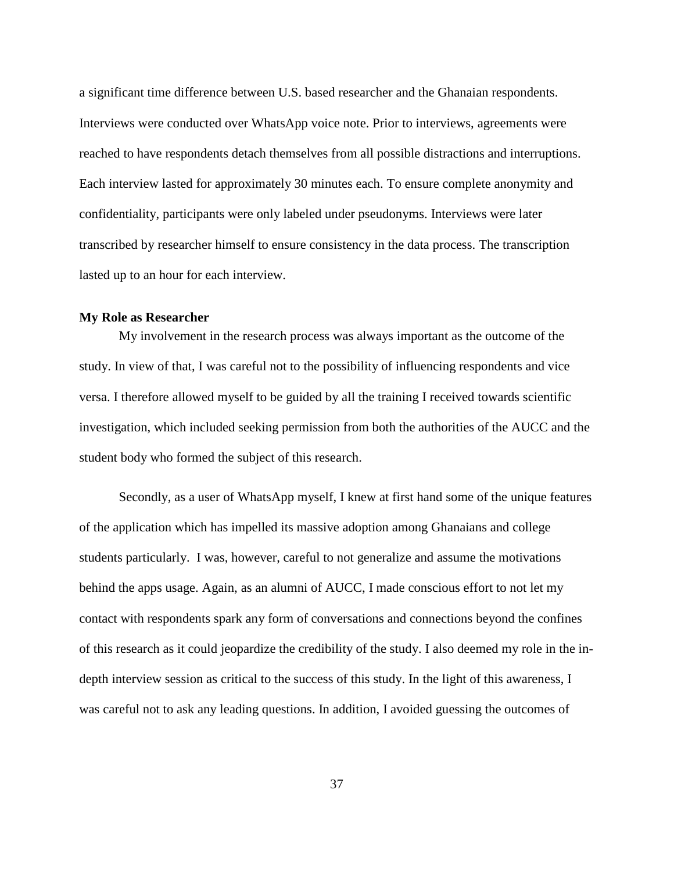a significant time difference between U.S. based researcher and the Ghanaian respondents. Interviews were conducted over WhatsApp voice note. Prior to interviews, agreements were reached to have respondents detach themselves from all possible distractions and interruptions. Each interview lasted for approximately 30 minutes each. To ensure complete anonymity and confidentiality, participants were only labeled under pseudonyms. Interviews were later transcribed by researcher himself to ensure consistency in the data process. The transcription lasted up to an hour for each interview.

#### **My Role as Researcher**

My involvement in the research process was always important as the outcome of the study. In view of that, I was careful not to the possibility of influencing respondents and vice versa. I therefore allowed myself to be guided by all the training I received towards scientific investigation, which included seeking permission from both the authorities of the AUCC and the student body who formed the subject of this research.

Secondly, as a user of WhatsApp myself, I knew at first hand some of the unique features of the application which has impelled its massive adoption among Ghanaians and college students particularly. I was, however, careful to not generalize and assume the motivations behind the apps usage. Again, as an alumni of AUCC, I made conscious effort to not let my contact with respondents spark any form of conversations and connections beyond the confines of this research as it could jeopardize the credibility of the study. I also deemed my role in the indepth interview session as critical to the success of this study. In the light of this awareness, I was careful not to ask any leading questions. In addition, I avoided guessing the outcomes of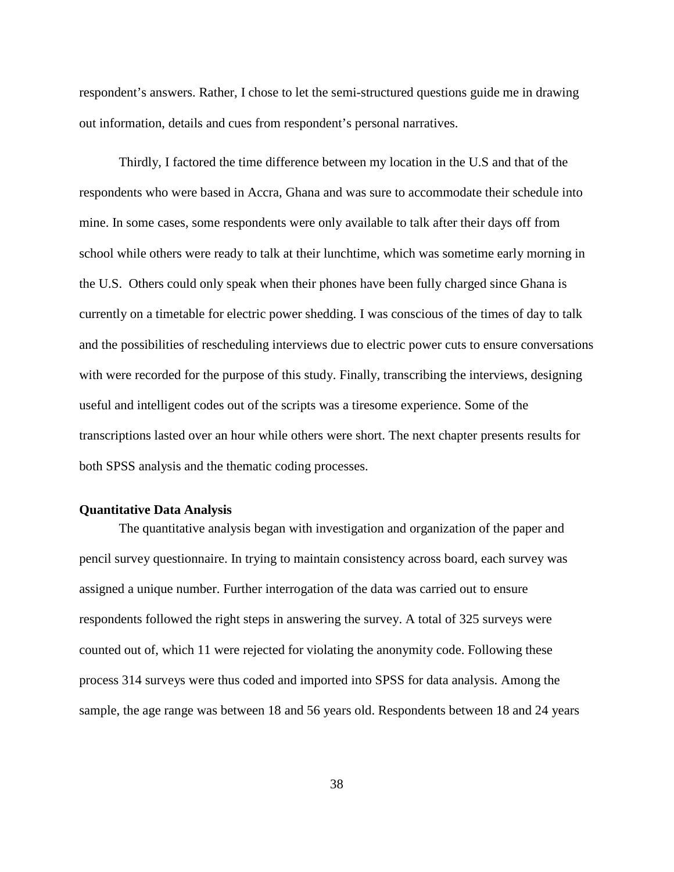respondent's answers. Rather, I chose to let the semi-structured questions guide me in drawing out information, details and cues from respondent's personal narratives.

Thirdly, I factored the time difference between my location in the U.S and that of the respondents who were based in Accra, Ghana and was sure to accommodate their schedule into mine. In some cases, some respondents were only available to talk after their days off from school while others were ready to talk at their lunchtime, which was sometime early morning in the U.S. Others could only speak when their phones have been fully charged since Ghana is currently on a timetable for electric power shedding. I was conscious of the times of day to talk and the possibilities of rescheduling interviews due to electric power cuts to ensure conversations with were recorded for the purpose of this study. Finally, transcribing the interviews, designing useful and intelligent codes out of the scripts was a tiresome experience. Some of the transcriptions lasted over an hour while others were short. The next chapter presents results for both SPSS analysis and the thematic coding processes.

## **Quantitative Data Analysis**

The quantitative analysis began with investigation and organization of the paper and pencil survey questionnaire. In trying to maintain consistency across board, each survey was assigned a unique number. Further interrogation of the data was carried out to ensure respondents followed the right steps in answering the survey. A total of 325 surveys were counted out of, which 11 were rejected for violating the anonymity code. Following these process 314 surveys were thus coded and imported into SPSS for data analysis. Among the sample, the age range was between 18 and 56 years old. Respondents between 18 and 24 years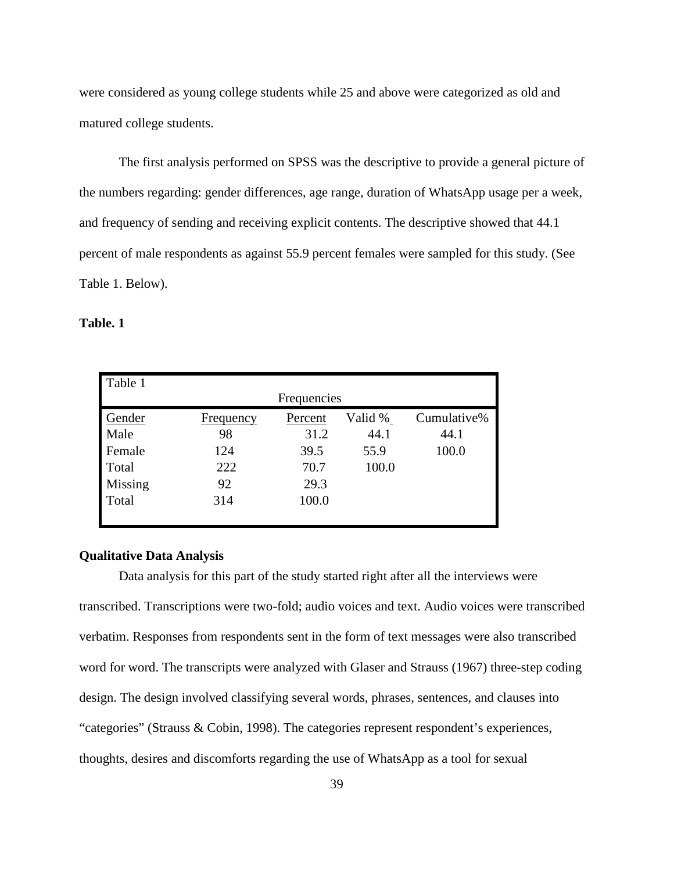were considered as young college students while 25 and above were categorized as old and matured college students.

The first analysis performed on SPSS was the descriptive to provide a general picture of the numbers regarding: gender differences, age range, duration of WhatsApp usage per a week, and frequency of sending and receiving explicit contents. The descriptive showed that 44.1 percent of male respondents as against 55.9 percent females were sampled for this study. (See Table 1. Below).

## **Table. 1**

| Table 1 |                  |             |         |             |
|---------|------------------|-------------|---------|-------------|
|         |                  | Frequencies |         |             |
| Gender  | <b>Frequency</b> | Percent     | Valid % | Cumulative% |
| Male    | 98               | 31.2        | 44.1    | 44.1        |
| Female  | 124              | 39.5        | 55.9    | 100.0       |
| Total   | 222              | 70.7        | 100.0   |             |
| Missing | 92               | 29.3        |         |             |
| Total   | 314              | 100.0       |         |             |
|         |                  |             |         |             |

#### **Qualitative Data Analysis**

Data analysis for this part of the study started right after all the interviews were transcribed. Transcriptions were two-fold; audio voices and text. Audio voices were transcribed verbatim. Responses from respondents sent in the form of text messages were also transcribed word for word. The transcripts were analyzed with Glaser and Strauss (1967) three-step coding design. The design involved classifying several words, phrases, sentences, and clauses into "categories" (Strauss & Cobin, 1998). The categories represent respondent's experiences, thoughts, desires and discomforts regarding the use of WhatsApp as a tool for sexual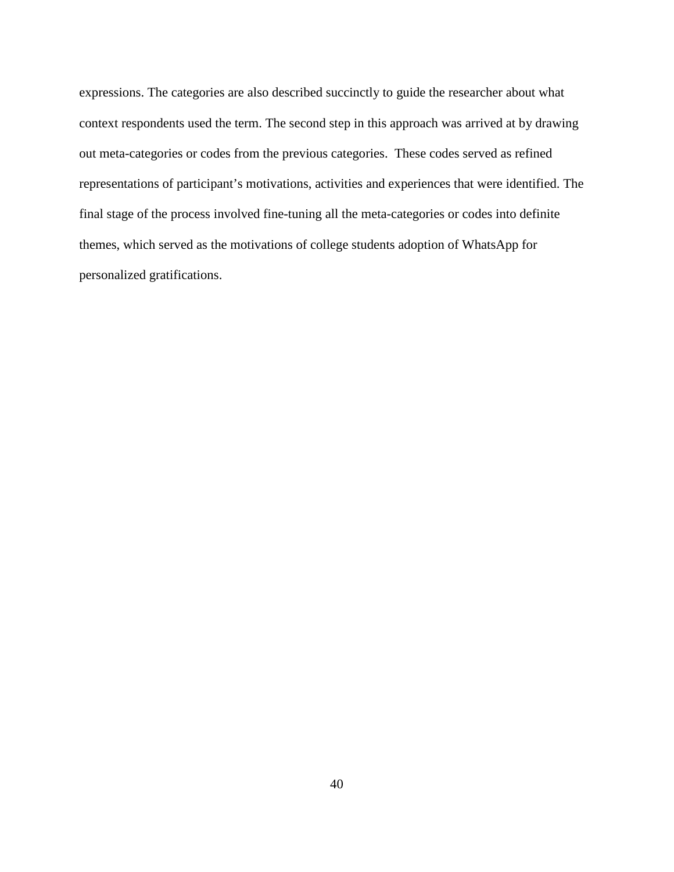expressions. The categories are also described succinctly to guide the researcher about what context respondents used the term. The second step in this approach was arrived at by drawing out meta-categories or codes from the previous categories. These codes served as refined representations of participant's motivations, activities and experiences that were identified. The final stage of the process involved fine-tuning all the meta-categories or codes into definite themes, which served as the motivations of college students adoption of WhatsApp for personalized gratifications.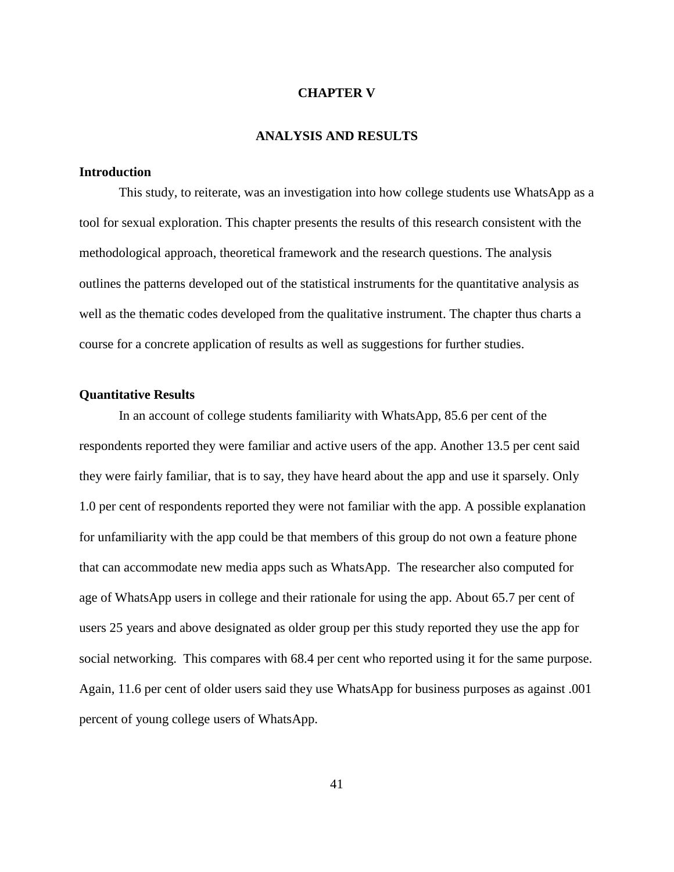#### **CHAPTER V**

## **ANALYSIS AND RESULTS**

## **Introduction**

This study, to reiterate, was an investigation into how college students use WhatsApp as a tool for sexual exploration. This chapter presents the results of this research consistent with the methodological approach, theoretical framework and the research questions. The analysis outlines the patterns developed out of the statistical instruments for the quantitative analysis as well as the thematic codes developed from the qualitative instrument. The chapter thus charts a course for a concrete application of results as well as suggestions for further studies.

#### **Quantitative Results**

In an account of college students familiarity with WhatsApp, 85.6 per cent of the respondents reported they were familiar and active users of the app. Another 13.5 per cent said they were fairly familiar, that is to say, they have heard about the app and use it sparsely. Only 1.0 per cent of respondents reported they were not familiar with the app. A possible explanation for unfamiliarity with the app could be that members of this group do not own a feature phone that can accommodate new media apps such as WhatsApp. The researcher also computed for age of WhatsApp users in college and their rationale for using the app. About 65.7 per cent of users 25 years and above designated as older group per this study reported they use the app for social networking. This compares with 68.4 per cent who reported using it for the same purpose. Again, 11.6 per cent of older users said they use WhatsApp for business purposes as against .001 percent of young college users of WhatsApp.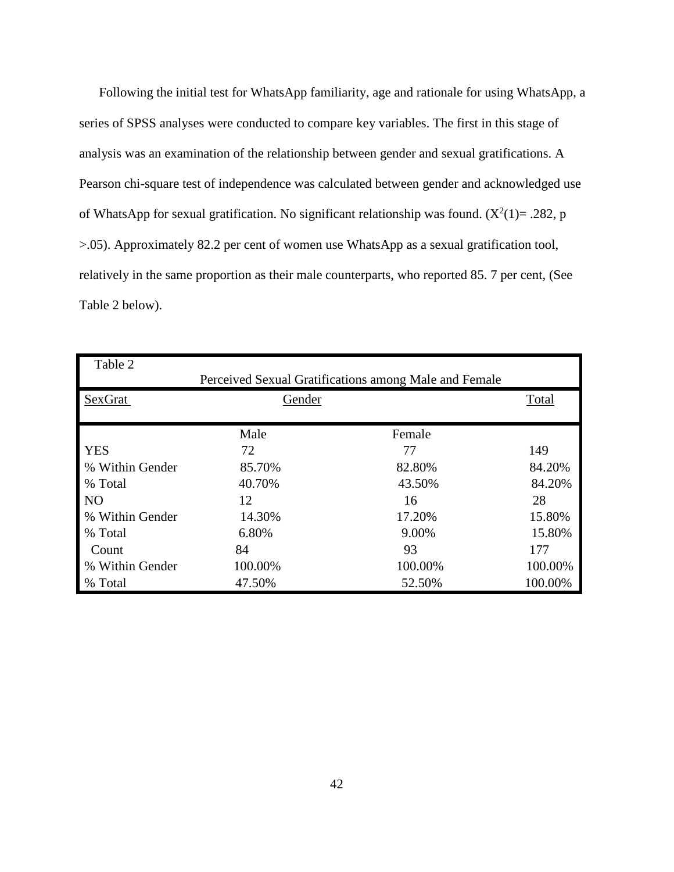Following the initial test for WhatsApp familiarity, age and rationale for using WhatsApp, a series of SPSS analyses were conducted to compare key variables. The first in this stage of analysis was an examination of the relationship between gender and sexual gratifications. A Pearson chi-square test of independence was calculated between gender and acknowledged use of WhatsApp for sexual gratification. No significant relationship was found.  $(X^2(1)=.282, p$ >.05). Approximately 82.2 per cent of women use WhatsApp as a sexual gratification tool, relatively in the same proportion as their male counterparts, who reported 85. 7 per cent, (See Table 2 below).

| Table 2         |         |                                                       |         |
|-----------------|---------|-------------------------------------------------------|---------|
|                 |         | Perceived Sexual Gratifications among Male and Female |         |
| SexGrat         | Gender  |                                                       | Total   |
|                 |         |                                                       |         |
|                 | Male    | Female                                                |         |
| <b>YES</b>      | 72      | 77                                                    | 149     |
| % Within Gender | 85.70%  | 82.80%                                                | 84.20%  |
| % Total         | 40.70%  | 43.50%                                                | 84.20%  |
| N <sub>O</sub>  | 12      | 16                                                    | 28      |
| % Within Gender | 14.30%  | 17.20%                                                | 15.80%  |
| % Total         | 6.80%   | 9.00%                                                 | 15.80%  |
| Count           | 84      | 93                                                    | 177     |
| % Within Gender | 100.00% | 100.00%                                               | 100.00% |
| % Total         | 47.50%  | 52.50%                                                | 100.00% |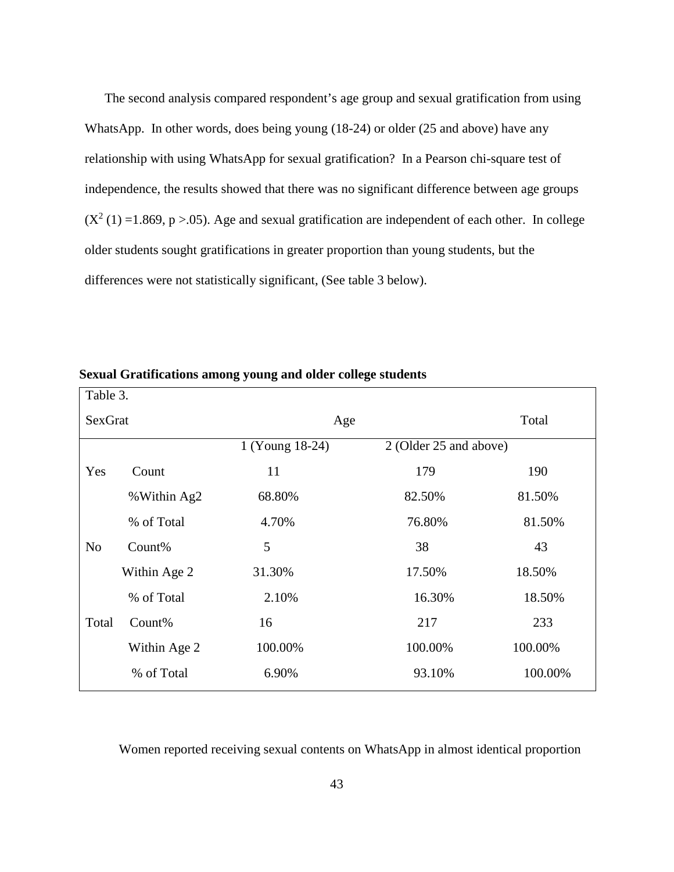The second analysis compared respondent's age group and sexual gratification from using WhatsApp. In other words, does being young (18-24) or older (25 and above) have any relationship with using WhatsApp for sexual gratification? In a Pearson chi-square test of independence, the results showed that there was no significant difference between age groups  $(X^2(1) = 1.869, p > 0.05)$ . Age and sexual gratification are independent of each other. In college older students sought gratifications in greater proportion than young students, but the differences were not statistically significant, (See table 3 below).

| Table 3.       |              |                 |                        |         |
|----------------|--------------|-----------------|------------------------|---------|
| SexGrat        |              | Age             |                        | Total   |
|                |              | 1 (Young 18-24) | 2 (Older 25 and above) |         |
| Yes            | Count        | 11              | 179                    | 190     |
|                | %Within Ag2  | 68.80%          | 82.50%                 | 81.50%  |
|                | % of Total   | 4.70%           | 76.80%                 | 81.50%  |
| N <sub>o</sub> | Count%       | 5               | 38                     | 43      |
|                | Within Age 2 | 31.30%          | 17.50%                 | 18.50%  |
|                | % of Total   | 2.10%           | 16.30%                 | 18.50%  |
| Total          | Count%       | 16              | 217                    | 233     |
|                | Within Age 2 | 100.00%         | 100.00%                | 100.00% |
|                | % of Total   | 6.90%           | 93.10%                 | 100.00% |
|                |              |                 |                        |         |

**Sexual Gratifications among young and older college students**

Women reported receiving sexual contents on WhatsApp in almost identical proportion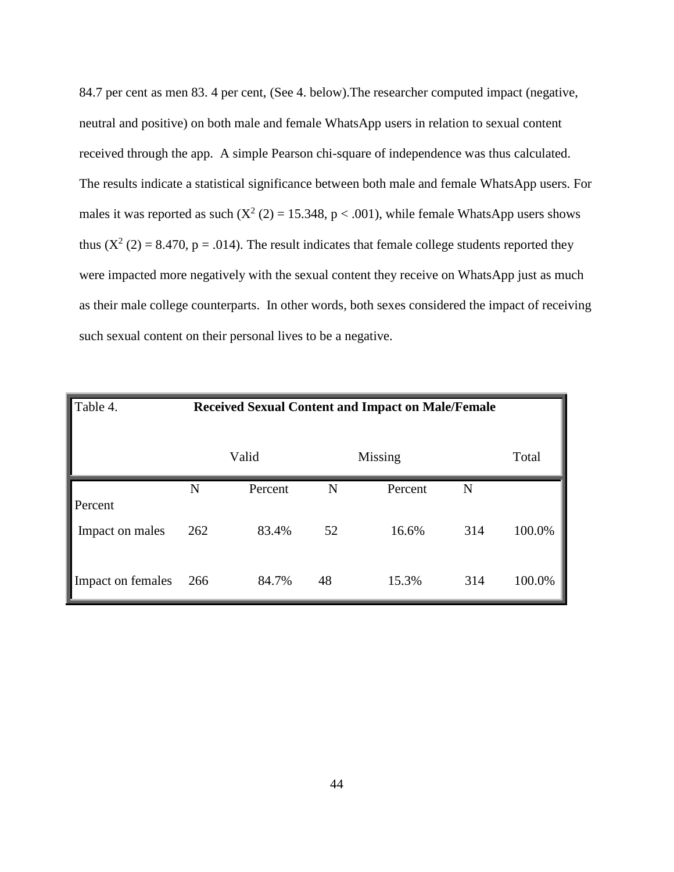84.7 per cent as men 83. 4 per cent, (See 4. below).The researcher computed impact (negative, neutral and positive) on both male and female WhatsApp users in relation to sexual content received through the app. A simple Pearson chi-square of independence was thus calculated. The results indicate a statistical significance between both male and female WhatsApp users. For males it was reported as such  $(X^2(2) = 15.348, p < .001)$ , while female WhatsApp users shows thus  $(X^2 (2) = 8.470, p = .014)$ . The result indicates that female college students reported they were impacted more negatively with the sexual content they receive on WhatsApp just as much as their male college counterparts. In other words, both sexes considered the impact of receiving such sexual content on their personal lives to be a negative.

| Table 4.          | <b>Received Sexual Content and Impact on Male/Female</b> |         |    |         |             |        |
|-------------------|----------------------------------------------------------|---------|----|---------|-------------|--------|
|                   |                                                          | Valid   |    | Missing |             | Total  |
| Percent           | N                                                        | Percent | N  | Percent | $\mathbf N$ |        |
| Impact on males   | 262                                                      | 83.4%   | 52 | 16.6%   | 314         | 100.0% |
| Impact on females | 266                                                      | 84.7%   | 48 | 15.3%   | 314         | 100.0% |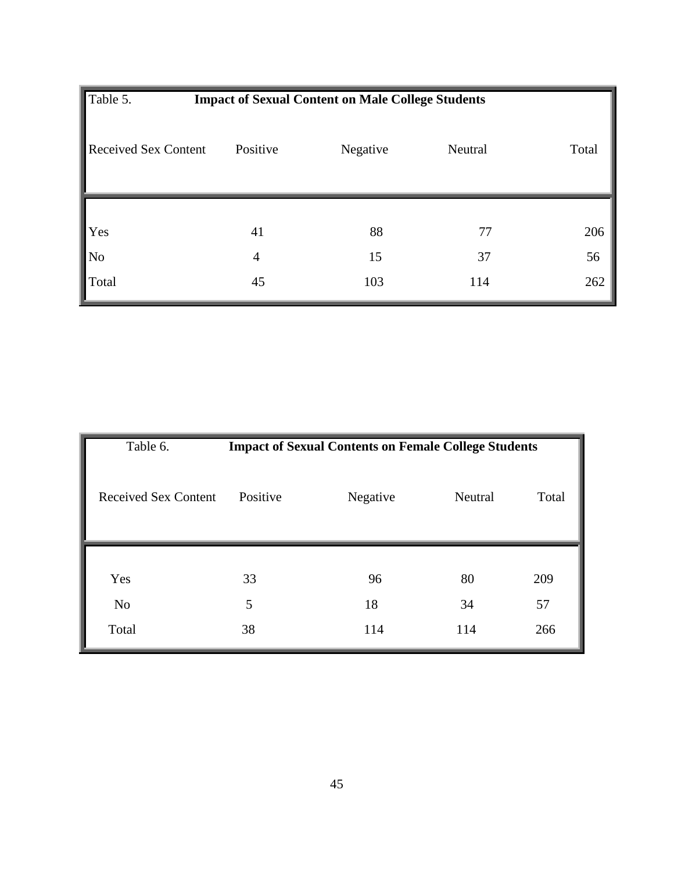| Table 5.<br><b>Impact of Sexual Content on Male College Students</b> |                |          |         |       |  |  |  |
|----------------------------------------------------------------------|----------------|----------|---------|-------|--|--|--|
| <b>Received Sex Content</b>                                          | Positive       | Negative | Neutral | Total |  |  |  |
|                                                                      |                |          |         |       |  |  |  |
| Yes                                                                  | 41             | 88       | 77      | 206   |  |  |  |
| N <sub>o</sub>                                                       | $\overline{4}$ | 15       | 37      | 56    |  |  |  |
| Total                                                                | 45             | 103      | 114     | 262   |  |  |  |

| Table 6.                    | <b>Impact of Sexual Contents on Female College Students</b> |          |         |       |  |
|-----------------------------|-------------------------------------------------------------|----------|---------|-------|--|
| <b>Received Sex Content</b> | Positive                                                    | Negative | Neutral | Total |  |
|                             |                                                             |          |         |       |  |
| Yes                         | 33                                                          | 96       | 80      | 209   |  |
| N <sub>o</sub>              | 5                                                           | 18       | 34      | 57    |  |
| Total                       | 38                                                          | 114      | 114     | 266   |  |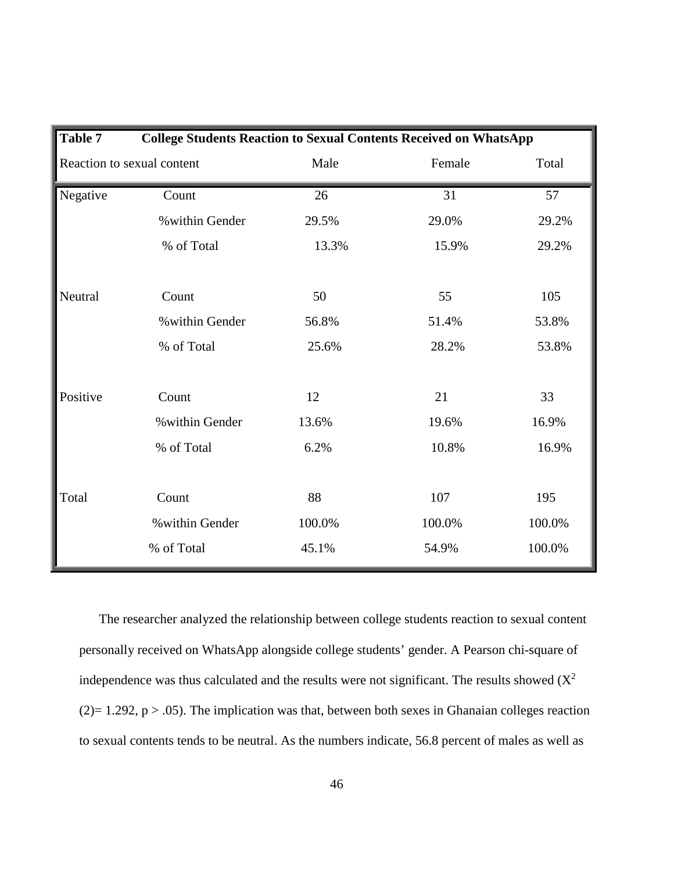| <b>Table 7</b> | <b>College Students Reaction to Sexual Contents Received on WhatsApp</b> |        |        |        |  |  |
|----------------|--------------------------------------------------------------------------|--------|--------|--------|--|--|
|                | Reaction to sexual content                                               | Male   | Female | Total  |  |  |
| Negative       | Count                                                                    | 26     | 31     | 57     |  |  |
|                | % within Gender                                                          | 29.5%  | 29.0%  | 29.2%  |  |  |
|                | % of Total                                                               | 13.3%  | 15.9%  | 29.2%  |  |  |
|                |                                                                          |        |        |        |  |  |
| Neutral        | Count                                                                    | 50     | 55     | 105    |  |  |
|                | % within Gender                                                          | 56.8%  | 51.4%  | 53.8%  |  |  |
|                | % of Total                                                               | 25.6%  | 28.2%  | 53.8%  |  |  |
|                |                                                                          |        |        |        |  |  |
| Positive       | Count                                                                    | 12     | 21     | 33     |  |  |
|                | % within Gender                                                          | 13.6%  | 19.6%  | 16.9%  |  |  |
|                | % of Total                                                               | 6.2%   | 10.8%  | 16.9%  |  |  |
|                |                                                                          |        |        |        |  |  |
| Total          | Count                                                                    | 88     | 107    | 195    |  |  |
|                | % within Gender                                                          | 100.0% | 100.0% | 100.0% |  |  |
|                | % of Total                                                               | 45.1%  | 54.9%  | 100.0% |  |  |

The researcher analyzed the relationship between college students reaction to sexual content personally received on WhatsApp alongside college students' gender. A Pearson chi-square of independence was thus calculated and the results were not significant. The results showed  $(X^2)$ (2)= 1.292,  $p > .05$ ). The implication was that, between both sexes in Ghanaian colleges reaction to sexual contents tends to be neutral. As the numbers indicate, 56.8 percent of males as well as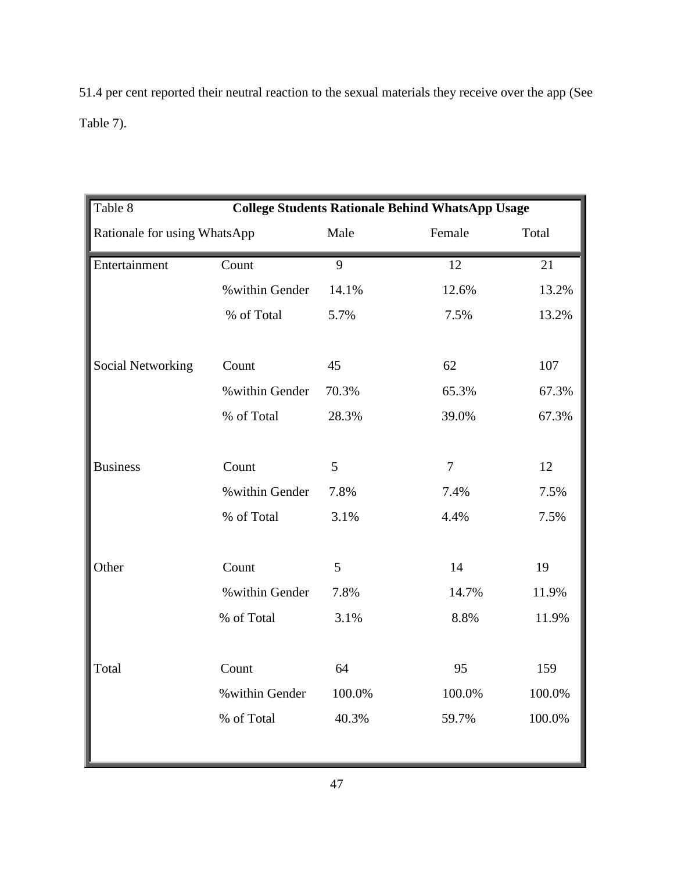51.4 per cent reported their neutral reaction to the sexual materials they receive over the app (See Table 7).

| Table 8                      | <b>College Students Rationale Behind WhatsApp Usage</b> |        |                |        |
|------------------------------|---------------------------------------------------------|--------|----------------|--------|
| Rationale for using WhatsApp |                                                         | Male   | Female         | Total  |
| Entertainment                | Count                                                   | 9      | 12             | 21     |
|                              | % within Gender                                         | 14.1%  | 12.6%          | 13.2%  |
|                              | % of Total                                              | 5.7%   | 7.5%           | 13.2%  |
| Social Networking            | Count                                                   | 45     | 62             | 107    |
|                              | % within Gender                                         | 70.3%  | 65.3%          | 67.3%  |
|                              |                                                         |        |                |        |
|                              | % of Total                                              | 28.3%  | 39.0%          | 67.3%  |
| <b>Business</b>              | Count                                                   | 5      | $\overline{7}$ | 12     |
|                              | % within Gender                                         | 7.8%   | 7.4%           | 7.5%   |
|                              | % of Total                                              | 3.1%   | 4.4%           | 7.5%   |
| Other                        | Count                                                   | 5      | 14             | 19     |
|                              | % within Gender                                         | 7.8%   | 14.7%          | 11.9%  |
|                              | % of Total                                              | 3.1%   | 8.8%           | 11.9%  |
|                              |                                                         |        |                |        |
| Total                        | Count                                                   | 64     | 95             | 159    |
|                              | % within Gender                                         | 100.0% | 100.0%         | 100.0% |
|                              | % of Total                                              | 40.3%  | 59.7%          | 100.0% |
|                              |                                                         |        |                |        |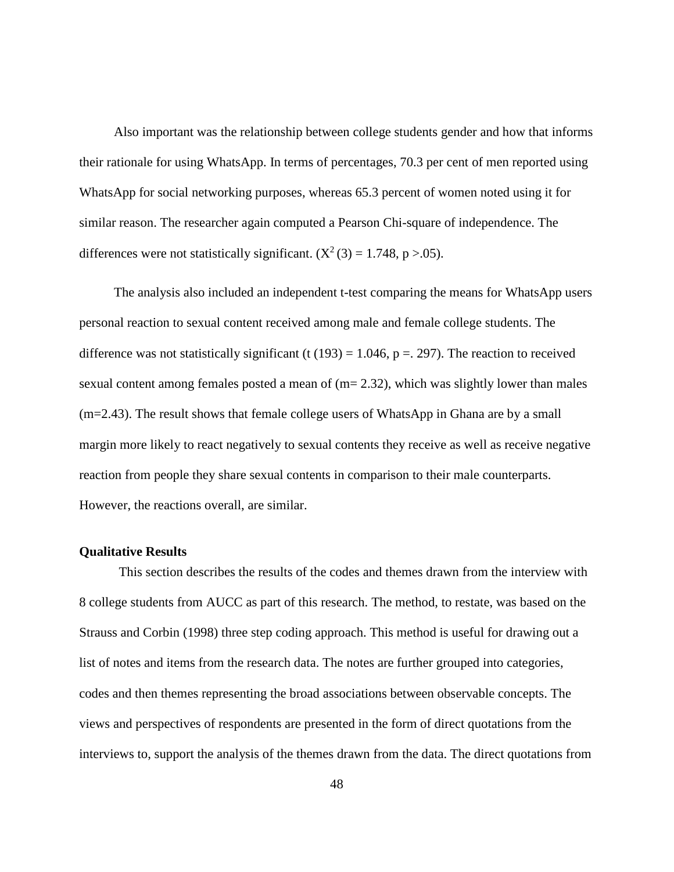Also important was the relationship between college students gender and how that informs their rationale for using WhatsApp. In terms of percentages, 70.3 per cent of men reported using WhatsApp for social networking purposes, whereas 65.3 percent of women noted using it for similar reason. The researcher again computed a Pearson Chi-square of independence. The differences were not statistically significant.  $(X^2(3) = 1.748, p > 0.05)$ .

The analysis also included an independent t-test comparing the means for WhatsApp users personal reaction to sexual content received among male and female college students. The difference was not statistically significant (t (193) = 1.046,  $p = 0.297$ ). The reaction to received sexual content among females posted a mean of  $(m=2.32)$ , which was slightly lower than males (m=2.43). The result shows that female college users of WhatsApp in Ghana are by a small margin more likely to react negatively to sexual contents they receive as well as receive negative reaction from people they share sexual contents in comparison to their male counterparts. However, the reactions overall, are similar.

#### **Qualitative Results**

This section describes the results of the codes and themes drawn from the interview with 8 college students from AUCC as part of this research. The method, to restate, was based on the Strauss and Corbin (1998) three step coding approach. This method is useful for drawing out a list of notes and items from the research data. The notes are further grouped into categories, codes and then themes representing the broad associations between observable concepts. The views and perspectives of respondents are presented in the form of direct quotations from the interviews to, support the analysis of the themes drawn from the data. The direct quotations from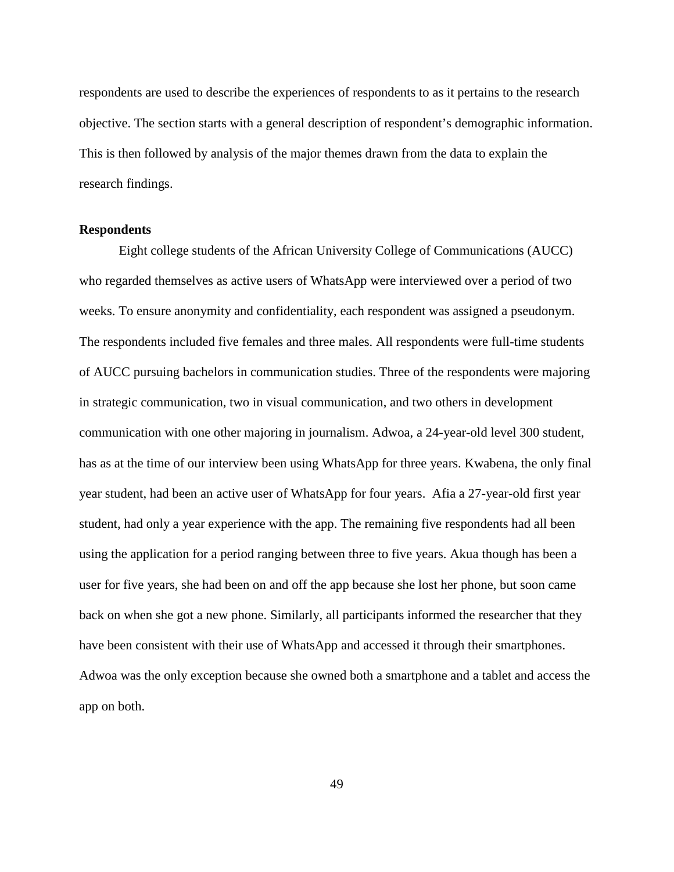respondents are used to describe the experiences of respondents to as it pertains to the research objective. The section starts with a general description of respondent's demographic information. This is then followed by analysis of the major themes drawn from the data to explain the research findings.

## **Respondents**

Eight college students of the African University College of Communications (AUCC) who regarded themselves as active users of WhatsApp were interviewed over a period of two weeks. To ensure anonymity and confidentiality, each respondent was assigned a pseudonym. The respondents included five females and three males. All respondents were full-time students of AUCC pursuing bachelors in communication studies. Three of the respondents were majoring in strategic communication, two in visual communication, and two others in development communication with one other majoring in journalism. Adwoa, a 24-year-old level 300 student, has as at the time of our interview been using WhatsApp for three years. Kwabena, the only final year student, had been an active user of WhatsApp for four years. Afia a 27-year-old first year student, had only a year experience with the app. The remaining five respondents had all been using the application for a period ranging between three to five years. Akua though has been a user for five years, she had been on and off the app because she lost her phone, but soon came back on when she got a new phone. Similarly, all participants informed the researcher that they have been consistent with their use of WhatsApp and accessed it through their smartphones. Adwoa was the only exception because she owned both a smartphone and a tablet and access the app on both.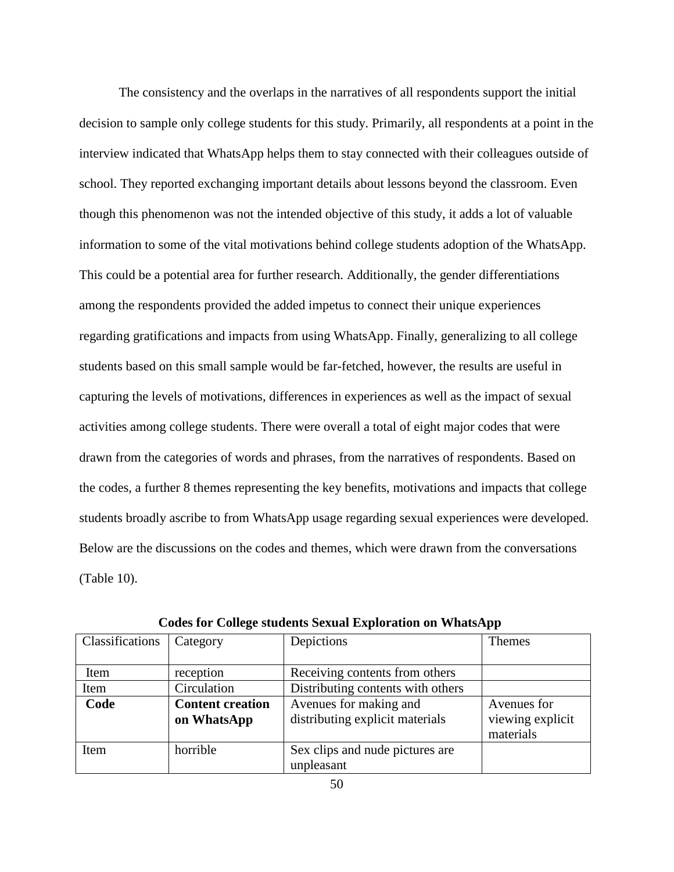The consistency and the overlaps in the narratives of all respondents support the initial decision to sample only college students for this study. Primarily, all respondents at a point in the interview indicated that WhatsApp helps them to stay connected with their colleagues outside of school. They reported exchanging important details about lessons beyond the classroom. Even though this phenomenon was not the intended objective of this study, it adds a lot of valuable information to some of the vital motivations behind college students adoption of the WhatsApp. This could be a potential area for further research. Additionally, the gender differentiations among the respondents provided the added impetus to connect their unique experiences regarding gratifications and impacts from using WhatsApp. Finally, generalizing to all college students based on this small sample would be far-fetched, however, the results are useful in capturing the levels of motivations, differences in experiences as well as the impact of sexual activities among college students. There were overall a total of eight major codes that were drawn from the categories of words and phrases, from the narratives of respondents. Based on the codes, a further 8 themes representing the key benefits, motivations and impacts that college students broadly ascribe to from WhatsApp usage regarding sexual experiences were developed. Below are the discussions on the codes and themes, which were drawn from the conversations (Table 10).

| Classifications | Category                | Depictions                        | <b>Themes</b>    |
|-----------------|-------------------------|-----------------------------------|------------------|
|                 |                         |                                   |                  |
|                 |                         |                                   |                  |
| Item            | reception               | Receiving contents from others    |                  |
|                 |                         |                                   |                  |
| Item            | Circulation             | Distributing contents with others |                  |
| Code            | <b>Content creation</b> | Avenues for making and            | Avenues for      |
|                 |                         |                                   |                  |
|                 | on WhatsApp             | distributing explicit materials   | viewing explicit |
|                 |                         |                                   | materials        |
|                 |                         |                                   |                  |
| Item            | horrible                | Sex clips and nude pictures are   |                  |
|                 |                         |                                   |                  |
|                 |                         | unpleasant                        |                  |

 **Codes for College students Sexual Exploration on WhatsApp**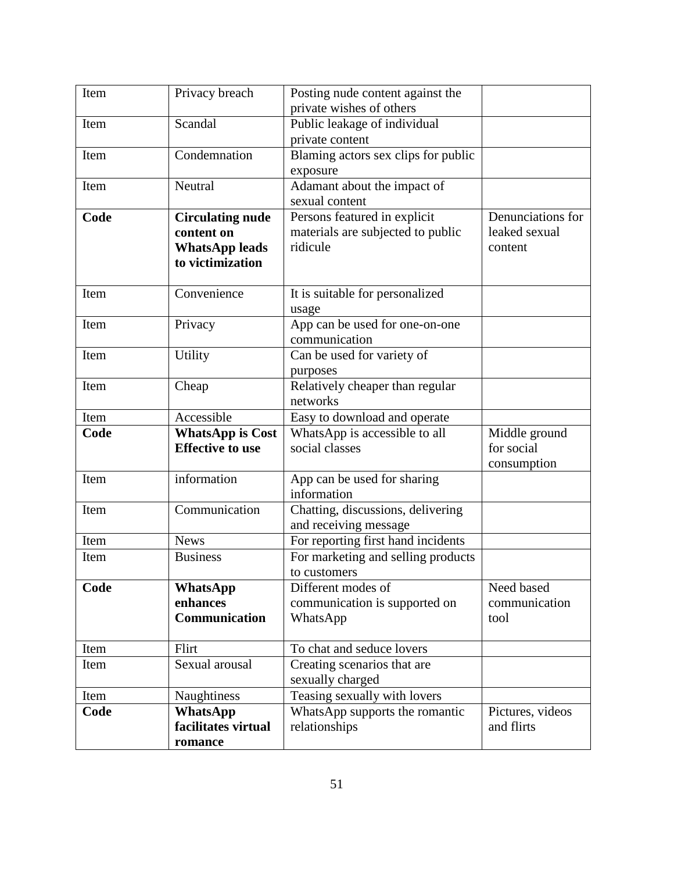| Item | Privacy breach          | Posting nude content against the                |                   |
|------|-------------------------|-------------------------------------------------|-------------------|
| Item |                         | private wishes of others                        |                   |
|      | Scandal                 | Public leakage of individual<br>private content |                   |
| Item | Condemnation            | Blaming actors sex clips for public             |                   |
|      |                         |                                                 |                   |
| Item | Neutral                 | exposure<br>Adamant about the impact of         |                   |
|      |                         | sexual content                                  |                   |
| Code | <b>Circulating nude</b> | Persons featured in explicit                    | Denunciations for |
|      | content on              | materials are subjected to public               | leaked sexual     |
|      | <b>WhatsApp leads</b>   | ridicule                                        | content           |
|      | to victimization        |                                                 |                   |
|      |                         |                                                 |                   |
| Item | Convenience             | It is suitable for personalized                 |                   |
|      |                         | usage                                           |                   |
| Item | Privacy                 | App can be used for one-on-one                  |                   |
|      |                         | communication                                   |                   |
| Item | Utility                 | Can be used for variety of                      |                   |
|      |                         | purposes                                        |                   |
| Item | Cheap                   | Relatively cheaper than regular                 |                   |
|      |                         | networks                                        |                   |
| Item | Accessible              | Easy to download and operate                    |                   |
| Code | <b>WhatsApp is Cost</b> | WhatsApp is accessible to all                   | Middle ground     |
|      | <b>Effective to use</b> | social classes                                  | for social        |
|      |                         |                                                 | consumption       |
| Item | information             | App can be used for sharing<br>information      |                   |
| Item | Communication           | Chatting, discussions, delivering               |                   |
|      |                         | and receiving message                           |                   |
| Item | <b>News</b>             | For reporting first hand incidents              |                   |
| Item | <b>Business</b>         | For marketing and selling products              |                   |
|      |                         | to customers                                    |                   |
| Code | <b>WhatsApp</b>         | Different modes of                              | Need based        |
|      | enhances                | communication is supported on                   | communication     |
|      | Communication           | WhatsApp                                        | tool              |
|      |                         |                                                 |                   |
| Item | Flirt                   | To chat and seduce lovers                       |                   |
| Item | Sexual arousal          | Creating scenarios that are                     |                   |
|      |                         | sexually charged                                |                   |
| Item | Naughtiness             | Teasing sexually with lovers                    |                   |
| Code | <b>WhatsApp</b>         | WhatsApp supports the romantic                  | Pictures, videos  |
|      | facilitates virtual     | relationships                                   | and flirts        |
|      | romance                 |                                                 |                   |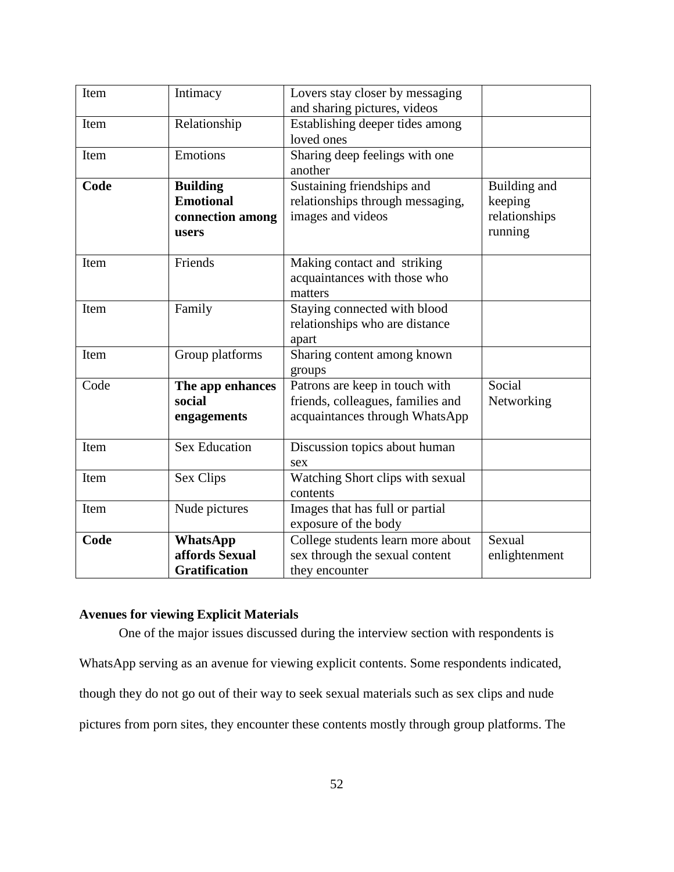| Item | Intimacy                                                         | Lovers stay closer by messaging<br>and sharing pictures, videos                                       |                                                     |
|------|------------------------------------------------------------------|-------------------------------------------------------------------------------------------------------|-----------------------------------------------------|
| Item | Relationship                                                     | Establishing deeper tides among<br>loved ones                                                         |                                                     |
| Item | Emotions                                                         | Sharing deep feelings with one<br>another                                                             |                                                     |
| Code | <b>Building</b><br><b>Emotional</b><br>connection among<br>users | Sustaining friendships and<br>relationships through messaging,<br>images and videos                   | Building and<br>keeping<br>relationships<br>running |
| Item | Friends                                                          | Making contact and striking<br>acquaintances with those who<br>matters                                |                                                     |
| Item | Family                                                           | Staying connected with blood<br>relationships who are distance<br>apart                               |                                                     |
| Item | Group platforms                                                  | Sharing content among known<br>groups                                                                 |                                                     |
| Code | The app enhances<br>social<br>engagements                        | Patrons are keep in touch with<br>friends, colleagues, families and<br>acquaintances through WhatsApp | Social<br>Networking                                |
| Item | <b>Sex Education</b>                                             | Discussion topics about human<br>sex                                                                  |                                                     |
| Item | Sex Clips                                                        | Watching Short clips with sexual<br>contents                                                          |                                                     |
| Item | Nude pictures                                                    | Images that has full or partial<br>exposure of the body                                               |                                                     |
| Code | WhatsApp<br>affords Sexual<br><b>Gratification</b>               | College students learn more about<br>sex through the sexual content<br>they encounter                 | Sexual<br>enlightenment                             |

# **Avenues for viewing Explicit Materials**

One of the major issues discussed during the interview section with respondents is

WhatsApp serving as an avenue for viewing explicit contents. Some respondents indicated,

though they do not go out of their way to seek sexual materials such as sex clips and nude

pictures from porn sites, they encounter these contents mostly through group platforms. The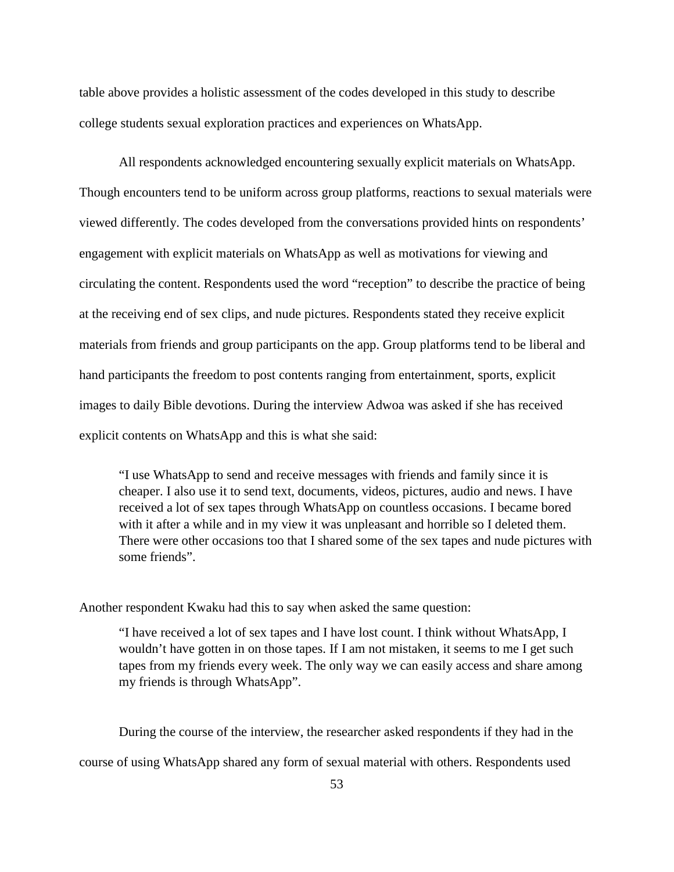table above provides a holistic assessment of the codes developed in this study to describe college students sexual exploration practices and experiences on WhatsApp.

All respondents acknowledged encountering sexually explicit materials on WhatsApp. Though encounters tend to be uniform across group platforms, reactions to sexual materials were viewed differently. The codes developed from the conversations provided hints on respondents' engagement with explicit materials on WhatsApp as well as motivations for viewing and circulating the content. Respondents used the word "reception" to describe the practice of being at the receiving end of sex clips, and nude pictures. Respondents stated they receive explicit materials from friends and group participants on the app. Group platforms tend to be liberal and hand participants the freedom to post contents ranging from entertainment, sports, explicit images to daily Bible devotions. During the interview Adwoa was asked if she has received explicit contents on WhatsApp and this is what she said:

"I use WhatsApp to send and receive messages with friends and family since it is cheaper. I also use it to send text, documents, videos, pictures, audio and news. I have received a lot of sex tapes through WhatsApp on countless occasions. I became bored with it after a while and in my view it was unpleasant and horrible so I deleted them. There were other occasions too that I shared some of the sex tapes and nude pictures with some friends".

Another respondent Kwaku had this to say when asked the same question:

"I have received a lot of sex tapes and I have lost count. I think without WhatsApp, I wouldn't have gotten in on those tapes. If I am not mistaken, it seems to me I get such tapes from my friends every week. The only way we can easily access and share among my friends is through WhatsApp".

During the course of the interview, the researcher asked respondents if they had in the course of using WhatsApp shared any form of sexual material with others. Respondents used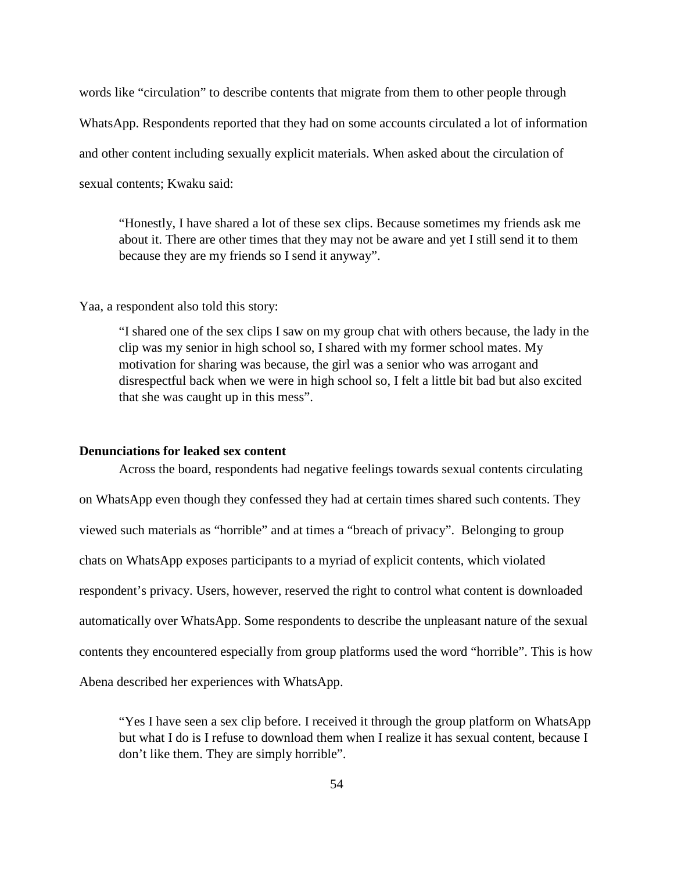words like "circulation" to describe contents that migrate from them to other people through WhatsApp. Respondents reported that they had on some accounts circulated a lot of information and other content including sexually explicit materials. When asked about the circulation of sexual contents; Kwaku said:

"Honestly, I have shared a lot of these sex clips. Because sometimes my friends ask me about it. There are other times that they may not be aware and yet I still send it to them because they are my friends so I send it anyway".

Yaa, a respondent also told this story:

"I shared one of the sex clips I saw on my group chat with others because, the lady in the clip was my senior in high school so, I shared with my former school mates. My motivation for sharing was because, the girl was a senior who was arrogant and disrespectful back when we were in high school so, I felt a little bit bad but also excited that she was caught up in this mess".

### **Denunciations for leaked sex content**

Across the board, respondents had negative feelings towards sexual contents circulating on WhatsApp even though they confessed they had at certain times shared such contents. They viewed such materials as "horrible" and at times a "breach of privacy". Belonging to group chats on WhatsApp exposes participants to a myriad of explicit contents, which violated respondent's privacy. Users, however, reserved the right to control what content is downloaded automatically over WhatsApp. Some respondents to describe the unpleasant nature of the sexual contents they encountered especially from group platforms used the word "horrible". This is how Abena described her experiences with WhatsApp.

"Yes I have seen a sex clip before. I received it through the group platform on WhatsApp but what I do is I refuse to download them when I realize it has sexual content, because I don't like them. They are simply horrible".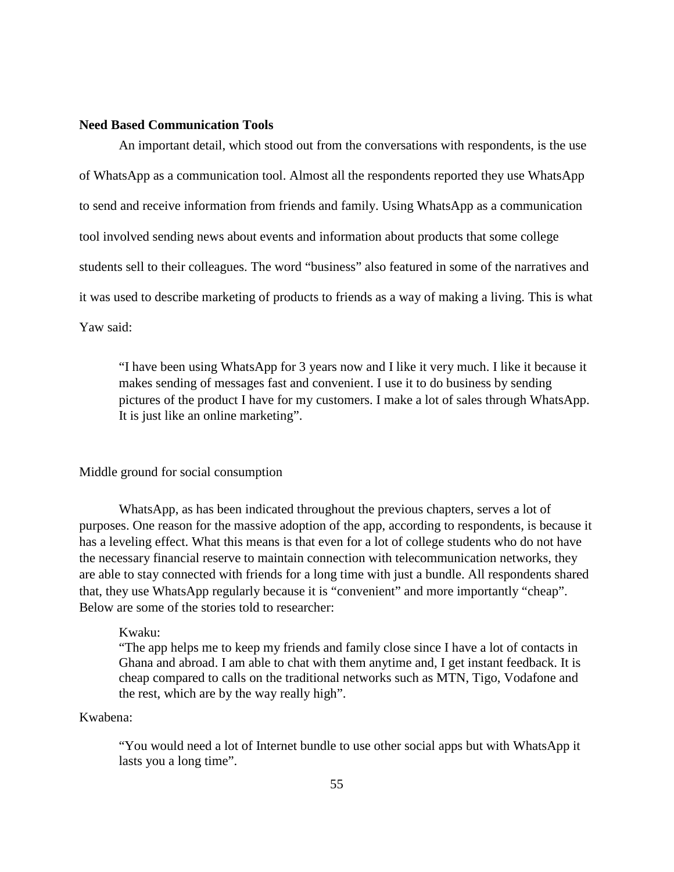#### **Need Based Communication Tools**

An important detail, which stood out from the conversations with respondents, is the use of WhatsApp as a communication tool. Almost all the respondents reported they use WhatsApp to send and receive information from friends and family. Using WhatsApp as a communication tool involved sending news about events and information about products that some college students sell to their colleagues. The word "business" also featured in some of the narratives and it was used to describe marketing of products to friends as a way of making a living. This is what Yaw said:

"I have been using WhatsApp for 3 years now and I like it very much. I like it because it makes sending of messages fast and convenient. I use it to do business by sending pictures of the product I have for my customers. I make a lot of sales through WhatsApp. It is just like an online marketing".

### Middle ground for social consumption

WhatsApp, as has been indicated throughout the previous chapters, serves a lot of purposes. One reason for the massive adoption of the app, according to respondents, is because it has a leveling effect. What this means is that even for a lot of college students who do not have the necessary financial reserve to maintain connection with telecommunication networks, they are able to stay connected with friends for a long time with just a bundle. All respondents shared that, they use WhatsApp regularly because it is "convenient" and more importantly "cheap". Below are some of the stories told to researcher:

#### Kwaku:

"The app helps me to keep my friends and family close since I have a lot of contacts in Ghana and abroad. I am able to chat with them anytime and, I get instant feedback. It is cheap compared to calls on the traditional networks such as MTN, Tigo, Vodafone and the rest, which are by the way really high".

## Kwabena:

"You would need a lot of Internet bundle to use other social apps but with WhatsApp it lasts you a long time".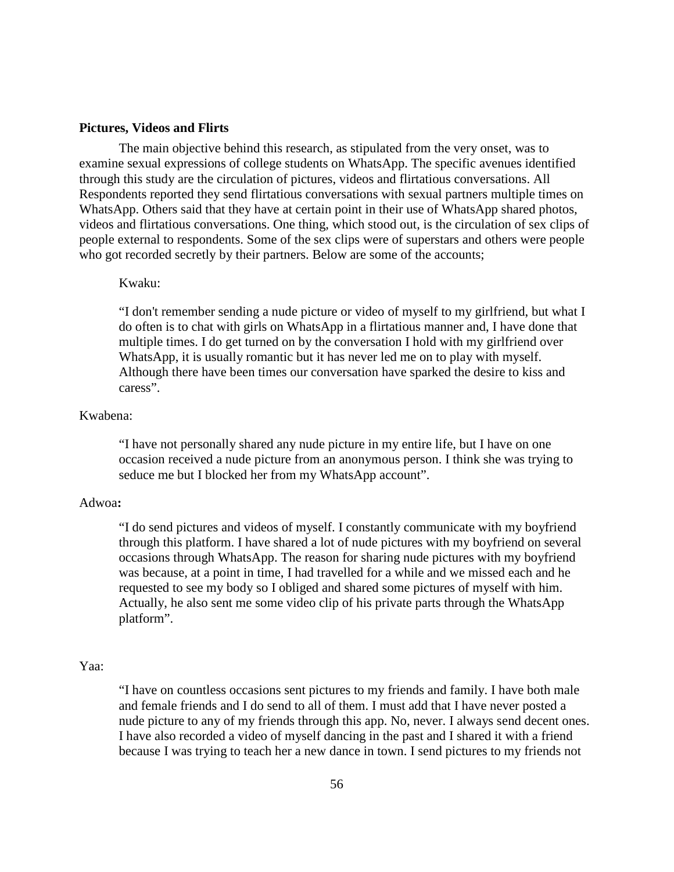#### **Pictures, Videos and Flirts**

The main objective behind this research, as stipulated from the very onset, was to examine sexual expressions of college students on WhatsApp. The specific avenues identified through this study are the circulation of pictures, videos and flirtatious conversations. All Respondents reported they send flirtatious conversations with sexual partners multiple times on WhatsApp. Others said that they have at certain point in their use of WhatsApp shared photos, videos and flirtatious conversations. One thing, which stood out, is the circulation of sex clips of people external to respondents. Some of the sex clips were of superstars and others were people who got recorded secretly by their partners. Below are some of the accounts;

#### Kwaku:

"I don't remember sending a nude picture or video of myself to my girlfriend, but what I do often is to chat with girls on WhatsApp in a flirtatious manner and, I have done that multiple times. I do get turned on by the conversation I hold with my girlfriend over WhatsApp, it is usually romantic but it has never led me on to play with myself. Although there have been times our conversation have sparked the desire to kiss and caress".

#### Kwabena:

"I have not personally shared any nude picture in my entire life, but I have on one occasion received a nude picture from an anonymous person. I think she was trying to seduce me but I blocked her from my WhatsApp account".

### Adwoa**:**

"I do send pictures and videos of myself. I constantly communicate with my boyfriend through this platform. I have shared a lot of nude pictures with my boyfriend on several occasions through WhatsApp. The reason for sharing nude pictures with my boyfriend was because, at a point in time, I had travelled for a while and we missed each and he requested to see my body so I obliged and shared some pictures of myself with him. Actually, he also sent me some video clip of his private parts through the WhatsApp platform".

## Yaa:

"I have on countless occasions sent pictures to my friends and family. I have both male and female friends and I do send to all of them. I must add that I have never posted a nude picture to any of my friends through this app. No, never. I always send decent ones. I have also recorded a video of myself dancing in the past and I shared it with a friend because I was trying to teach her a new dance in town. I send pictures to my friends not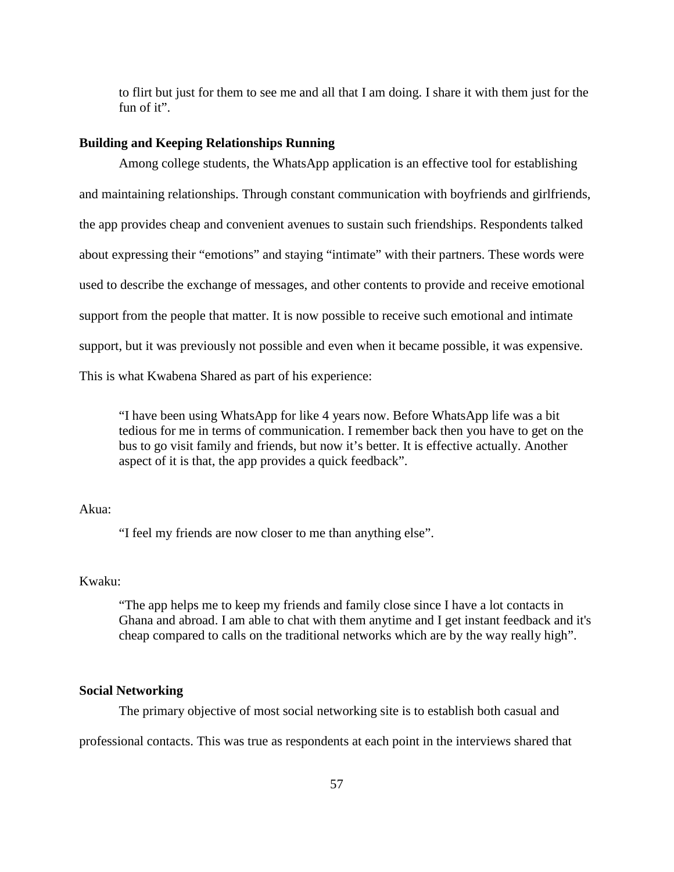to flirt but just for them to see me and all that I am doing. I share it with them just for the fun of it".

### **Building and Keeping Relationships Running**

Among college students, the WhatsApp application is an effective tool for establishing and maintaining relationships. Through constant communication with boyfriends and girlfriends, the app provides cheap and convenient avenues to sustain such friendships. Respondents talked about expressing their "emotions" and staying "intimate" with their partners. These words were used to describe the exchange of messages, and other contents to provide and receive emotional support from the people that matter. It is now possible to receive such emotional and intimate support, but it was previously not possible and even when it became possible, it was expensive. This is what Kwabena Shared as part of his experience:

"I have been using WhatsApp for like 4 years now. Before WhatsApp life was a bit tedious for me in terms of communication. I remember back then you have to get on the bus to go visit family and friends, but now it's better. It is effective actually. Another aspect of it is that, the app provides a quick feedback".

## Akua:

"I feel my friends are now closer to me than anything else".

## Kwaku:

"The app helps me to keep my friends and family close since I have a lot contacts in Ghana and abroad. I am able to chat with them anytime and I get instant feedback and it's cheap compared to calls on the traditional networks which are by the way really high".

### **Social Networking**

The primary objective of most social networking site is to establish both casual and

professional contacts. This was true as respondents at each point in the interviews shared that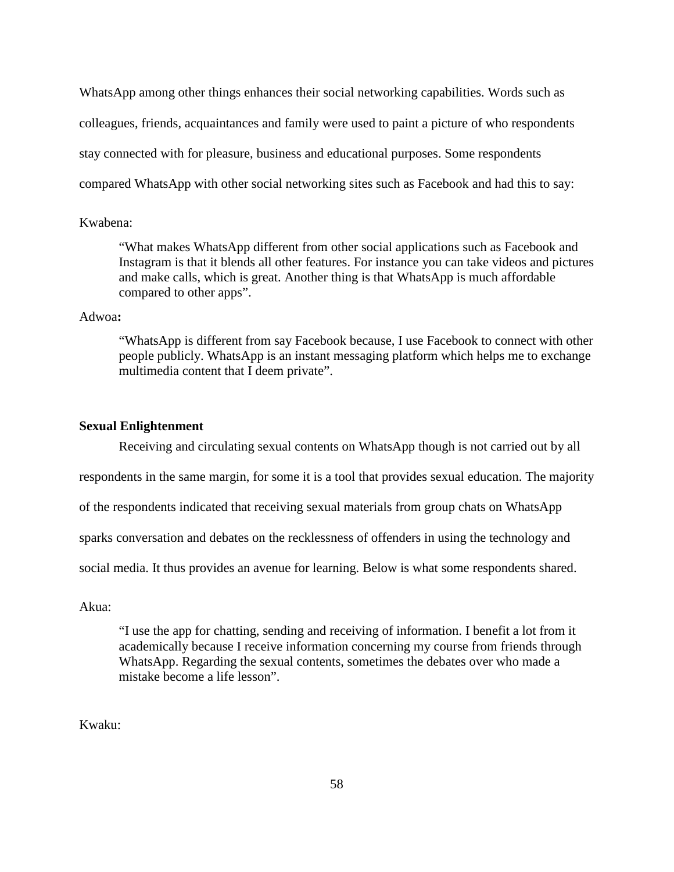WhatsApp among other things enhances their social networking capabilities. Words such as colleagues, friends, acquaintances and family were used to paint a picture of who respondents stay connected with for pleasure, business and educational purposes. Some respondents compared WhatsApp with other social networking sites such as Facebook and had this to say:

## Kwabena:

"What makes WhatsApp different from other social applications such as Facebook and Instagram is that it blends all other features. For instance you can take videos and pictures and make calls, which is great. Another thing is that WhatsApp is much affordable compared to other apps".

## Adwoa**:**

"WhatsApp is different from say Facebook because, I use Facebook to connect with other people publicly. WhatsApp is an instant messaging platform which helps me to exchange multimedia content that I deem private".

### **Sexual Enlightenment**

Receiving and circulating sexual contents on WhatsApp though is not carried out by all

respondents in the same margin, for some it is a tool that provides sexual education. The majority

of the respondents indicated that receiving sexual materials from group chats on WhatsApp

sparks conversation and debates on the recklessness of offenders in using the technology and

social media. It thus provides an avenue for learning. Below is what some respondents shared.

## Akua:

"I use the app for chatting, sending and receiving of information. I benefit a lot from it academically because I receive information concerning my course from friends through WhatsApp. Regarding the sexual contents, sometimes the debates over who made a mistake become a life lesson".

Kwaku: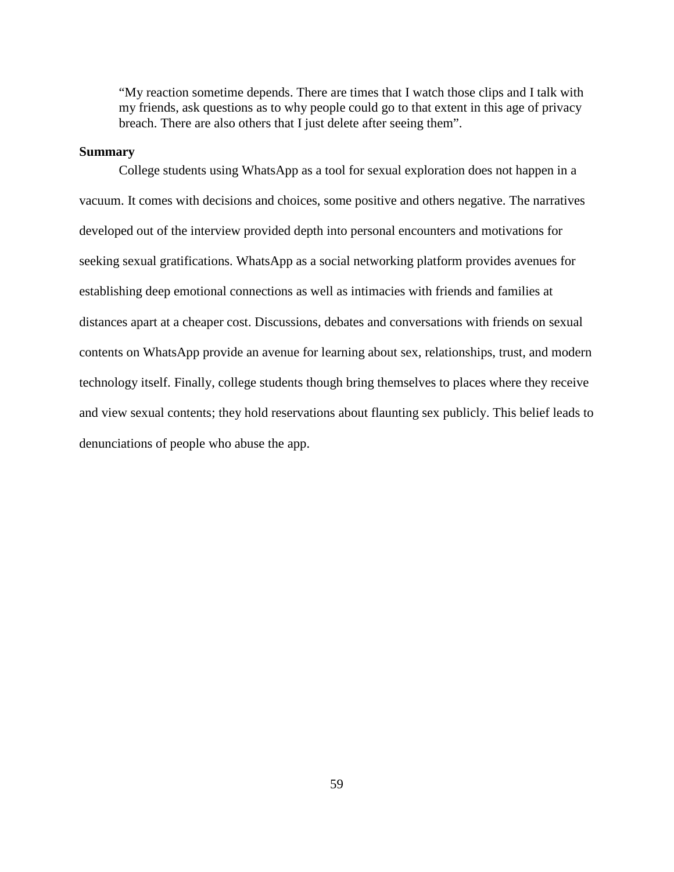"My reaction sometime depends. There are times that I watch those clips and I talk with my friends, ask questions as to why people could go to that extent in this age of privacy breach. There are also others that I just delete after seeing them".

## **Summary**

College students using WhatsApp as a tool for sexual exploration does not happen in a vacuum. It comes with decisions and choices, some positive and others negative. The narratives developed out of the interview provided depth into personal encounters and motivations for seeking sexual gratifications. WhatsApp as a social networking platform provides avenues for establishing deep emotional connections as well as intimacies with friends and families at distances apart at a cheaper cost. Discussions, debates and conversations with friends on sexual contents on WhatsApp provide an avenue for learning about sex, relationships, trust, and modern technology itself. Finally, college students though bring themselves to places where they receive and view sexual contents; they hold reservations about flaunting sex publicly. This belief leads to denunciations of people who abuse the app.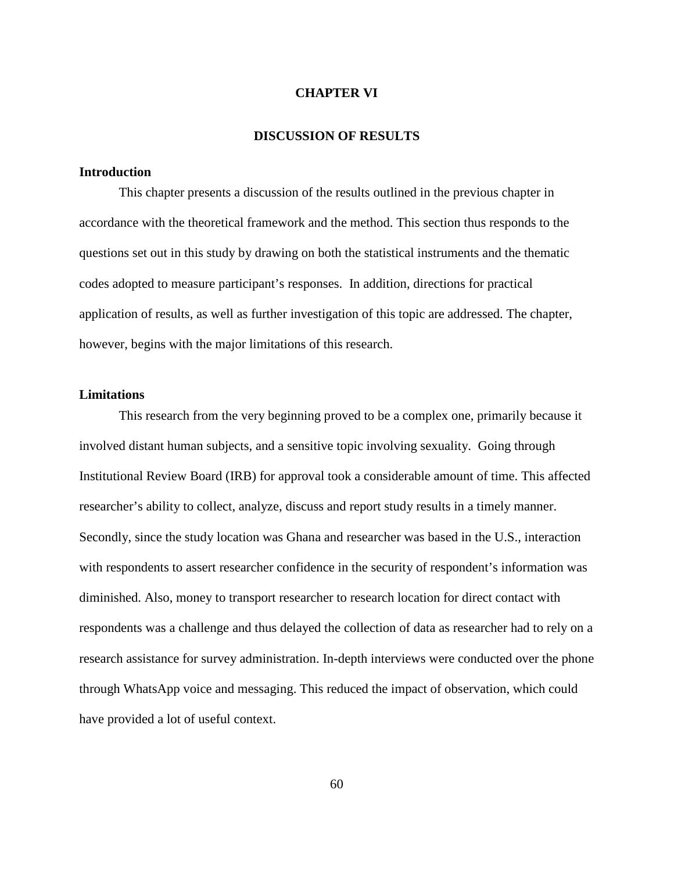#### **CHAPTER VI**

#### **DISCUSSION OF RESULTS**

## **Introduction**

This chapter presents a discussion of the results outlined in the previous chapter in accordance with the theoretical framework and the method. This section thus responds to the questions set out in this study by drawing on both the statistical instruments and the thematic codes adopted to measure participant's responses. In addition, directions for practical application of results, as well as further investigation of this topic are addressed. The chapter, however, begins with the major limitations of this research.

## **Limitations**

This research from the very beginning proved to be a complex one, primarily because it involved distant human subjects, and a sensitive topic involving sexuality. Going through Institutional Review Board (IRB) for approval took a considerable amount of time. This affected researcher's ability to collect, analyze, discuss and report study results in a timely manner. Secondly, since the study location was Ghana and researcher was based in the U.S., interaction with respondents to assert researcher confidence in the security of respondent's information was diminished. Also, money to transport researcher to research location for direct contact with respondents was a challenge and thus delayed the collection of data as researcher had to rely on a research assistance for survey administration. In-depth interviews were conducted over the phone through WhatsApp voice and messaging. This reduced the impact of observation, which could have provided a lot of useful context.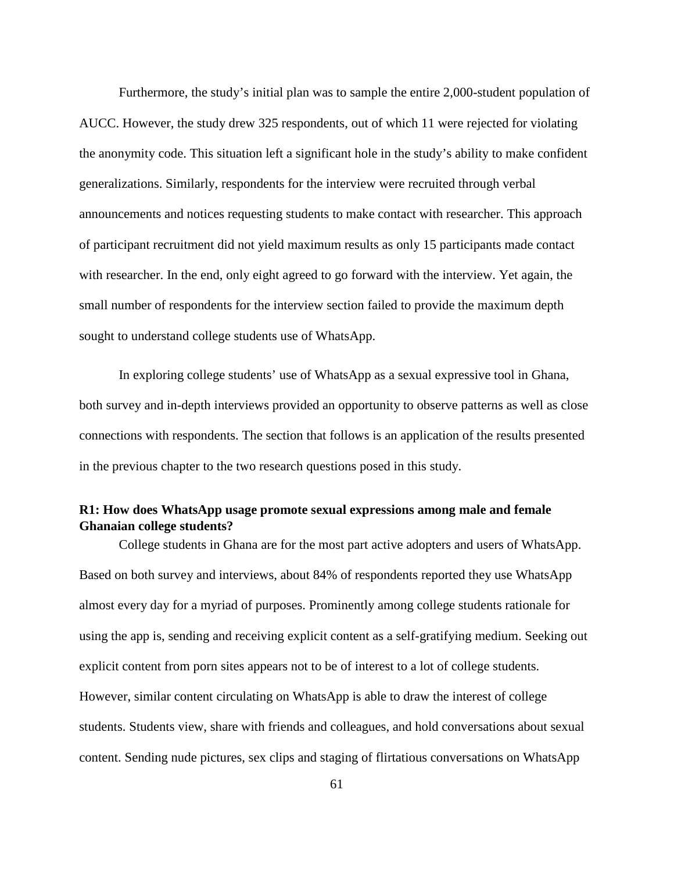Furthermore, the study's initial plan was to sample the entire 2,000-student population of AUCC. However, the study drew 325 respondents, out of which 11 were rejected for violating the anonymity code. This situation left a significant hole in the study's ability to make confident generalizations. Similarly, respondents for the interview were recruited through verbal announcements and notices requesting students to make contact with researcher. This approach of participant recruitment did not yield maximum results as only 15 participants made contact with researcher. In the end, only eight agreed to go forward with the interview. Yet again, the small number of respondents for the interview section failed to provide the maximum depth sought to understand college students use of WhatsApp.

In exploring college students' use of WhatsApp as a sexual expressive tool in Ghana, both survey and in-depth interviews provided an opportunity to observe patterns as well as close connections with respondents. The section that follows is an application of the results presented in the previous chapter to the two research questions posed in this study.

# **R1: How does WhatsApp usage promote sexual expressions among male and female Ghanaian college students?**

College students in Ghana are for the most part active adopters and users of WhatsApp. Based on both survey and interviews, about 84% of respondents reported they use WhatsApp almost every day for a myriad of purposes. Prominently among college students rationale for using the app is, sending and receiving explicit content as a self-gratifying medium. Seeking out explicit content from porn sites appears not to be of interest to a lot of college students. However, similar content circulating on WhatsApp is able to draw the interest of college students. Students view, share with friends and colleagues, and hold conversations about sexual content. Sending nude pictures, sex clips and staging of flirtatious conversations on WhatsApp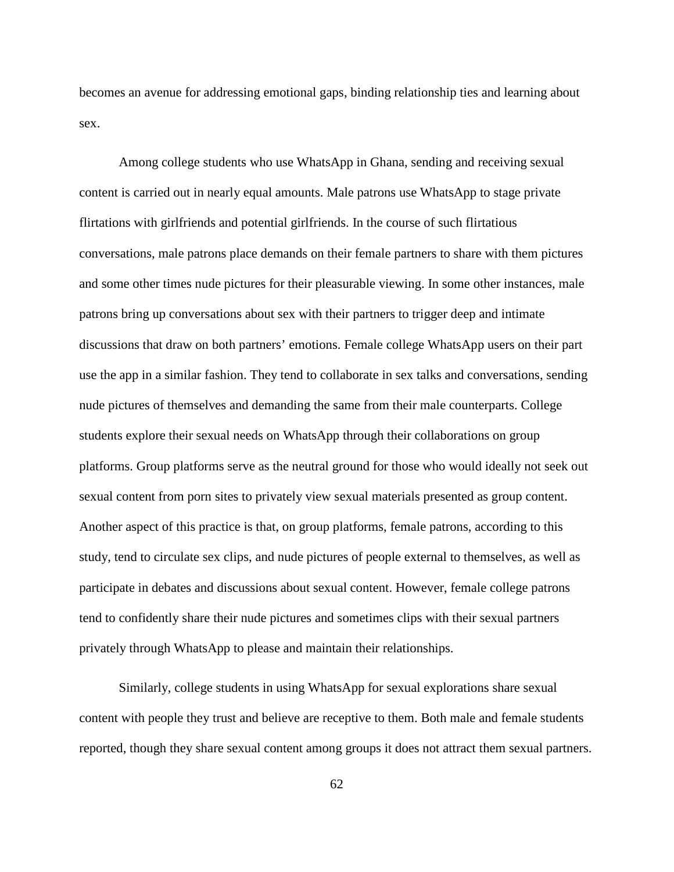becomes an avenue for addressing emotional gaps, binding relationship ties and learning about sex.

Among college students who use WhatsApp in Ghana, sending and receiving sexual content is carried out in nearly equal amounts. Male patrons use WhatsApp to stage private flirtations with girlfriends and potential girlfriends. In the course of such flirtatious conversations, male patrons place demands on their female partners to share with them pictures and some other times nude pictures for their pleasurable viewing. In some other instances, male patrons bring up conversations about sex with their partners to trigger deep and intimate discussions that draw on both partners' emotions. Female college WhatsApp users on their part use the app in a similar fashion. They tend to collaborate in sex talks and conversations, sending nude pictures of themselves and demanding the same from their male counterparts. College students explore their sexual needs on WhatsApp through their collaborations on group platforms. Group platforms serve as the neutral ground for those who would ideally not seek out sexual content from porn sites to privately view sexual materials presented as group content. Another aspect of this practice is that, on group platforms, female patrons, according to this study, tend to circulate sex clips, and nude pictures of people external to themselves, as well as participate in debates and discussions about sexual content. However, female college patrons tend to confidently share their nude pictures and sometimes clips with their sexual partners privately through WhatsApp to please and maintain their relationships.

Similarly, college students in using WhatsApp for sexual explorations share sexual content with people they trust and believe are receptive to them. Both male and female students reported, though they share sexual content among groups it does not attract them sexual partners.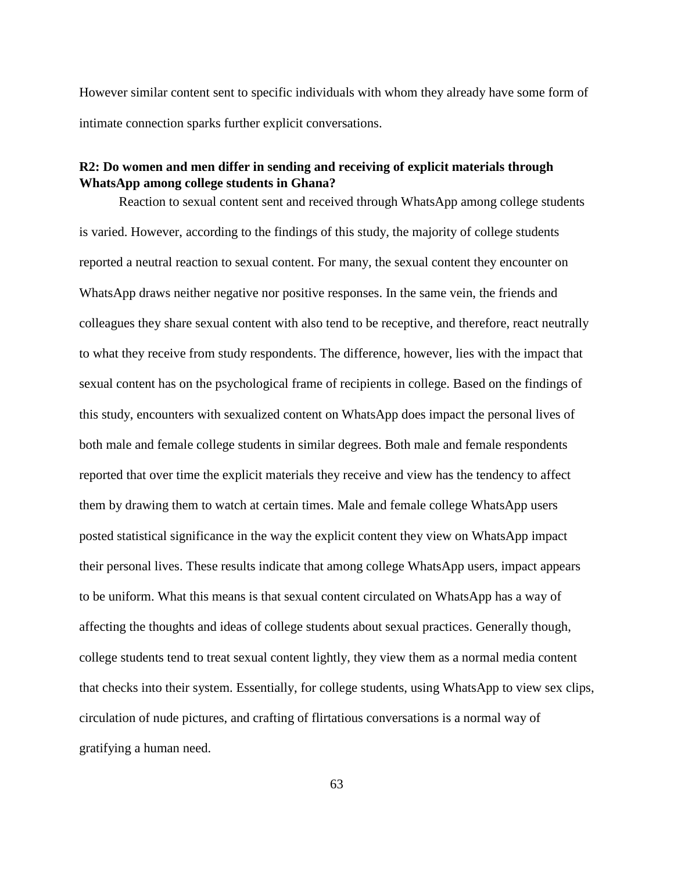However similar content sent to specific individuals with whom they already have some form of intimate connection sparks further explicit conversations.

# **R2: Do women and men differ in sending and receiving of explicit materials through WhatsApp among college students in Ghana?**

Reaction to sexual content sent and received through WhatsApp among college students is varied. However, according to the findings of this study, the majority of college students reported a neutral reaction to sexual content. For many, the sexual content they encounter on WhatsApp draws neither negative nor positive responses. In the same vein, the friends and colleagues they share sexual content with also tend to be receptive, and therefore, react neutrally to what they receive from study respondents. The difference, however, lies with the impact that sexual content has on the psychological frame of recipients in college. Based on the findings of this study, encounters with sexualized content on WhatsApp does impact the personal lives of both male and female college students in similar degrees. Both male and female respondents reported that over time the explicit materials they receive and view has the tendency to affect them by drawing them to watch at certain times. Male and female college WhatsApp users posted statistical significance in the way the explicit content they view on WhatsApp impact their personal lives. These results indicate that among college WhatsApp users, impact appears to be uniform. What this means is that sexual content circulated on WhatsApp has a way of affecting the thoughts and ideas of college students about sexual practices. Generally though, college students tend to treat sexual content lightly, they view them as a normal media content that checks into their system. Essentially, for college students, using WhatsApp to view sex clips, circulation of nude pictures, and crafting of flirtatious conversations is a normal way of gratifying a human need.

63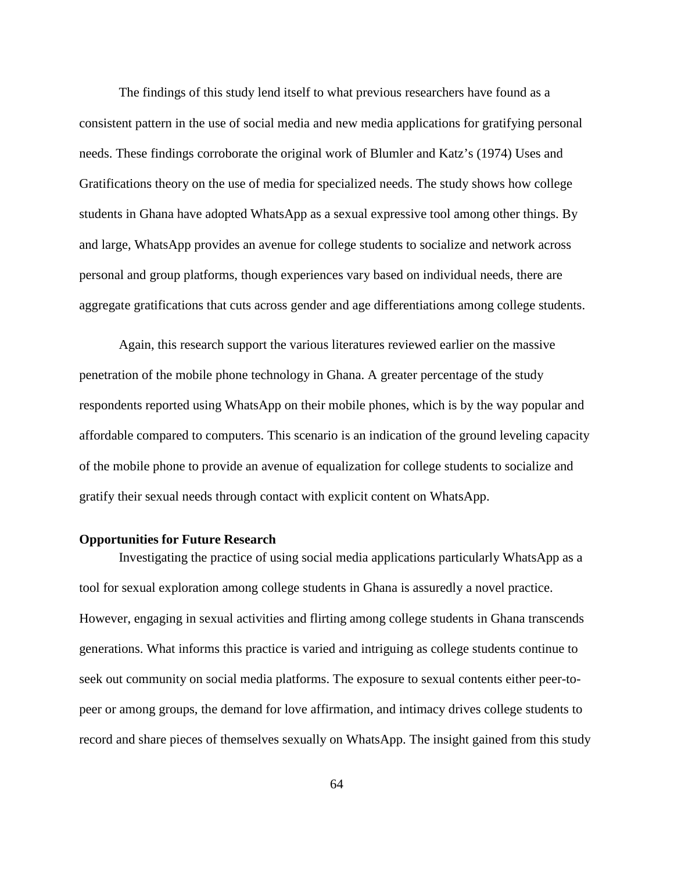The findings of this study lend itself to what previous researchers have found as a consistent pattern in the use of social media and new media applications for gratifying personal needs. These findings corroborate the original work of Blumler and Katz's (1974) Uses and Gratifications theory on the use of media for specialized needs. The study shows how college students in Ghana have adopted WhatsApp as a sexual expressive tool among other things. By and large, WhatsApp provides an avenue for college students to socialize and network across personal and group platforms, though experiences vary based on individual needs, there are aggregate gratifications that cuts across gender and age differentiations among college students.

Again, this research support the various literatures reviewed earlier on the massive penetration of the mobile phone technology in Ghana. A greater percentage of the study respondents reported using WhatsApp on their mobile phones, which is by the way popular and affordable compared to computers. This scenario is an indication of the ground leveling capacity of the mobile phone to provide an avenue of equalization for college students to socialize and gratify their sexual needs through contact with explicit content on WhatsApp.

## **Opportunities for Future Research**

Investigating the practice of using social media applications particularly WhatsApp as a tool for sexual exploration among college students in Ghana is assuredly a novel practice. However, engaging in sexual activities and flirting among college students in Ghana transcends generations. What informs this practice is varied and intriguing as college students continue to seek out community on social media platforms. The exposure to sexual contents either peer-topeer or among groups, the demand for love affirmation, and intimacy drives college students to record and share pieces of themselves sexually on WhatsApp. The insight gained from this study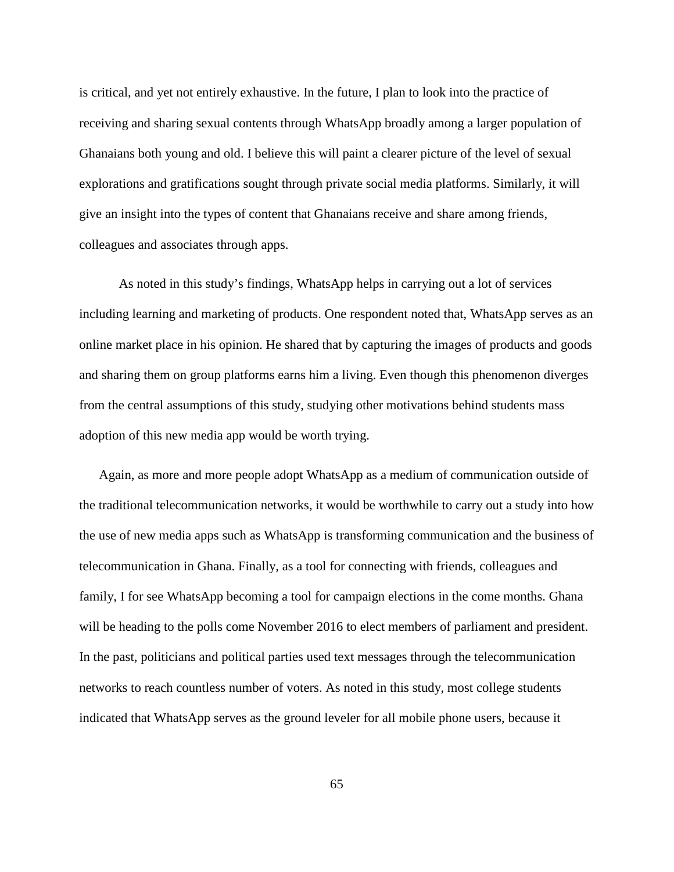is critical, and yet not entirely exhaustive. In the future, I plan to look into the practice of receiving and sharing sexual contents through WhatsApp broadly among a larger population of Ghanaians both young and old. I believe this will paint a clearer picture of the level of sexual explorations and gratifications sought through private social media platforms. Similarly, it will give an insight into the types of content that Ghanaians receive and share among friends, colleagues and associates through apps.

As noted in this study's findings, WhatsApp helps in carrying out a lot of services including learning and marketing of products. One respondent noted that, WhatsApp serves as an online market place in his opinion. He shared that by capturing the images of products and goods and sharing them on group platforms earns him a living. Even though this phenomenon diverges from the central assumptions of this study, studying other motivations behind students mass adoption of this new media app would be worth trying.

Again, as more and more people adopt WhatsApp as a medium of communication outside of the traditional telecommunication networks, it would be worthwhile to carry out a study into how the use of new media apps such as WhatsApp is transforming communication and the business of telecommunication in Ghana. Finally, as a tool for connecting with friends, colleagues and family, I for see WhatsApp becoming a tool for campaign elections in the come months. Ghana will be heading to the polls come November 2016 to elect members of parliament and president. In the past, politicians and political parties used text messages through the telecommunication networks to reach countless number of voters. As noted in this study, most college students indicated that WhatsApp serves as the ground leveler for all mobile phone users, because it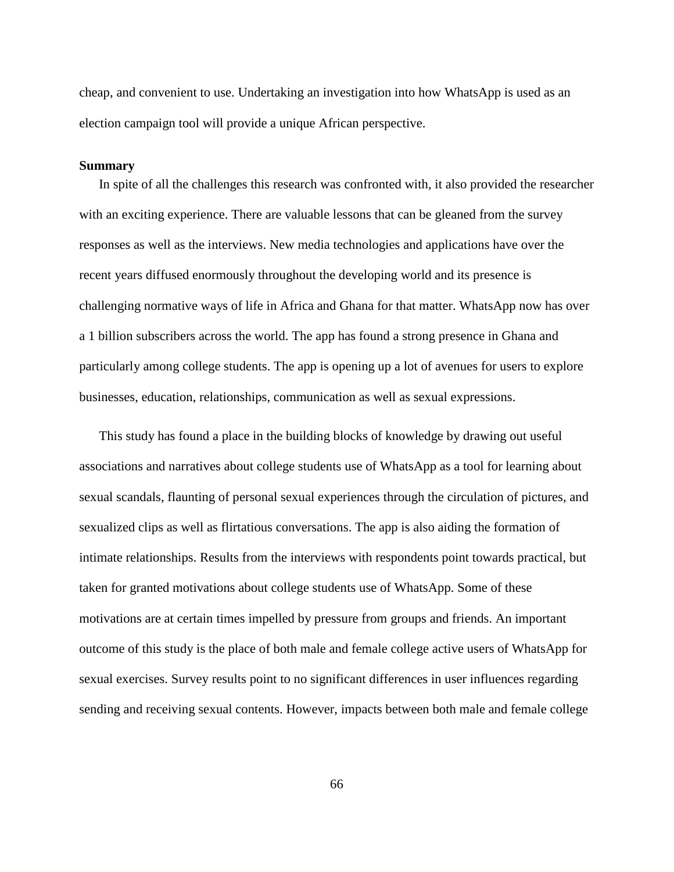cheap, and convenient to use. Undertaking an investigation into how WhatsApp is used as an election campaign tool will provide a unique African perspective.

#### **Summary**

In spite of all the challenges this research was confronted with, it also provided the researcher with an exciting experience. There are valuable lessons that can be gleaned from the survey responses as well as the interviews. New media technologies and applications have over the recent years diffused enormously throughout the developing world and its presence is challenging normative ways of life in Africa and Ghana for that matter. WhatsApp now has over a 1 billion subscribers across the world. The app has found a strong presence in Ghana and particularly among college students. The app is opening up a lot of avenues for users to explore businesses, education, relationships, communication as well as sexual expressions.

This study has found a place in the building blocks of knowledge by drawing out useful associations and narratives about college students use of WhatsApp as a tool for learning about sexual scandals, flaunting of personal sexual experiences through the circulation of pictures, and sexualized clips as well as flirtatious conversations. The app is also aiding the formation of intimate relationships. Results from the interviews with respondents point towards practical, but taken for granted motivations about college students use of WhatsApp. Some of these motivations are at certain times impelled by pressure from groups and friends. An important outcome of this study is the place of both male and female college active users of WhatsApp for sexual exercises. Survey results point to no significant differences in user influences regarding sending and receiving sexual contents. However, impacts between both male and female college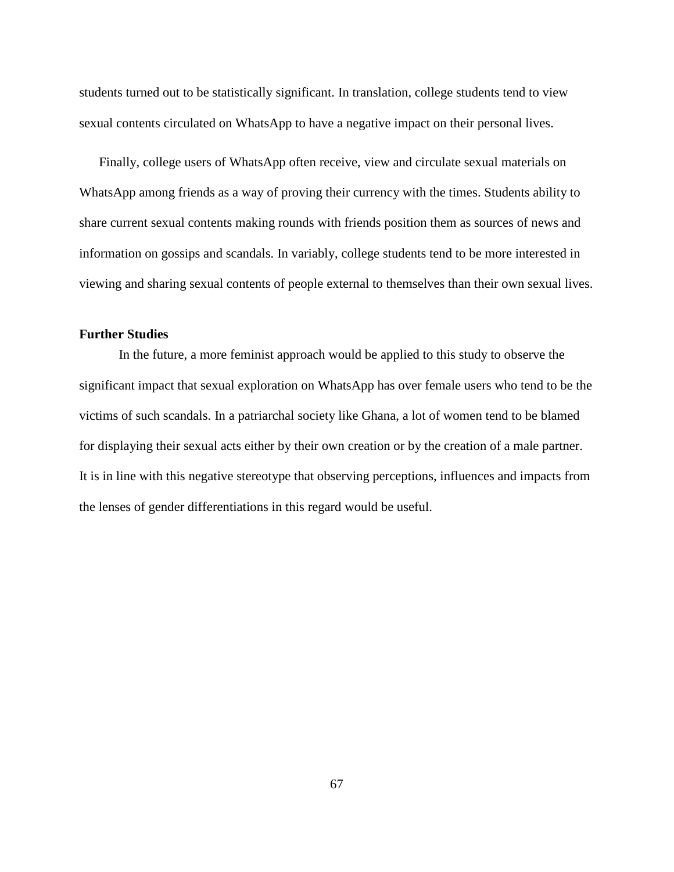students turned out to be statistically significant. In translation, college students tend to view sexual contents circulated on WhatsApp to have a negative impact on their personal lives.

Finally, college users of WhatsApp often receive, view and circulate sexual materials on WhatsApp among friends as a way of proving their currency with the times. Students ability to share current sexual contents making rounds with friends position them as sources of news and information on gossips and scandals. In variably, college students tend to be more interested in viewing and sharing sexual contents of people external to themselves than their own sexual lives.

# **Further Studies**

In the future, a more feminist approach would be applied to this study to observe the significant impact that sexual exploration on WhatsApp has over female users who tend to be the victims of such scandals. In a patriarchal society like Ghana, a lot of women tend to be blamed for displaying their sexual acts either by their own creation or by the creation of a male partner. It is in line with this negative stereotype that observing perceptions, influences and impacts from the lenses of gender differentiations in this regard would be useful.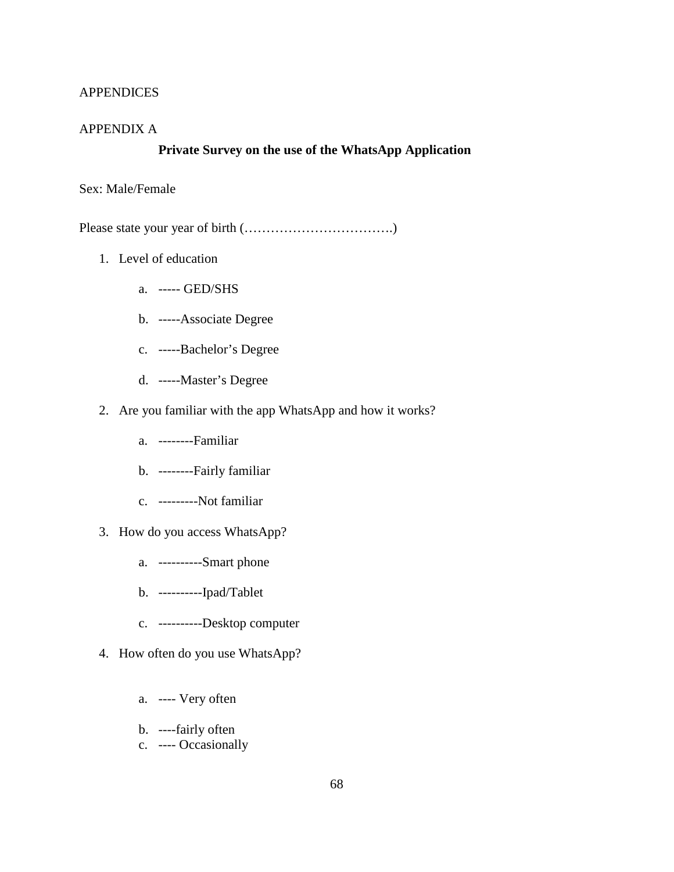### **APPENDICES**

#### APPENDIX A

#### **Private Survey on the use of the WhatsApp Application**

### Sex: Male/Female

Please state your year of birth (…………………………….)

- 1. Level of education
	- a. ----- GED/SHS
	- b. -----Associate Degree
	- c. -----Bachelor's Degree
	- d. -----Master's Degree
- 2. Are you familiar with the app WhatsApp and how it works?
	- a. --------Familiar
	- b. --------Fairly familiar
	- c. ---------Not familiar
- 3. How do you access WhatsApp?
	- a. ----------Smart phone
	- b. ----------Ipad/Tablet
	- c. ----------Desktop computer
- 4. How often do you use WhatsApp?
	- a. ---- Very often
	- b. ----fairly often
	- c. ---- Occasionally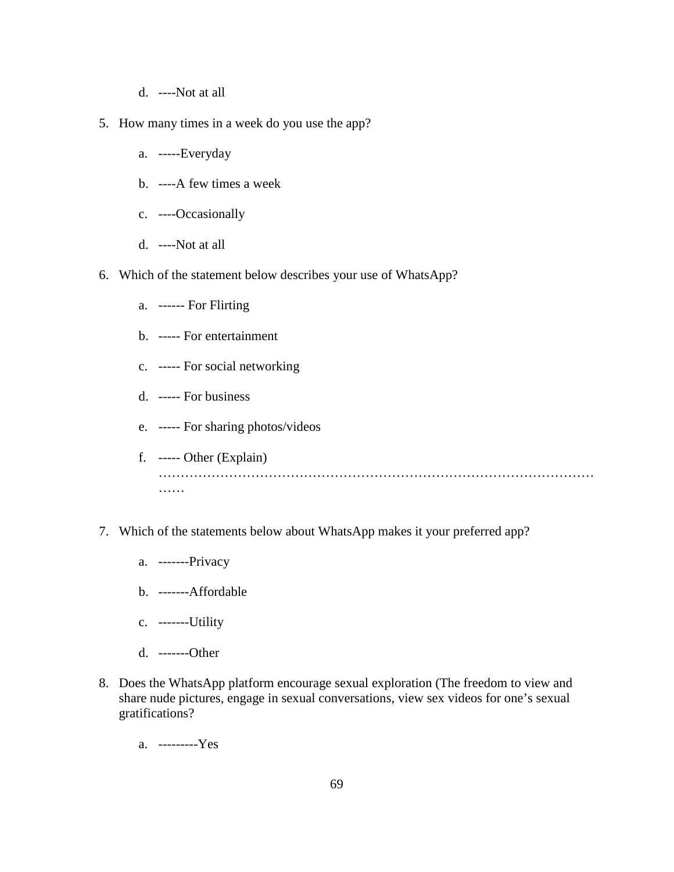- d. ----Not at all
- 5. How many times in a week do you use the app?
	- a. -----Everyday
	- b. ----A few times a week
	- c. ----Occasionally
	- d. ----Not at all
- 6. Which of the statement below describes your use of WhatsApp?
	- a. ------ For Flirting
	- b. ----- For entertainment
	- c. ----- For social networking
	- d. ----- For business
	- e. ----- For sharing photos/videos
	- f. ----- Other (Explain) ……………………………………………………………………………………… ……
- 7. Which of the statements below about WhatsApp makes it your preferred app?
	- a. -------Privacy
	- b. -------Affordable
	- c. -------Utility
	- d. -------Other
- 8. Does the WhatsApp platform encourage sexual exploration (The freedom to view and share nude pictures, engage in sexual conversations, view sex videos for one's sexual gratifications?
	- a. ---------Yes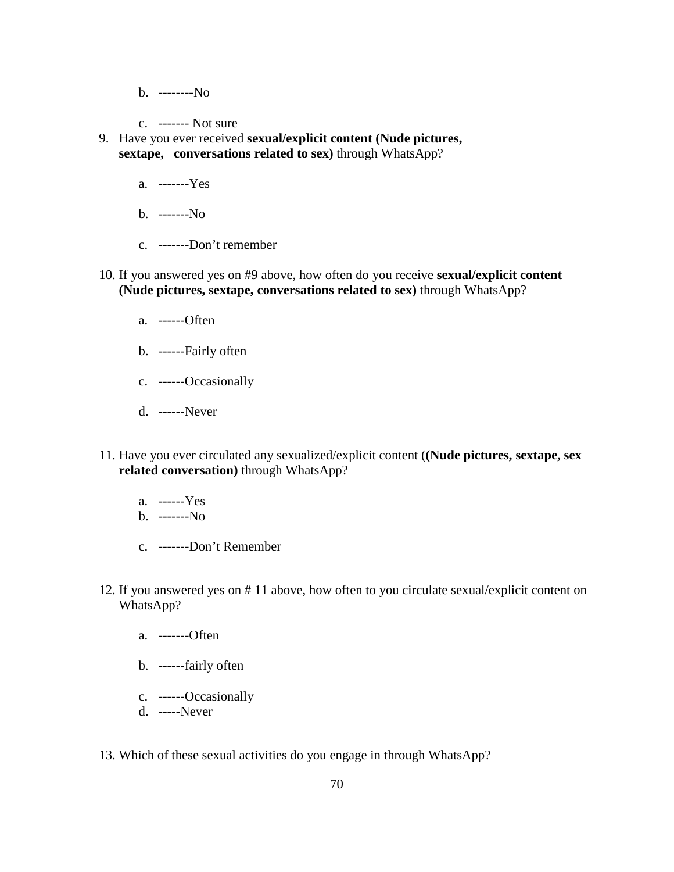- $b.$  -------- $No$
- c. ------- Not sure
- 9. Have you ever received **sexual/explicit content (Nude pictures, sextape, conversations related to sex)** through WhatsApp?
	- a. -------Yes
	- b. -------No
	- c. -------Don't remember
- 10. If you answered yes on #9 above, how often do you receive **sexual/explicit content (Nude pictures, sextape, conversations related to sex)** through WhatsApp?
	- a. ------Often
	- b. ------Fairly often
	- c. ------Occasionally
	- d. ------Never
- 11. Have you ever circulated any sexualized/explicit content (**(Nude pictures, sextape, sex related conversation)** through WhatsApp?
	- a. ------Yes b. -------No
	- c. -------Don't Remember
- 12. If you answered yes on # 11 above, how often to you circulate sexual/explicit content on WhatsApp?
	- a. -------Often
	- b. ------fairly often
	- c. ------Occasionally
	- d. -----Never
- 13. Which of these sexual activities do you engage in through WhatsApp?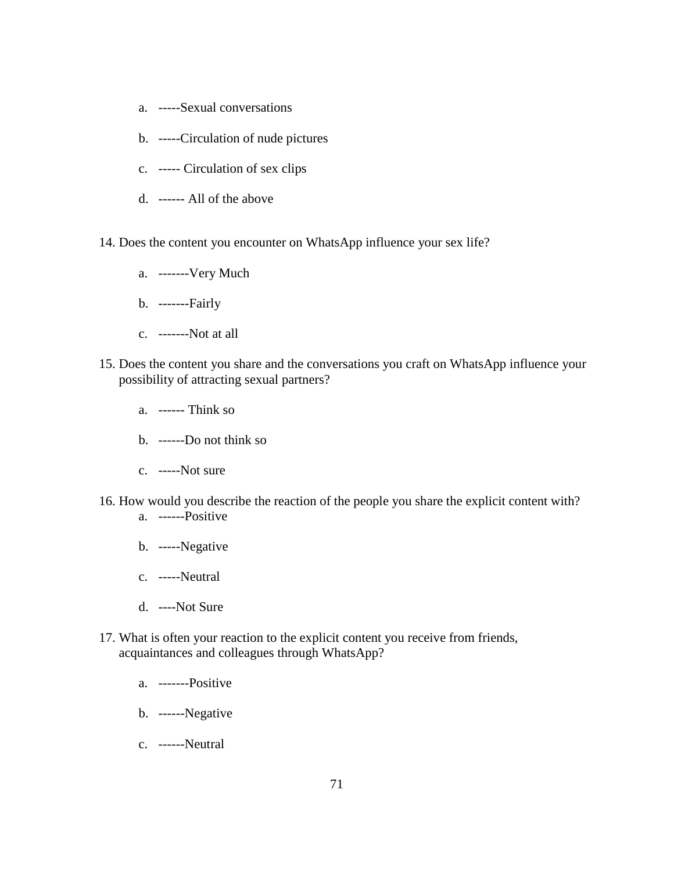- a. -----Sexual conversations
- b. -----Circulation of nude pictures
- c. ----- Circulation of sex clips
- d. ------ All of the above
- 14. Does the content you encounter on WhatsApp influence your sex life?
	- a. -------Very Much
	- b. -------Fairly
	- c. -------Not at all
- 15. Does the content you share and the conversations you craft on WhatsApp influence your possibility of attracting sexual partners?
	- a. ------ Think so
	- b. ------Do not think so
	- c. -----Not sure
- 16. How would you describe the reaction of the people you share the explicit content with? a. ------Positive
	- b. -----Negative
	- c. -----Neutral
	- d. ----Not Sure
- 17. What is often your reaction to the explicit content you receive from friends, acquaintances and colleagues through WhatsApp?
	- a. -------Positive
	- b. ------Negative
	- c. ------Neutral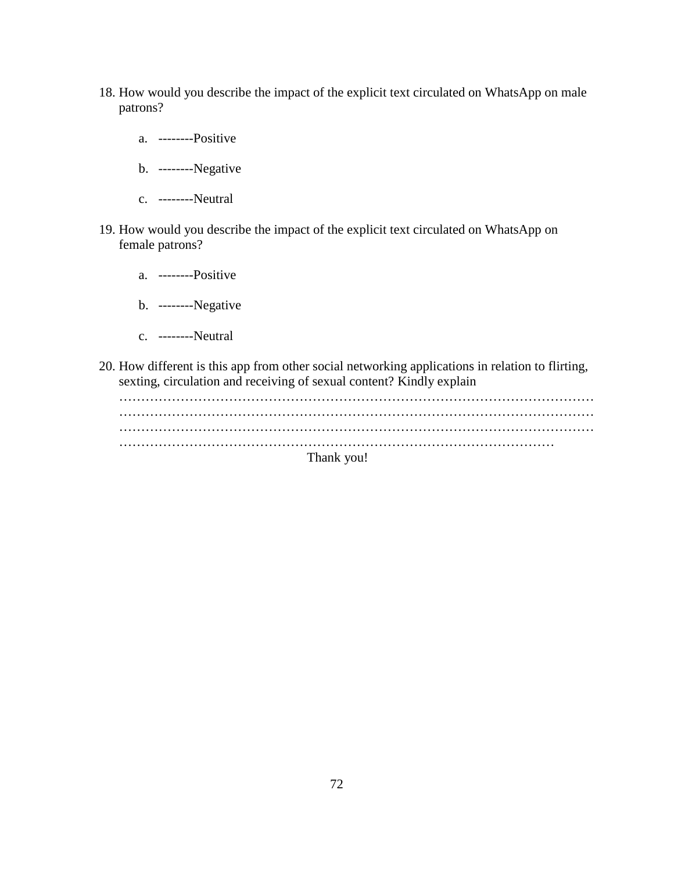- 18. How would you describe the impact of the explicit text circulated on WhatsApp on male patrons?
	- a. --------Positive
	- b. --------Negative
	- c. --------Neutral
- 19. How would you describe the impact of the explicit text circulated on WhatsApp on female patrons?
	- a. --------Positive
	- b. --------Negative
	- c. --------Neutral
- 20. How different is this app from other social networking applications in relation to flirting, sexting, circulation and receiving of sexual content? Kindly explain

……………………………………………………………………………………………… ……………………………………………………………………………………………… ……………………………………………………………………………………………… ……………………………………………………………………………………… Thank you!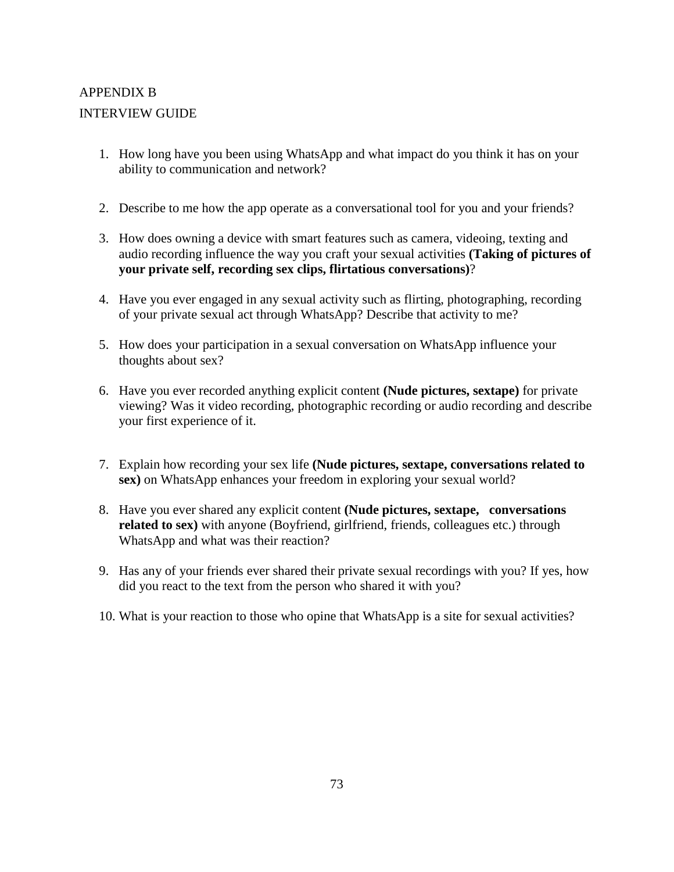## APPENDIX B

## INTERVIEW GUIDE

- 1. How long have you been using WhatsApp and what impact do you think it has on your ability to communication and network?
- 2. Describe to me how the app operate as a conversational tool for you and your friends?
- 3. How does owning a device with smart features such as camera, videoing, texting and audio recording influence the way you craft your sexual activities **(Taking of pictures of your private self, recording sex clips, flirtatious conversations)**?
- 4. Have you ever engaged in any sexual activity such as flirting, photographing, recording of your private sexual act through WhatsApp? Describe that activity to me?
- 5. How does your participation in a sexual conversation on WhatsApp influence your thoughts about sex?
- 6. Have you ever recorded anything explicit content **(Nude pictures, sextape)** for private viewing? Was it video recording, photographic recording or audio recording and describe your first experience of it.
- 7. Explain how recording your sex life **(Nude pictures, sextape, conversations related to sex)** on WhatsApp enhances your freedom in exploring your sexual world?
- 8. Have you ever shared any explicit content **(Nude pictures, sextape, conversations related to sex)** with anyone (Boyfriend, girlfriend, friends, colleagues etc.) through WhatsApp and what was their reaction?
- 9. Has any of your friends ever shared their private sexual recordings with you? If yes, how did you react to the text from the person who shared it with you?
- 10. What is your reaction to those who opine that WhatsApp is a site for sexual activities?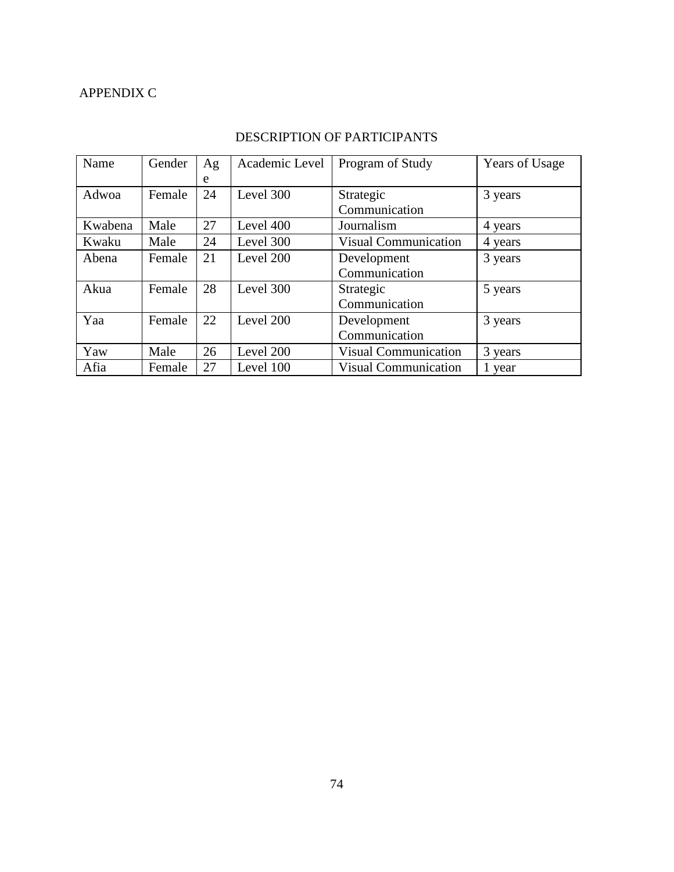# APPENDIX C

| Name    | Gender | Ag | Academic Level | Program of Study            | <b>Years of Usage</b> |
|---------|--------|----|----------------|-----------------------------|-----------------------|
|         |        | e  |                |                             |                       |
| Adwoa   | Female | 24 | Level 300      | Strategic                   | 3 years               |
|         |        |    |                | Communication               |                       |
| Kwabena | Male   | 27 | Level 400      | Journalism                  | 4 years               |
| Kwaku   | Male   | 24 | Level 300      | <b>Visual Communication</b> | 4 years               |
| Abena   | Female | 21 | Level 200      | Development                 | 3 years               |
|         |        |    |                | Communication               |                       |
| Akua    | Female | 28 | Level 300      | Strategic                   | 5 years               |
|         |        |    |                | Communication               |                       |
| Yaa     | Female | 22 | Level 200      | Development                 | 3 years               |
|         |        |    |                | Communication               |                       |
| Yaw     | Male   | 26 | Level 200      | <b>Visual Communication</b> | 3 years               |
| Afia    | Female | 27 | Level 100      | <b>Visual Communication</b> | 1 year                |

# DESCRIPTION OF PARTICIPANTS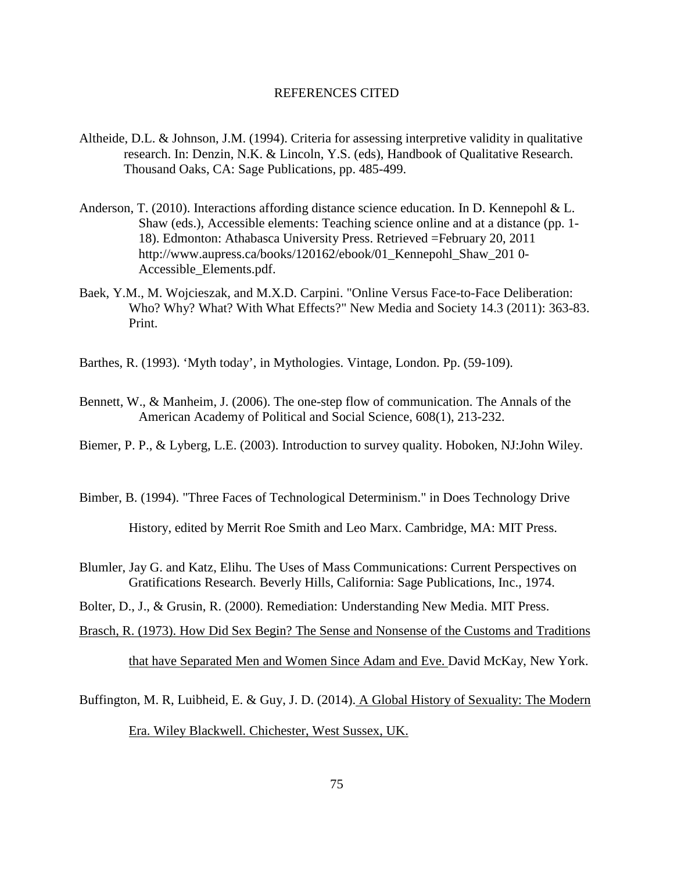#### REFERENCES CITED

- Altheide, D.L. & Johnson, J.M. (1994). Criteria for assessing interpretive validity in qualitative research. In: Denzin, N.K. & Lincoln, Y.S. (eds), Handbook of Qualitative Research. Thousand Oaks, CA: Sage Publications, pp. 485-499.
- Anderson, T. (2010). Interactions affording distance science education. In D. Kennepohl & L. Shaw (eds.), Accessible elements: Teaching science online and at a distance (pp. 1- 18). Edmonton: Athabasca University Press. Retrieved =February 20, 2011 http://www.aupress.ca/books/120162/ebook/01\_Kennepohl\_Shaw\_201 0- Accessible\_Elements.pdf.
- Baek, Y.M., M. Wojcieszak, and M.X.D. Carpini. "Online Versus Face-to-Face Deliberation: Who? Why? What? With What Effects?" New Media and Society 14.3 (2011): 363-83. Print.
- Barthes, R. (1993). 'Myth today', in Mythologies. Vintage, London. Pp. (59-109).
- Bennett, W., & Manheim, J. (2006). The one-step flow of communication. The Annals of the American Academy of Political and Social Science, 608(1), 213-232.
- Biemer, P. P., & Lyberg, L.E. (2003). Introduction to survey quality. Hoboken, NJ:John Wiley.
- Bimber, B. (1994). "Three Faces of Technological Determinism." in Does Technology Drive

History, edited by Merrit Roe Smith and Leo Marx. Cambridge, MA: MIT Press.

- Blumler, Jay G. and Katz, Elihu. The Uses of Mass Communications: Current Perspectives on Gratifications Research. Beverly Hills, California: Sage Publications, Inc., 1974.
- Bolter, D., J., & Grusin, R. (2000). Remediation: Understanding New Media. MIT Press.
- Brasch, R. (1973). How Did Sex Begin? The Sense and Nonsense of the Customs and Traditions

that have Separated Men and Women Since Adam and Eve. David McKay, New York.

Buffington, M. R, Luibheid, E. & Guy, J. D. (2014). A Global History of Sexuality: The Modern Era. Wiley Blackwell. Chichester, West Sussex, UK.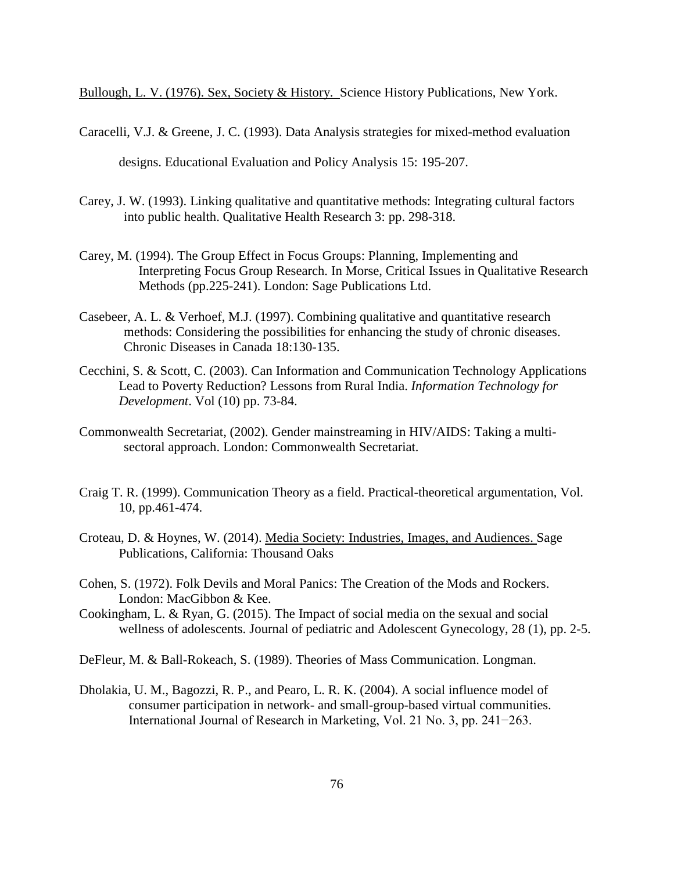Bullough, L. V. (1976). Sex, Society & History. Science History Publications, New York.

Caracelli, V.J. & Greene, J. C. (1993). Data Analysis strategies for mixed-method evaluation

designs. Educational Evaluation and Policy Analysis 15: 195-207.

- Carey, J. W. (1993). Linking qualitative and quantitative methods: Integrating cultural factors into public health. Qualitative Health Research 3: pp. 298-318.
- Carey, M. (1994). The Group Effect in Focus Groups: Planning, Implementing and Interpreting Focus Group Research. In Morse, Critical Issues in Qualitative Research Methods (pp.225-241). London: Sage Publications Ltd.
- Casebeer, A. L. & Verhoef, M.J. (1997). Combining qualitative and quantitative research methods: Considering the possibilities for enhancing the study of chronic diseases. Chronic Diseases in Canada 18:130-135.
- Cecchini, S. & Scott, C. (2003). Can Information and Communication Technology Applications Lead to Poverty Reduction? Lessons from Rural India. *Information Technology for Development*. Vol (10) pp. 73-84.
- Commonwealth Secretariat, (2002). Gender mainstreaming in HIV/AIDS: Taking a multisectoral approach. London: Commonwealth Secretariat.
- Craig T. R. (1999). Communication Theory as a field. Practical-theoretical argumentation, Vol. 10, pp.461-474.
- Croteau, D. & Hoynes, W. (2014). Media Society: Industries, Images, and Audiences. Sage Publications, California: Thousand Oaks
- Cohen, S. (1972). Folk Devils and Moral Panics: The Creation of the Mods and Rockers. London: MacGibbon & Kee.
- Cookingham, L. & Ryan, G. (2015). The Impact of social media on the sexual and social wellness of adolescents. Journal of pediatric and Adolescent Gynecology, 28 (1), pp. 2-5.
- DeFleur, M. & Ball-Rokeach, S. (1989). Theories of Mass Communication. Longman.
- Dholakia, U. M., Bagozzi, R. P., and Pearo, L. R. K. (2004). A social influence model of consumer participation in network- and small-group-based virtual communities. International Journal of Research in Marketing, Vol. 21 No. 3, pp. 241−263.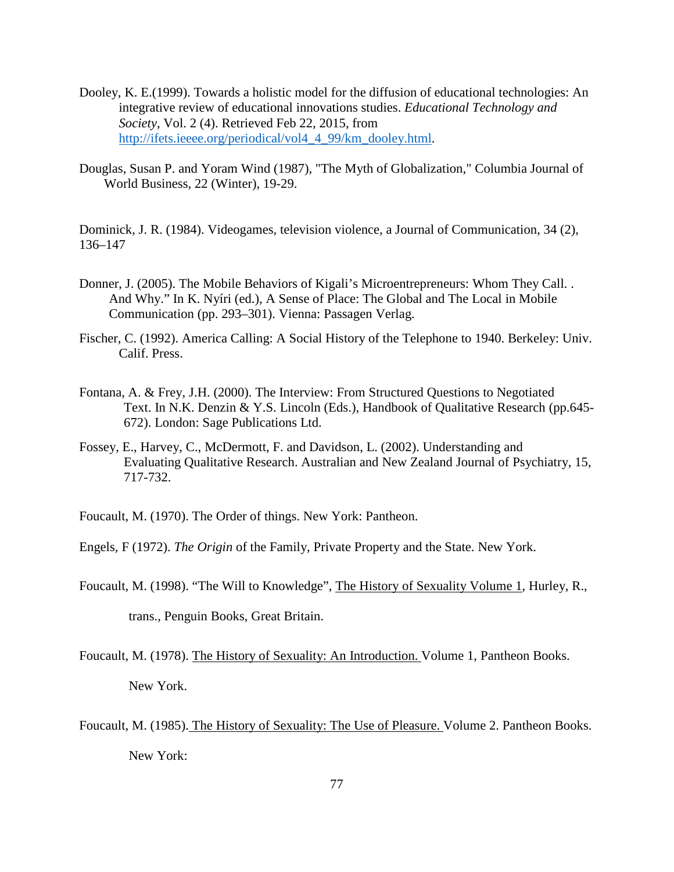- Dooley, K. E.(1999). Towards a holistic model for the diffusion of educational technologies: An integrative review of educational innovations studies. *Educational Technology and Society*, Vol. 2 (4). Retrieved Feb 22, 2015, from [http://ifets.ieeee.org/periodical/vol4\\_4\\_99/km\\_dooley.html.](http://ifets.ieeee.org/periodical/vol4_4_99/km_dooley.html)
- Douglas, Susan P. and Yoram Wind (1987), "The Myth of Globalization," Columbia Journal of World Business, 22 (Winter), 19-29.

Dominick, J. R. (1984). Videogames, television violence, a Journal of Communication, 34 (2), 136–147

- Donner, J. (2005). The Mobile Behaviors of Kigali's Microentrepreneurs: Whom They Call. . And Why." In K. Nyíri (ed.), A Sense of Place: The Global and The Local in Mobile Communication (pp. 293–301). Vienna: Passagen Verlag.
- Fischer, C. (1992). America Calling: A Social History of the Telephone to 1940. Berkeley: Univ. Calif. Press.
- Fontana, A. & Frey, J.H. (2000). The Interview: From Structured Questions to Negotiated Text. In N.K. Denzin & Y.S. Lincoln (Eds.), Handbook of Qualitative Research (pp.645- 672). London: Sage Publications Ltd.
- Fossey, E., Harvey, C., McDermott, F. and Davidson, L. (2002). Understanding and Evaluating Qualitative Research. Australian and New Zealand Journal of Psychiatry, 15, 717-732.

Foucault, M. (1970). The Order of things. New York: Pantheon.

Engels, F (1972). *The Origin* of the Family, Private Property and the State. New York.

- Foucault, M. (1998). "The Will to Knowledge", The History of Sexuality Volume 1, Hurley, R., trans., Penguin Books, Great Britain.
- Foucault, M. (1978). The History of Sexuality: An Introduction. Volume 1, Pantheon Books. New York.
- Foucault, M. (1985). The History of Sexuality: The Use of Pleasure. Volume 2. Pantheon Books. New York: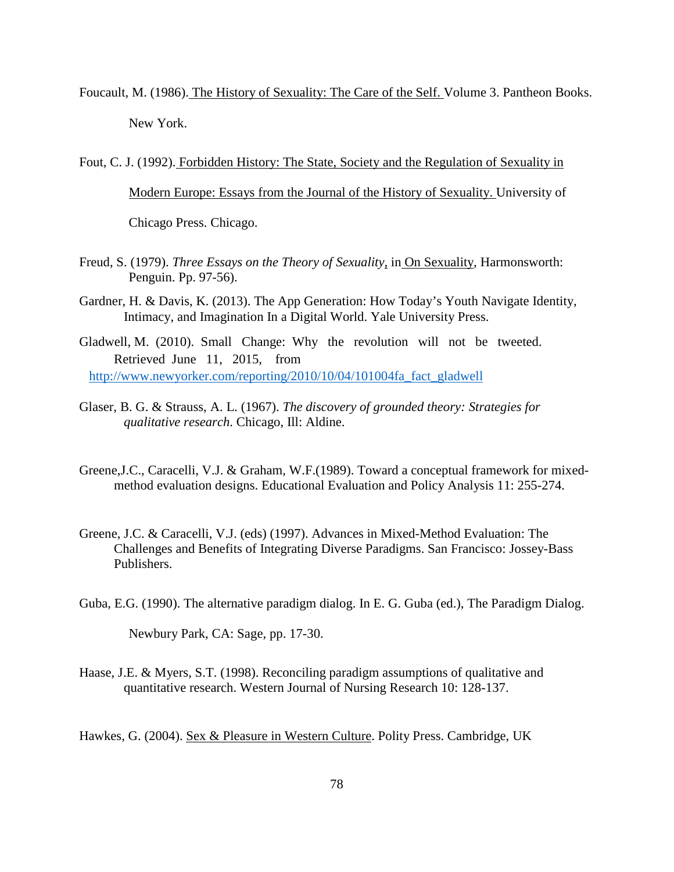Foucault, M. (1986). The History of Sexuality: The Care of the Self. Volume 3. Pantheon Books. New York.

Fout, C. J. (1992). Forbidden History: The State, Society and the Regulation of Sexuality in Modern Europe: Essays from the Journal of the History of Sexuality. University of Chicago Press. Chicago.

- Freud, S. (1979). *Three Essays on the Theory of Sexuality*, in On Sexuality, Harmonsworth: Penguin. Pp. 97-56).
- Gardner, H. & Davis, K. (2013). The App Generation: How Today's Youth Navigate Identity, Intimacy, and Imagination In a Digital World. Yale University Press.

Gladwell, M. (2010). Small Change: Why the revolution will not be tweeted. Retrieved June 11, 2015, from [http://www.newyorker.com/reporting/2010/10/04/101004fa\\_fact\\_gladwell](http://www.newyorker.com/reporting/2010/10/04/101004fa_fact_gladwell)

- Glaser, B. G. & Strauss, A. L. (1967). *The discovery of grounded theory: Strategies for qualitative research*. Chicago, Ill: Aldine.
- Greene,J.C., Caracelli, V.J. & Graham, W.F.(1989). Toward a conceptual framework for mixedmethod evaluation designs. Educational Evaluation and Policy Analysis 11: 255-274.
- Greene, J.C. & Caracelli, V.J. (eds) (1997). Advances in Mixed-Method Evaluation: The Challenges and Benefits of Integrating Diverse Paradigms. San Francisco: Jossey-Bass Publishers.

Guba, E.G. (1990). The alternative paradigm dialog. In E. G. Guba (ed.), The Paradigm Dialog.

Newbury Park, CA: Sage, pp. 17-30.

Haase, J.E. & Myers, S.T. (1998). Reconciling paradigm assumptions of qualitative and quantitative research. Western Journal of Nursing Research 10: 128-137.

Hawkes, G. (2004). Sex & Pleasure in Western Culture. Polity Press. Cambridge, UK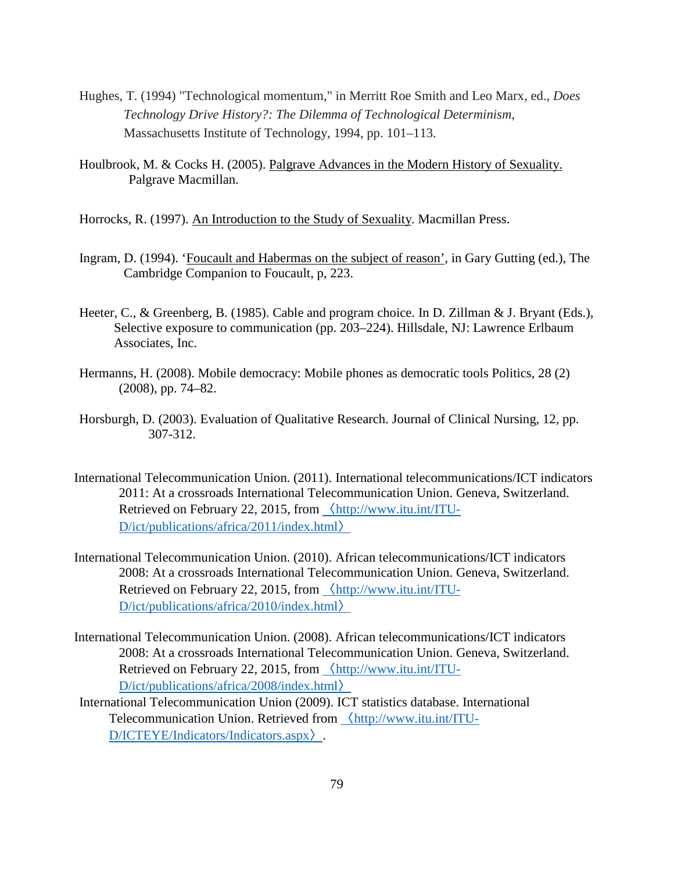- Hughes, T. (1994) "Technological momentum," in Merritt Roe Smith and Leo Marx, ed., *Does Technology Drive History?: The Dilemma of Technological Determinism*, Massachusetts Institute of Technology, 1994, pp. 101–113.
- Houlbrook, M. & Cocks H. (2005). Palgrave Advances in the Modern History of Sexuality. Palgrave Macmillan.

Horrocks, R. (1997). An Introduction to the Study of Sexuality. Macmillan Press.

- Ingram, D. (1994). 'Foucault and Habermas on the subject of reason', in Gary Gutting (ed.), The Cambridge Companion to Foucault, p, 223.
- Heeter, C., & Greenberg, B. (1985). Cable and program choice. In D. Zillman & J. Bryant (Eds.), Selective exposure to communication (pp. 203–224). Hillsdale, NJ: Lawrence Erlbaum Associates, Inc.
- Hermanns, H. (2008). Mobile democracy: Mobile phones as democratic tools Politics, 28 (2) (2008), pp. 74–82.
- Horsburgh, D. (2003). Evaluation of Qualitative Research. Journal of Clinical Nursing, 12, pp. 307-312.
- International Telecommunication Union. (2011). International telecommunications/ICT indicators 2011: At a crossroads International Telecommunication Union. Geneva, Switzerland. Retrieved on February 22, 2015, from 〈http://www.itu.int/ITU-D/ict/publications/africa/2011/index.html〉
- International Telecommunication Union. (2010). African telecommunications/ICT indicators 2008: At a crossroads International Telecommunication Union. Geneva, Switzerland. Retrieved on February 22, 2015, from 〈http://www.itu.int/ITU-D/ict/publications/africa/2010/index.html〉
- International Telecommunication Union. (2008). African telecommunications/ICT indicators 2008: At a crossroads International Telecommunication Union. Geneva, Switzerland. Retrieved on February 22, 2015, from [〈](http://www.itu.int/ITU-D/ict/publications/africa/2008/index.html)[http://www.itu.int/ITU-](http://www.itu.int/ITU-D/ict/publications/africa/2008/index.html)[D/ict/publications/africa/2008/index.html](http://www.itu.int/ITU-D/ict/publications/africa/2008/index.html)[〉](http://www.itu.int/ITU-D/ict/publications/africa/2008/index.html)
- International Telecommunication Union (2009). ICT statistics database. International Telecommunication Union. Retrieved from <u><http://www.itu.int/ITU-</u> [D/ICTEYE/Indicators/Indicators.aspx](http://www.itu.int/ITU-D/ICTEYE/Indicators/Indicators.aspx)[〉](http://www.itu.int/ITU-D/ICTEYE/Indicators/Indicators.aspx).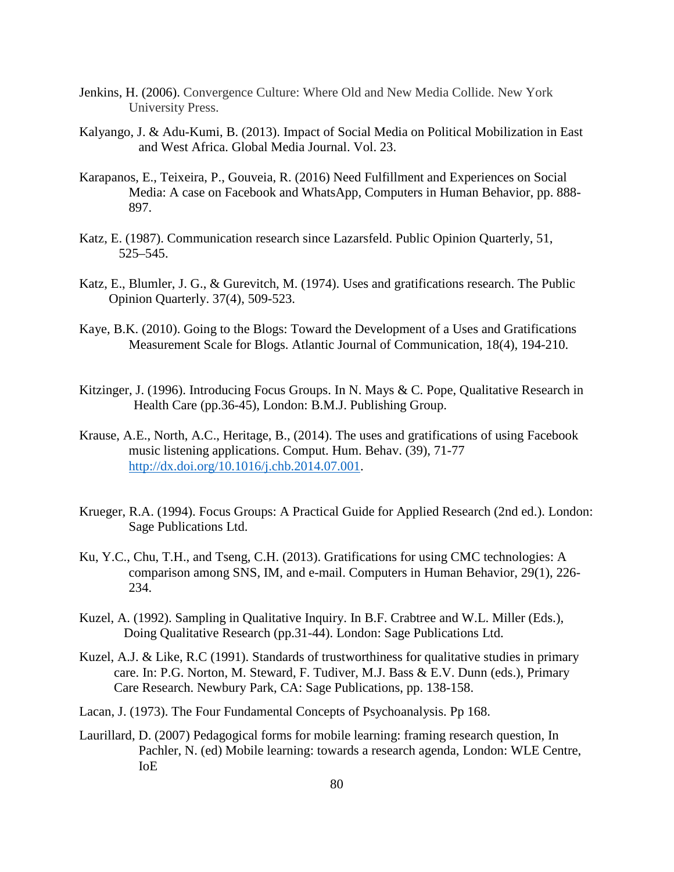- Jenkins, H. (2006). Convergence Culture: Where Old and New Media Collide. New York University Press.
- Kalyango, J. & Adu-Kumi, B. (2013). Impact of Social Media on Political Mobilization in East and West Africa. Global Media Journal. Vol. 23.
- Karapanos, E., Teixeira, P., Gouveia, R. (2016) Need Fulfillment and Experiences on Social Media: A case on Facebook and WhatsApp, Computers in Human Behavior, pp. 888- 897.
- Katz, E. (1987). Communication research since Lazarsfeld. Public Opinion Quarterly, 51, 525–545.
- Katz, E., Blumler, J. G., & Gurevitch, M. (1974). Uses and gratifications research. The Public Opinion Quarterly. 37(4), 509-523.
- Kaye, B.K. (2010). Going to the Blogs: Toward the Development of a Uses and Gratifications Measurement Scale for Blogs. Atlantic Journal of Communication, 18(4), 194-210.
- Kitzinger, J. (1996). Introducing Focus Groups. In N. Mays & C. Pope, Qualitative Research in Health Care (pp.36-45), London: B.M.J. Publishing Group.
- Krause, A.E., North, A.C., Heritage, B., (2014). The uses and gratifications of using Facebook music listening applications. Comput. Hum. Behav. (39), 71-77 [http://dx.doi.org/10.1016/j.chb.2014.07.001.](http://dx.doi.org/10.1016/j.chb.2014.07.001)
- Krueger, R.A. (1994). Focus Groups: A Practical Guide for Applied Research (2nd ed.). London: Sage Publications Ltd.
- Ku, Y.C., Chu, T.H., and Tseng, C.H. (2013). Gratifications for using CMC technologies: A comparison among SNS, IM, and e-mail. Computers in Human Behavior, 29(1), 226- 234.
- Kuzel, A. (1992). Sampling in Qualitative Inquiry. In B.F. Crabtree and W.L. Miller (Eds.), Doing Qualitative Research (pp.31-44). London: Sage Publications Ltd.
- Kuzel, A.J. & Like, R.C (1991). Standards of trustworthiness for qualitative studies in primary care. In: P.G. Norton, M. Steward, F. Tudiver, M.J. Bass & E.V. Dunn (eds.), Primary Care Research. Newbury Park, CA: Sage Publications, pp. 138-158.
- Lacan, J. (1973). The Four Fundamental Concepts of Psychoanalysis. Pp 168.
- Laurillard, D. (2007) Pedagogical forms for mobile learning: framing research question, In Pachler, N. (ed) Mobile learning: towards a research agenda, London: WLE Centre, IoE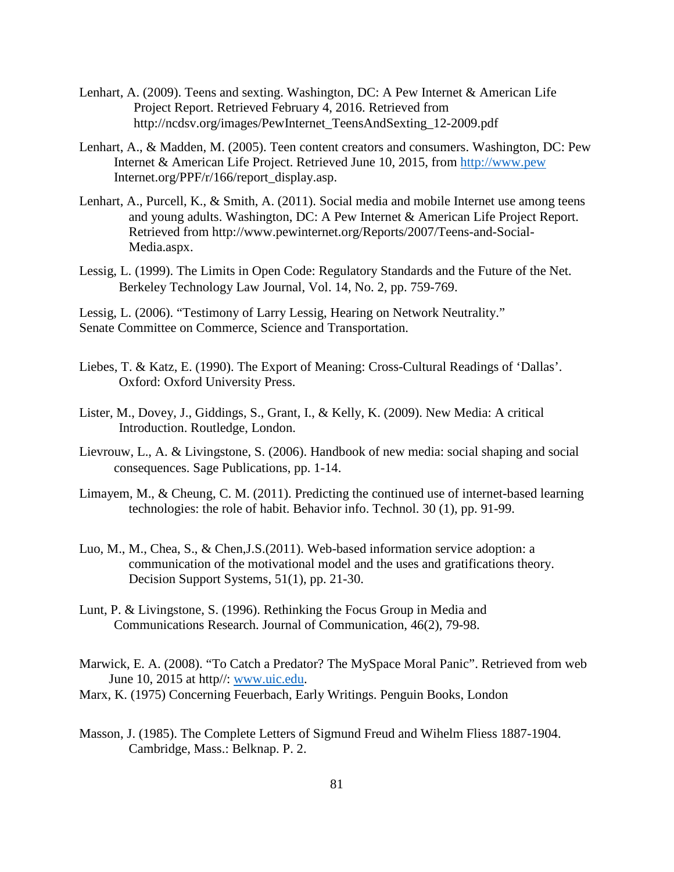- Lenhart, A. (2009). Teens and sexting. Washington, DC: A Pew Internet & American Life Project Report. Retrieved February 4, 2016. Retrieved from http://ncdsv.org/images/PewInternet\_TeensAndSexting\_12-2009.pdf
- Lenhart, A., & Madden, M. (2005). Teen content creators and consumers. Washington, DC: Pew Internet & American Life Project. Retrieved June 10, 2015, from [http://www.pew](http://www.pew/) Internet.org/PPF/r/166/report\_display.asp.
- Lenhart, A., Purcell, K., & Smith, A. (2011). Social media and mobile Internet use among teens and young adults. Washington, DC: A Pew Internet & American Life Project Report. Retrieved from http://www.pewinternet.org/Reports/2007/Teens-and-Social-Media.aspx.
- Lessig, L. (1999). The Limits in Open Code: Regulatory Standards and the Future of the Net. Berkeley Technology Law Journal, Vol. 14, No. 2, pp. 759-769.

Lessig, L. (2006). "Testimony of Larry Lessig, Hearing on Network Neutrality." Senate Committee on Commerce, Science and Transportation.

- Liebes, T. & Katz, E. (1990). The Export of Meaning: Cross-Cultural Readings of 'Dallas'. Oxford: Oxford University Press.
- Lister, M., Dovey, J., Giddings, S., Grant, I., & Kelly, K. (2009). New Media: A critical Introduction. Routledge, London.
- Lievrouw, L., A. & Livingstone, S. (2006). Handbook of new media: social shaping and social consequences. Sage Publications, pp. 1-14.
- Limayem, M., & Cheung, C. M. (2011). Predicting the continued use of internet-based learning technologies: the role of habit. Behavior info. Technol. 30 (1), pp. 91-99.
- Luo, M., M., Chea, S., & Chen,J.S.(2011). Web-based information service adoption: a communication of the motivational model and the uses and gratifications theory. Decision Support Systems, 51(1), pp. 21-30.
- Lunt, P. & Livingstone, S. (1996). Rethinking the Focus Group in Media and Communications Research. Journal of Communication, 46(2), 79-98.
- Marwick, E. A. (2008). "To Catch a Predator? The MySpace Moral Panic". Retrieved from web June 10, 2015 at http//: [www.uic.edu.](http://www.uic.edu/)
- Marx, K. (1975) Concerning Feuerbach, Early Writings. Penguin Books, London
- Masson, J. (1985). The Complete Letters of Sigmund Freud and Wihelm Fliess 1887-1904. Cambridge, Mass.: Belknap. P. 2.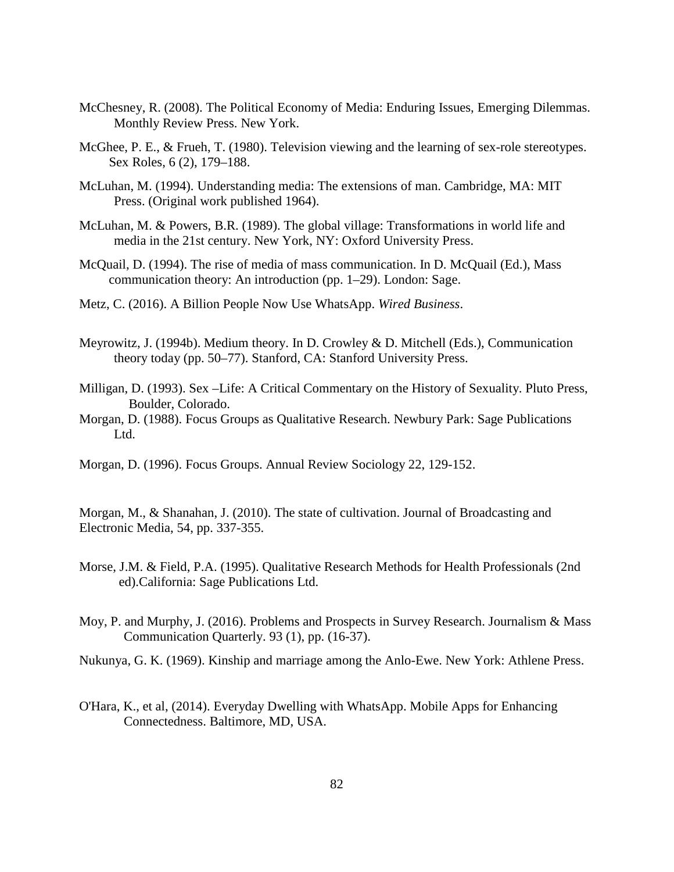- McChesney, R. (2008). The Political Economy of Media: Enduring Issues, Emerging Dilemmas. Monthly Review Press. New York.
- McGhee, P. E., & Frueh, T. (1980). Television viewing and the learning of sex-role stereotypes. Sex Roles, 6 (2), 179–188.
- McLuhan, M. (1994). Understanding media: The extensions of man. Cambridge, MA: MIT Press. (Original work published 1964).
- McLuhan, M. & Powers, B.R. (1989). The global village: Transformations in world life and media in the 21st century. New York, NY: Oxford University Press.
- McQuail, D. (1994). The rise of media of mass communication. In D. McQuail (Ed.), Mass communication theory: An introduction (pp. 1–29). London: Sage.
- Metz, C. (2016). A Billion People Now Use WhatsApp. *Wired Business*.
- Meyrowitz, J. (1994b). Medium theory. In D. Crowley & D. Mitchell (Eds.), Communication theory today (pp. 50–77). Stanford, CA: Stanford University Press.
- Milligan, D. (1993). Sex –Life: A Critical Commentary on the History of Sexuality. Pluto Press, Boulder, Colorado.
- Morgan, D. (1988). Focus Groups as Qualitative Research. Newbury Park: Sage Publications Ltd.
- Morgan, D. (1996). Focus Groups. Annual Review Sociology 22, 129-152.

Morgan, M., & Shanahan, J. (2010). The state of cultivation. Journal of Broadcasting and Electronic Media, 54, pp. 337-355.

- Morse, J.M. & Field, P.A. (1995). Qualitative Research Methods for Health Professionals (2nd ed).California: Sage Publications Ltd.
- Moy, P. and Murphy, J. (2016). Problems and Prospects in Survey Research. Journalism & Mass Communication Quarterly. 93 (1), pp. (16-37).
- Nukunya, G. K. (1969). Kinship and marriage among the Anlo-Ewe. New York: Athlene Press.
- O'Hara, K., et al, (2014). Everyday Dwelling with WhatsApp. Mobile Apps for Enhancing Connectedness. Baltimore, MD, USA.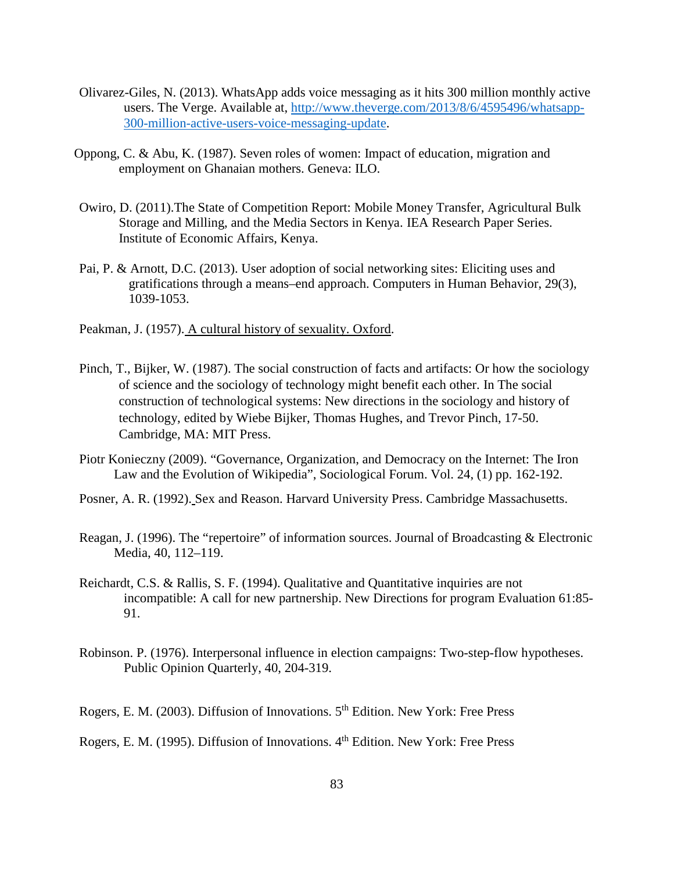- Olivarez-Giles, N. (2013). WhatsApp adds voice messaging as it hits 300 million monthly active users. The Verge. Available at, [http://www.theverge.com/2013/8/6/4595496/whatsapp-](http://www.theverge.com/2013/8/6/4595496/whatsapp-300-million-active-users-voice-messaging-update)[300-million-active-users-voice-messaging-update.](http://www.theverge.com/2013/8/6/4595496/whatsapp-300-million-active-users-voice-messaging-update)
- Oppong, C. & Abu, K. (1987). Seven roles of women: Impact of education, migration and employment on Ghanaian mothers. Geneva: ILO.
- Owiro, D. (2011).The State of Competition Report: Mobile Money Transfer, Agricultural Bulk Storage and Milling, and the Media Sectors in Kenya. IEA Research Paper Series. Institute of Economic Affairs, Kenya.
- Pai, P. & Arnott, D.C. (2013). User adoption of social networking sites: Eliciting uses and gratifications through a means–end approach. Computers in Human Behavior, 29(3), 1039-1053.
- Peakman, J. (1957). A cultural history of sexuality. Oxford.
- Pinch, T., Bijker, W. (1987). The social construction of facts and artifacts: Or how the sociology of science and the sociology of technology might benefit each other. In The social construction of technological systems: New directions in the sociology and history of technology, edited by Wiebe Bijker, Thomas Hughes, and Trevor Pinch, 17-50. Cambridge, MA: MIT Press.
- Piotr Konieczny (2009). "Governance, Organization, and Democracy on the Internet: The Iron Law and the Evolution of Wikipedia", Sociological Forum. Vol. 24, (1) pp. 162-192.
- Posner, A. R. (1992). Sex and Reason. Harvard University Press. Cambridge Massachusetts.
- Reagan, J. (1996). The "repertoire" of information sources. Journal of Broadcasting & Electronic Media, 40, 112–119.
- Reichardt, C.S. & Rallis, S. F. (1994). Qualitative and Quantitative inquiries are not incompatible: A call for new partnership. New Directions for program Evaluation 61:85- 91.
- Robinson. P. (1976). Interpersonal influence in election campaigns: Two-step-flow hypotheses. Public Opinion Quarterly, 40, 204-319.

Rogers, E. M. (2003). Diffusion of Innovations.  $5<sup>th</sup>$  Edition. New York: Free Press

Rogers, E. M. (1995). Diffusion of Innovations. 4<sup>th</sup> Edition. New York: Free Press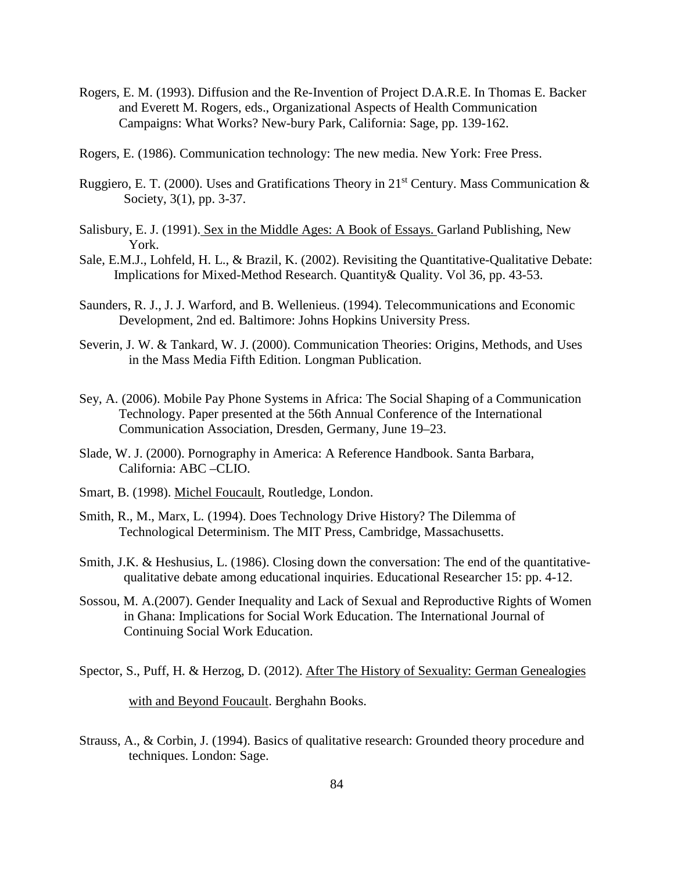- Rogers, E. M. (1993). Diffusion and the Re-Invention of Project D.A.R.E. In Thomas E. Backer and Everett M. Rogers, eds., Organizational Aspects of Health Communication Campaigns: What Works? New-bury Park, California: Sage, pp. 139-162.
- Rogers, E. (1986). Communication technology: The new media. New York: Free Press.
- Ruggiero, E. T. (2000). Uses and Gratifications Theory in 21<sup>st</sup> Century. Mass Communication  $\&$ Society, 3(1), pp. 3-37.
- Salisbury, E. J. (1991). Sex in the Middle Ages: A Book of Essays. Garland Publishing, New York.
- Sale, E.M.J., Lohfeld, H. L., & Brazil, K. (2002). Revisiting the Quantitative-Qualitative Debate: Implications for Mixed-Method Research. Quantity& Quality. Vol 36, pp. 43-53.
- Saunders, R. J., J. J. Warford, and B. Wellenieus. (1994). Telecommunications and Economic Development, 2nd ed. Baltimore: Johns Hopkins University Press.
- Severin, J. W. & Tankard, W. J. (2000). Communication Theories: Origins, Methods, and Uses in the Mass Media Fifth Edition. Longman Publication.
- Sey, A. (2006). Mobile Pay Phone Systems in Africa: The Social Shaping of a Communication Technology. Paper presented at the 56th Annual Conference of the International Communication Association, Dresden, Germany, June 19–23.
- Slade, W. J. (2000). Pornography in America: A Reference Handbook. Santa Barbara, California: ABC –CLIO.
- Smart, B. (1998). Michel Foucault, Routledge, London.
- Smith, R., M., Marx, L. (1994). Does Technology Drive History? The Dilemma of Technological Determinism. The MIT Press, Cambridge, Massachusetts.
- Smith, J.K. & Heshusius, L. (1986). Closing down the conversation: The end of the quantitativequalitative debate among educational inquiries. Educational Researcher 15: pp. 4-12.
- Sossou, M. A.(2007). Gender Inequality and Lack of Sexual and Reproductive Rights of Women in Ghana: Implications for Social Work Education. The International Journal of Continuing Social Work Education.
- Spector, S., Puff, H. & Herzog, D. (2012). After The History of Sexuality: German Genealogies with and Beyond Foucault. Berghahn Books.
- Strauss, A., & Corbin, J. (1994). Basics of qualitative research: Grounded theory procedure and techniques. London: Sage.